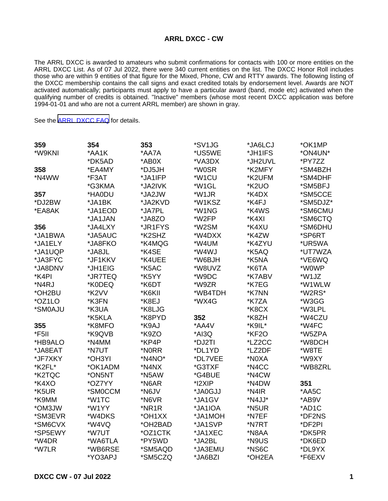## **ARRL DXCC - CW**

The ARRL DXCC is awarded to amateurs who submit confirmations for contacts with 100 or more entities on the ARRL DXCC List. As of 07 Jul 2022, there were 340 current entities on the list. The DXCC Honor Roll includes those who are within 9 entities of that figure for the Mixed, Phone, CW and RTTY awards. The following listing of the DXCC membership contains the call signs and exact credited totals by endorsement level. Awards are NOT activated automatically; participants must apply to have a particular award (band, mode etc) activated when the qualifying number of credits is obtained. "Inactive" members (whose most recent DXCC application was before 1994-01-01 and who are not a current ARRL member) are shown in gray.

See the [ARRL DXCC FAQ](http://www.arrl.org/dxcc-faq/) for details.

| 359     | 354     | 353     | *SV1JG  | *JA6LCJ | *OK1MP   |
|---------|---------|---------|---------|---------|----------|
| *W9KNI  | *AA1K   | *AA7A   | *US5WE  | *JH1IFS | *ON4UN*  |
|         | *DK5AD  | *AB0X   | *VA3DX  | *JH2UVL | *PY7ZZ   |
| 358     | *EA4MY  | *DJ5JH  | *W0SR   | *K2MFY  | *SM4BZH  |
| *N4WW   | *F3AT   | *JA1IFP | *W1CU   | *K2UFM  | *SM4DHF  |
|         | *G3KMA  | *JA2IVK | *W1GL   | *K2UO   | *SM5BFJ  |
| 357     | *HA0DU  | *JA2JW  | *W1JR   | *K4DX   | *SM5CCE  |
| *DJ2BW  | *JA1BK  | *JA2KVD | *W1KSZ  | *K4FJ   | *SM5DJZ* |
| *EA8AK  | *JA1EOD | *JA7PL  | *W1NG   | *K4WS   | *SM6CMU  |
|         | *JA1JAN | *JA8ZO  | *W2FP   | *K4XI   | *SM6CTQ  |
| 356     | *JA4LXY | *JR1FYS | *W2SM   | *K4XU   | *SM6DHU  |
| *JA1BWA | *JA5AUC | *K2SHZ  | *W4DXX  | *K4ZW   | *SP6RT   |
| *JA1ELY | *JA8FKO | *K4MQG  | *W4UM   | *K4ZYU  | *UR5WA   |
| *JA1UQP | *JA8JL  | *K4SE   | *W4WJ   | *K5AQ   | *UT7WZA  |
| *JA3FYC | *JF1KKV | *K4UEE  | *W6BJH  | *K5NA   | *VE6WQ   |
| *JA8DNV | *JH1EIG | *K5AC   | *W8UVZ  | *K6TA   | *W0WP    |
| *K4PI   | *JR7TEQ | *K5YY   | *W9DC   | *K7ABV  | *W1JZ    |
| *N4RJ   | *K0DEQ  | *K6DT   | *W9ZR   | *K7EG   | *W1WLW   |
| *OH2BU  | *K2VV   | *K6KII  | *WB4TDH | *K7NN   | *W2RS*   |
| *OZ1LO  | *K3FN   | *K8EJ   | *WX4G   | *K7ZA   | *W3GG    |
| *SM0AJU | *K3UA   | *K8LJG  |         | *K8CX   | *W3LPL   |
|         | *K5KLA  | *K8PYD  | 352     | *K8ZH   | *W4CZU   |
| 355     | *K8MFO  | *K9AJ   | *AA4V   | *K9IL*  | *W4FC    |
| *F5II   | *K9QVB  | *K9ZO   | *AI3Q   | *KF2O   | *W5ZPA   |
| *HB9ALO | *N4MM   | *KP4P   | *DJ2TI  | *LZ2CC  | *W8DCH   |
| *JA8EAT | *N7UT   | *N0RR   | *DL1YD  | *LZ2DF  | *W8TE    |
| *JF7XKY | *OH3YI  | *N4NO*  | *DL7VEE | *N0XA   | *W9XY    |
| *K2FL*  | *OK1ADM | *N4NX   | *G3TXF  | *N4CC   | *WB8ZRL  |
| *K2TQC  | *ON5NT  | *N5AW   | *G4BUE  | *N4CW   |          |
| *K4XO   | *OZ7YY  | *N6AR   | *I2XIP  | *N4DW   | 351      |
| *K5UR   | *SM0CCM | *N6JV   | *JA0GJJ | *N4IR   | *AA5C    |
| *K9MM   | *W1TC   | *N6VR   | *JA1GV  | *N4JJ*  | *AB9V    |
| *OM3JW  | *W1YY   | *NR1R   | *JA1IOA | *N5UR   | *AD1C    |
| *SM3EVR | *W4DKS  | *OH1XX  | *JA1MOH | *N7EF   | *DF2NS   |
| *SM6CVX | *W4VQ   | *OH2BAD | *JA1SVP | *N7RT   | *DF2PI   |
| *SP5EWY | *W7UT   | *OZ1CTK | *JA1XEC | *N8AA   | *DK5PR   |
| *W4DR   | *WA6TLA | *PY5WD  | *JA2BL  | *N9US   | *DK6ED   |
| *W7LR   | *WB6RSE | *SM5AQD | *JA3EMU | *NS6C   | *DL9YX   |
|         | *YO3APJ | *SM5CZQ | *JA6BZI | *OH2EA  | *F6EXV   |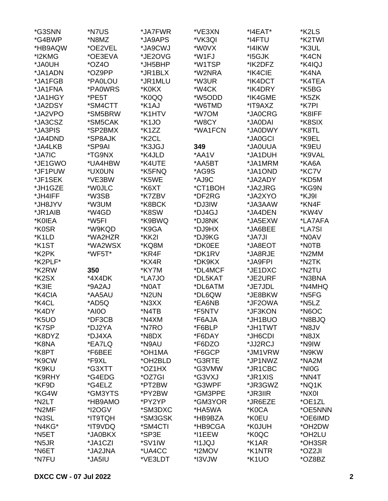| *G3SNN  | *N7US   | *JA7FWR            | *VE3XN  | *I4EAT* | *K2LS   |
|---------|---------|--------------------|---------|---------|---------|
| *G4BWP  | *N8MZ   | *JA9APS            | *VK3QI  | *I4FTU  | *K2TWI  |
| *HB9AQW | *OE2VEL | *JA9CWJ            | *W0VX   | *I4IKW  | *K3UL   |
| *I2KMG  | *OE3EVA | *JE2OVG            | *W1FJ   | *I5GJK  | *K4CN   |
| *JA0UH  | $*OZ4O$ | *JH5BHP            | *W1TSP  | *IK2DFZ | *K4IQJ  |
| *JA1ADN | *OZ9PP  | *JR1BLX            | *W2NRA  | *IK4CIE | *K4NA   |
| *JA1FGB | *PA0LOU | *JR1MLU            | *W3UR   | *IK4DCT | *K4TEA  |
| *JA1FNA | *PA0WRS | *K0KX              | *W4CK   | *IK4DRY | *K5BG   |
| *JA1HGY | *PE5T   | *K0QQ              | *W5ODD  | *IK4GME | *K5ZK   |
|         |         |                    | *W6TMD  |         |         |
| *JA2DSY | *SM4CTT | *K1AJ              |         | *IT9AXZ | *K7PI   |
| *JA2VPO | *SM5BRW | *K1HTV             | *W7OM   | *JA0CRG | *K8IFF  |
| *JA3CSZ | *SM5CAK | *K1JO              | *W8CY   | *JA0DAI | *K8SIX  |
| *JA3PIS | *SP2BMX | *K1ZZ              | *WA1FCN | *JA0DWY | *K8TL   |
| *JA4DND | *SP8AJK | *K <sub>2</sub> CL |         | *JA0GCI | *K9EL   |
| *JA4LKB | *SP9AI  | *K3JGJ             | 349     | *JA0UUA | *K9EU   |
| *JA7IC  | *TG9NX  | *K4JLD             | *AA1V   | *JA1DUH | *K9VAL  |
| *JE1GWO | *UA4HBW | *K4UTE             | *AA5BT  | *JA1MRM | *KA6A   |
| *JF1PUW | *UX0UN  | *K5FNQ             | *AG9S   | *JA1OND | *KC7V   |
| *JF1SEK | *VE3BW  | *K5WE              | *AJ9C   | *JA2ADY | *KD5M   |
| *JH1GZE | *W0JLC  | *K6XT              | *CT1BOH | *JA2JRG | *KG9N   |
| *JH4IFF | *W3SB   | *K7ZBV             | *DF2RG  | *JA2XYO | *KJ9I   |
| *JH8JYV | *W3UM   | *K8BCK             | *DJ3IW  | *JA3AAW | *KN4F   |
| *JR1AIB | *W4GD   | *K8SW              | *DJ4GJ  | *JA4DEN | *KW4V   |
| *K0IEA  | *W5FI   | *K9BWQ             | *DJ8NK  | *JA5EXW | *LA7AFA |
| *K0SR   | *W9KQD  | *K9GA              | *DJ9HX  | *JA6BEE | *LA7SI  |
| *K1LD   | *WA2HZR | *KK2I              | *DJ9KG  | *JA7JI  | *N0AV   |
| *K1ST   | *WA2WSX | *KQ8M              | *DK0EE  | *JA8EOT | *N0TB   |
| *K2PK   | *WF5T*  | *KR4F              | *DK1RV  | *JA8RJE | *N2MM   |
| *K2PLF* |         | *KX4R              | *DK9KX  | *JA9FPI | *N2TK   |
| *K2RW   | 350     | *KY7M              | *DL4MCF | *JE1DXC | *N2TU   |
| *K2SX   | *4X4DK  | *LA7JO             | *DL5KAT | *JE2URF | *N3BNA  |
| *K3IE   | *9A2AJ  | *N0AT              | *DL6ATM | *JE7JDL | *N4MHQ  |
| *K4CIA  | *AA5AU  | *N2UN              | *DL6QW  | *JE8BKW | *N5FG   |
| *K4CL   | *AD5Q   | *N3XX              | *EA6NB  | *JF2OWA | *N5LZ   |
|         |         |                    |         |         |         |
| *K4DY   | *AI0O   | *N4TB              | *F5NTV  | *JF3KON | *N6OC   |
| *K5UO   | *DF3CB  | *N4XM              | *F6AJA  | *JH1BUO | *N8BJQ  |
| *K7SP   | *DJ2YA  | *N7RO              | *F6BLP  | *JH1TWT | *N8JV   |
| *K8DYZ  | *DJ4XA  | *N8DX              | *F6DAY  | *JH6CDI | *N8JX   |
| *K8NA   | *EA7LQ  | *N9AU              | *F6DZO  | *JJ2RCJ | *N9IW   |
| *K8PT   | *F6BEE  | *OH1MA             | *F6GCP  | *JM1VRW | *N9KW   |
| *K9CW   | *F9XL   | *OH2BLD            | *G3RTE  | *JP1NWZ | *NA2M   |
| *K9KU   | *G3XTT  | *OZ1HX             | *G3VMW  | *JR1CBC | *NI0G   |
| *K9RHY  | *G4EDG  | *OZ7GI             | *G3VXJ  | *JR1XIS | *NN4T   |
| *KF9D   | *G4ELZ  | *PT2BW             | *G3WPF  | *JR3GWZ | *NQ1K   |
| *KG4W   | *GM3YTS | *PY2BW             | *GM3PPE | *JR3IIR | *NX0I   |
| *N2LT   | *HB9AMO | *PY2YP             | *GM3YOR | *JR6EZE | *OE1ZL  |
| *N2MF   | *I2OGV  | *SM3DXC            | *HA5WA  | *K0CA   | *OE5NNN |
| *N3SL   | *IT9TQH | *SM3GSK            | *HB9BZA | *K0EU   | *OE6IMD |
| *N4KG*  | *IT9VDQ | *SM4CTI            | *HB9CGA | *K0JUH  | *OH2DW  |
| *N5ET   | *JA0BKX | *SP3E              | *I1EEW  | *K0QC   | *OH2LU  |
| *N5JR   | *JA1CZI | *SV1IW             | *I1JQJ  | *K1AR   | *OH3SR  |
| *N6ET   | *JA2JNA | *UA4CC             | *I2MOV  | *K1NTR  | *OZ2JI  |
| *N7FU   | *JA5IU  | *VE3LDT            | *I3VJW  | *K1UO   | *OZ8BZ  |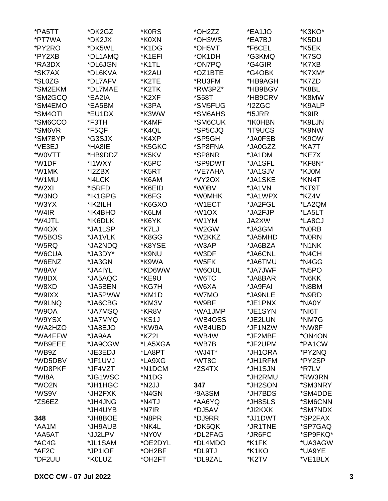| *PA5TT          | *DK2GZ  | *K0RS   | *OH2ZZ             | *EA1JO  | *K3KO*             |
|-----------------|---------|---------|--------------------|---------|--------------------|
| *PT7WA          | *DK2JX  | *K0XN   | *OH3WS             | *EA7BJ  | *K5DU              |
| *PY2RO          | *DK5WL  | *K1DG   | *OH5VT             | *F6CEL  | *K5EK              |
| *PY2XB          | *DL1AMQ | *K1EFI  | *OK1DH             | *G3KMQ  | *K7SO              |
| *RA3DX          | *DL6JGN | *K1TL   | *ON7PQ             | *G4GIR  | *K7XB              |
| *SK7AX          | *DL6KVA | *K2AU   | *OZ1BTE            | *G4OBK  | *K7XM*             |
| *SL0ZG          | *DL7AFV | *K2TE   | *RU3FM             | *HB9AGH | *K7ZD              |
| *SM2EKM         | *DL7MAE | *K2TK   | *RW3PZ*            | *HB9BGV | *K8BL              |
| *SM2GCQ         | *EA2IA  | *K2XF   | *S58T              | *HB9CRV | *K8MW              |
| *SM4EMO         | *EA5BM  | *K3PA   | *SM5FUG            | *I2ZGC  | *K9ALP             |
| *SM4OTI         | *EU1DX  | *K3WW   | *SM6AHS            | *I5JRR  | *K9IR              |
| *SM6CCO         | *F3TH   | *K4MF   | *SM6CUK            | *IK0HBN | *K9LJN             |
| *SM6VR          | *F5QF   | *K4QL   | *SP5CJQ            | *IT9UCS | *K9NW              |
| *SM7BYP         | *G3SJX  | *K4XP   | *SP5GH             | *JA0FSB | *K9OW              |
| *VE3EJ          | *HA8IE  | *K5GKC  | *SP8FNA            | *JA0GZZ | *KA7T              |
| *W0VTT          | *HB9DDZ | *K5KV   | *SP8NR             | *JA1DM  | *KE7X              |
| *W1DF           | *I1WXY  | *K5PC   | *SP9DWT            | *JA1SFL | *KF8N*             |
| *W1MK           | *I2ZBX  | *K5RT   | *VE7AHA            | *JA1SJV | *KJ0M              |
| *W1MU           | *I4LCK  | *K6AM   | *VY2OX             | *JA1SKE | *KN4T              |
| *W2XI           | *I5RFD  | *K6EID  | *W0BV              | *JA1VN  | *KT9T              |
| *W3NO           | *IK1GPG | *K6FG   | *W0MHK             | *JA1WPX | *KZ4V              |
| *W3YX           | *IK2ILH | *K6GXO  | *W1ECT             | *JA2FGL | *LA2QM             |
| *W4IR           | *IK4BHO | *K6LM   | *W1OX              | *JA2FJP | *LA5LT             |
| *W4JTL          | *IK6DLK | *K6YK   | *W1YM              | JA2XW   | *LA8CJ             |
| *W4OX           | *JA1LSP | *K7LJ   | *W2GW              | *JA3GM  | *N0RB              |
| *W5BOS          | *JA1VLK | *K8GG   | *W2KKZ             | *JA5MHD | *N0RN              |
| *W5RQ           | *JA2NDQ | *K8YSE  | *W3AP              | *JA6BZA | *N1NK              |
| *W6CUA          | *JA3DY* | *K9NU   | *W3DF              | *JA6CNL | *N4CH              |
| *W6ENZ          | *JA3GN  | *K9WA   | *W5FK              | *JA6TMU | *N4GG              |
| *W8AV           | *JA4IYL | *KD6WW  | *W6OUL             | *JA7JWF | *N <sub>5</sub> PO |
| *W8DX           | *JA5AQC | *KE9U   | *W6TC              | *JA8BAR | *N6KK              |
| *W8XD           | *JA5BEN | *KG7H   | *W6XA              | *JA9FAI | *N8BM              |
| *W9IXX          | *JA5PWW | *KM1D   | *W7MO              | *JA9NLE | *N9RD              |
| *W9LNQ          |         | *KM3V   | *W9BF              | *JE1PNX | *NA0Y              |
|                 | *JA6CBG |         |                    |         |                    |
| *W9OA<br>*W9YSX | *JA7MSQ | *KR8V   | *WA1JMP            | *JE1SYN | *NI6T<br>*NM7G     |
|                 | *JA7MYQ | *KS1J   | *WB4OSS<br>*WB4UBD | *JE2LUN |                    |
| *WA2HZO         | *JA8EJO | *KW9A   |                    | *JF1NZW | *NW8F              |
| *WA4FFW         | *JA9AA  | *KZ2I   | *WB4W              | *JF2MBF | *ON4ON             |
| *WB9EEE         | *JA9CGW | *LA5XGA | *WB7B              | *JF2UPM | *PA1CW             |
| *WB9Z           | *JE3EDJ | *LA8PT  | *WJ4T*             | *JH1ORA | *PY2NQ             |
| *WD5DBV         | *JF1UVJ | *LA9XG  | *WT8C              | *JH1RFM | *PY2SP             |
| *WD8PKF         | *JF4VZT | *N1DCM  | *ZS4TX             | *JH1SJN | *R7LV              |
| *WI8A           | *JG1WSC | *N1DG   |                    | *JH2RMU | *RW3RN             |
| *WO2N           | *JH1HGC | *N2JJ   | 347                | *JH2SON | *SM3NRY            |
| *WS9V           | *JH2FXK | *N4GN   | *9A3SM             | *JH7BDS | *SM4DDE            |
| *ZS6EZ          | *JH4JNG | *N4TJ   | *AA6YQ             | *JH8SLS | *SM6CNN            |
|                 | *JH4UYB | *N7IR   | *DJ5AV             | *JI2KXK | *SM7NDX            |
| 348             | *JH8BOE | *N8PR   | *DJ9RR             | *JJ1DWT | *SP2FAX            |
| *AA1M           | *JH9AUB | *NK4L   | *DK5QK             | *JR1TNE | *SP7GAQ            |
| *AA5AT          | *JJ2LPV | *NY0V   | *DL2FAG            | *JR6FC  | *SP9FKQ*           |
| *AC4G           | *JL1SAM | *OE2DYL | *DL4MDO            | *K1FK   | *UA3AGW            |
| *AF2C           | *JP1IOF | *OH2BF  | *DL9TJ             | *K1KO   | *UA9YE             |
| *DF2UU          | *K0LUZ  | *OH2FT  | *DL9ZAL            | *K2TV   | *VE1BLX            |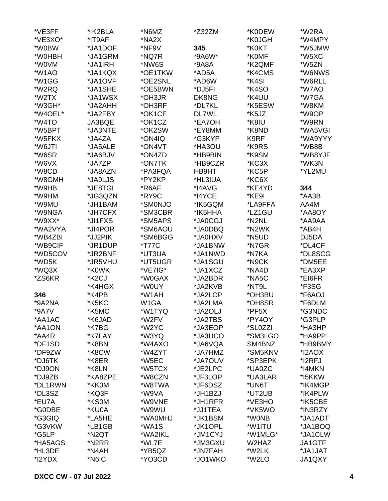| *VE3FF  | *IK2BLA            | *N6MZ         | *Z32ZM  | *K0DEW  | *W2RA         |
|---------|--------------------|---------------|---------|---------|---------------|
| *VE3XO* | *IT9AF             | *NA2X         |         | *K0JGH  | *W4MPY        |
| *W0BW   | *JA1DOF            | *NF9V         | 345     | *K0KT   | *W5JMW        |
| *W0HBH  | *JA1GRM            | *NQ7R         | *9A6W*  | *K0MF   | *W5XC         |
| *W0VM   | *JA1IRH            | *NW6S         | *9A8A   | *K2QMF  | *W5ZN         |
| *W1AO   | *JA1KQX            | *OE1TKW       | *AD5A   | *K4CMS  | *W6NWS        |
| *W1GG   | *JA1OVF            | *OE2SNL       | *AD6W   | *K4SI   | *W6RLL        |
| *W2RQ   | *JA1SHE            | *OE5BWN       | *DJ5FI  | *K4SO   | *W7AO         |
| *W2TX   | *JA1WSX            | *OH3JR        | DK8NG   | *K4UU   | *W7GA         |
| *W3GH*  | *JA2AHH            | *OH3RF        | *DL7KL  | *K5ESW  | *W8KM         |
| *W4OEL* |                    |               |         |         |               |
|         | *JA2FBY            | *OK1CF        | DL7WL   | *K5JZ   | *W9OP         |
| *W4TO   | JA3BQE             | *OK1CZ        | *EA7OH  | *K8IU   | *W9RN         |
| *W5BPT  | *JA3NTE            | *OK2SW        | *EY8MM  | *K8ND   | *WA5VGI       |
| *W5FKX  | *JA4ZA             | *ON4IQ        | *G3KYF  | K9RF    | *WA9YYY       |
| *W6JTI  | *JA5ALE            | *ON4VT        | *HA3OU  | *K9RS   | *WB8B         |
| *W6SR   | *JA6BJV            | *ON4ZD        | *HB9BIN | *K9SM   | *WB8YJF       |
| *W6VX   | *JA7ZP             | *ON7TK        | *HB9CZR | *KC3X   | *WK3N         |
| *W8CD   | *JA8AZN            | *PA3FQA       | HB9HT   | *KC5P   | *YL2MU        |
| *W8GMH  | *JA9LJS            | *PY2KP        | *HL3IUA | *KC6X   |               |
| *W9HB   | *JE8TGI            | *R6AF         | *I4AVG  | *KE4YD  | 344           |
| *W9HM   | *JG3QZN            | *RY9C         | *I4YCE  | *KE9I   | *AA3B         |
| *W9MU   | *JH1BAM            | *SM0NJO       | *IK5GQM | *LA9FFA | AA4M          |
| *W9NGA  | *JH7CFX            | *SM3CBR       | *IK5HHA | *LZ1GU  | *AA8OY        |
| *W9XX*  | *JI1FXS            | *SM5APS       | *JA0CGJ | *N2NL   | *AA9AA        |
| *WA2VYA | *JI4POR            | *SM6AOU       | *JA0DBQ | *N2WK   | *AB4H         |
| *WB4ZBI | *JJ2PIK            | *SM6BGG       | *JA0HXV | *N5UD   | DJ5DA         |
| *WB9CIF | *JR1DUP            | <i>*</i> T77C | *JA1BNW | *N7GR   | *DL4CF        |
| *WD5COV | *JR2BNF            | *UT3UA        | *JA1NWD | *N7KA   | *DL8SCG       |
| *WD5K   | *JR5VHU            | *UT5UGR       | *JA1SGU | *N9CK   | *DM5EE        |
| *WQ3X   | *K0WK              | *VE7IG*       | *JA1XCZ | *NA4D   | *EA3XP        |
| *ZS6KR  | *K <sub>2</sub> CJ | *W0GAX        | *JA2BDR | *NA5C   | *EI6FR        |
|         | *K4HGX             | *W0UY         | *JA2KVB | *NT9L   | *F3SG         |
| 346     | *K4PB              | *W1AH         | *JA2LCP | *OH3BU  | *F6AOJ        |
|         | *K5KC              |               |         |         |               |
| *9A2NA  |                    | W1GA          | *JA2LMA | *OH8SR  | *F6DLM        |
| *9A7V   | *K5MC              | *W1TYQ        | *JA2OLJ | *PF5X   | *G3NDC        |
| *AA1AC  | *K6JAD             | *W2FV         | *JA2TBS | *PY4OY  | *G3PLP        |
| *AA1ON  | *K7BG              | *W2YC         | *JA3EOP | *SL0ZZI | *HA3HP        |
| *AA4R   | *K7LAY             | *W3YQ         | *JA3UCO | *SM3LGO | *HA9PP        |
| *DF1SD  | *K8BN              | *W4AXO        | *JA6VQA | SM4BNZ  | *HB9BMY       |
| *DF9ZW  | *K8CW              | *W4ZYT        | *JA7HMZ | *SM5KNV | *I2AOX        |
| *DJ6TK  | *K8ER              | *W5EC         | *JA7OUV | *SP3EPK | *I2RFJ        |
| *DJ9ON  | *K8LN              | *W5TCX        | *JE2LPC | *UA0ZC  | *I4MKN        |
| *DJ9ZB  | *KA8ZPE            | *W8CZN        | *JF3LOP | *UA3LAR | *I5KKW        |
| *DL1RWN | *KK0M              | *W8TWA        | *JF6DSZ | *UN6T   | *IK4MGP       |
| *DL3SZ  | *KQ3F              | *W9VA         | *JH1BZJ | *UT2UB  | *IK4PLW       |
| *EU7A   | *KS0M              | *W9VNE        | *JH1RFR | *VE3HO  | *IK5CBE       |
| *G0DBE  | *KU0A              | *W9WU         | *JJ1TEA | *VK5WO  | *IN3RZY       |
| *G3GIQ  | *LA5HE             | *WA0MHJ       | *JK1BSM | *W0NB   | *JA1ADT       |
| *G3VKW  | *LB1GB             | *WA1S         | *JK1OPL | *W1ITU  | *JA1BOQ       |
| *G5LP   | *N2QT              | *WA2IKL       | *JM1CYJ | *W1MLG* | *JA1CLW       |
| *HA5AGS | *N2RR              | *WL7E         | *JM3GXU | W2HAZ   | <b>JA1GTF</b> |
| *HL3DE  | *N4AH              | *YB5QZ        | *JN7FAH | *W2LK   | *JA1JAT       |
| *I2YDX  | *N6IC              | *YO3CD        | *JO1WKO | *W2LO   | JA1QXY        |
|         |                    |               |         |         |               |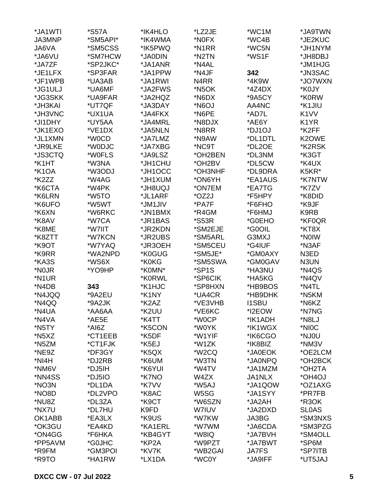| *JA1WTI            | <i><b>*S57A</b></i> | *IK4HLO | *LZ2JE              | *WC1M         | *JA9TWN           |
|--------------------|---------------------|---------|---------------------|---------------|-------------------|
| JA3MNP             | *SM5API*            | *IK4WMA | *N0FX               | *WC4B         | *JE2KUC           |
| JA6VA              | *SM5CSS             | *IK5PWQ | *N1RR               | *WC5N         | *JH1NYM           |
| *JA6VU             | *SM7HCW             | *JA0DIN | *N2TN               | *WS1F         | *JH8DBJ           |
| *JA7ZF             | *SP2JKC*            | *JA1ANR | *N4AL               |               | *JM1HJG           |
| *JE1LFX            | *SP3FAR             | *JA1PPW | *N4JF               | 342           | *JN3SAC           |
| *JF1WPB            | *UA3AB              | *JA1RWI | N4RR                | *4K9W         | *JO7WXN           |
| *JG1ULJ            | *UA6MF              | *JA2FWS | *N <sub>5</sub> OK  | $*4Z4DX$      | *K0JY             |
| *JG3SKK            | *UA9FAR             | *JA2HQZ | *N6DX               | *9A5CY        | *K0RW             |
| *JH3KAI            | *UT7QF              | *JA3DAY | LOGN*               | AA4NC         | *K1JIU            |
| *JH3VNC            | *UX1UA              | *JA4FKX | *N6PE               | *AD7L         | K <sub>1</sub> VV |
| *JI1DHY            | *UY5AA              | *JA4MRL | *N8DJX              | *AE6Y         | K1YR              |
| *JK1EXO            | *VE1DX              | *JA5NLN | *N8RR               | *DJ1OJ        | *K2FF             |
|                    | *W0CD               |         |                     |               |                   |
| *JL1XMN            |                     | *JA7LMZ | *N9AW               | *DL1DTL       | K2OWE             |
| *JR9LKE            | *W0DJC              | *JA7XBG | *NC9T               | *DL2OE        | *K2RSK            |
| *JS3CTQ            | *W0FLS              | *JA9LSZ | *OH2BEN             | *DL3NM        | *K3GT             |
| *K1HT              | *W3NA               | *JH1CHU | *OH2BV              | *DL5CW        | *K4UX             |
| *K1OA              | *W3ODJ              | *JH1OCC | *OH3NHF             | *DL9DRA       | K5KR*             |
| *K2ZZ              | *W4AG               | *JH1XUM | *ON6YH              | *EA1AUS       | *K7NTW            |
| *K6CTA             | *W4PK               | *JH8UQJ | *ON7EM              | *EA7TG        | *K7ZV             |
| *K6LRN             | *W5TO               | *JL1ARF | *OZ2J               | *F5HPY        | *K8DID            |
| *K6UFO             | *W5WT               | *JM1JIV | *PA7F               | *F6FHO        | *K9JF             |
| *K6XN              | *W6RKC              | *JN1BMX | *R4GM               | *F6HMJ        | K9RB              |
| *K8AV              | *W7CA               | *JR1BAS | <i><b>*S53R</b></i> | *G0EHO        | *KF0QR            |
| *K8ME              | *W7IIT              | *JR2KDN | *SM2EJE             | *G0OIL        | *KT8X             |
| *K8ZTT             | *W7KCN              | *JR2UBS | *SM5ARL             | G3MXJ         | *NOIW             |
| *K9OT              | *W7YAQ              | *JR3OEH | *SM5CEU             | *G4IUF        | *N3AF             |
| *K9RR              | *WA2NPD             | *K0GUG  | *SM5JE*             | *GM0AXY       | N3ED              |
| *KA3S              | *WS6X               | *K0KG   | *SM5SWA             | *GM0GAV       | N3UN              |
| *N0JR              | *YO9HP              | *K0MN*  | *SP1S               | *HA3NU        | *N4QS             |
| *N1UR              |                     | *K0RWL  | *SP6CIK             | *HA5KG        | *N4QV             |
| *N4DB              | 343                 | *K1HJC  | *SP8HXN             | *HB9BOS       | *N4TL             |
| *N4JQQ             | *9A2EU              | *K1NY   | *UA4CR              | *HB9DHK       | *N5KM             |
| *N4QQ              | *9A2JK              | *K2AZ   | *VE3VHB             | <b>I1SBU</b>  | *N6KZ             |
| *N4UA              | *AA6AA              | *K2UU   | *VE6KC              | *I2EOW        | *N7NG             |
| *N4VA              | *AE5E               | *K4TT   | *W0CP               | *IK1ADH       | *N8LJ             |
| *N5TY              | *AI6Z               | *K5CON  | *W0YK               | *IK1WGX       | *NIOC             |
| *N <sub>5</sub> XZ | *CT1EEB             | *K5DF   | *W1YIF              | *IK6CGO       | *NJ0U             |
| *N5ZM              | *CT1FJK             | *K5EJ   | *W1ZK               | *IK8BIZ       | *NM3V             |
| *NE9Z              | *DF3GY              | *K5QX   | *W <sub>2</sub> CQ  | *JA0EOK       | *OE2LCM           |
| *NI4H              | *DJ2RB              | *K6UM   | *W3TN               | *JA0NPQ       | *OH2BCK           |
| *NM6V              | *DJ5IH              | *K6YUI  | *W4TV               | *JA1MZM       | *OH2TA            |
| *NN4SS             | *DJ5IO              | *K7NO   | W4ZX                | <b>JA1NLX</b> | *OH4OJ            |
| *NO3N              | *DL1DA              | *K7VV   | *W5AJ               | *JA1QOW       | *OZ1AXG           |
| *NO8D              | *DL2VPO             | *K8AC   | W5SG                | *JA1SYY       | *PR7FB            |
| *NU8Z              | *DL3ZA              | *K9CT   | *W6SZN              | *JA2AH        | *R3OK             |
| *NX7U              | *DL7HU              | K9FD    | W7IUV               | *JA2DXD       | <b>SLOAS</b>      |
|                    |                     |         |                     |               | *SM3NXS           |
| OK1ABB             | *EA3LX              | *K9US   | *W7KW               | JA3BG         |                   |
| *OK3GU             | *EA4KD              | *KA1ERL | *W7WM               | *JA6CDA       | *SM3PZG           |
| *ON4GG             | *F6HKA              | *KB4GYT | *W8IQ               | *JA7BVH       | *SM4OLL           |
| *PP5AVM            | *G0JHC              | *KP2A   | *W9PZT              | *JA7BWT       | *SP6M             |
| *R9FM              | *GM3POI             | *KV7K   | *WB2GAI             | <b>JA7FS</b>  | *SP7ITB           |
| *R9TO              | *HA1RW              | *LX1DA  | *WC0Y               | *JA9IFF       | *UT5JAJ           |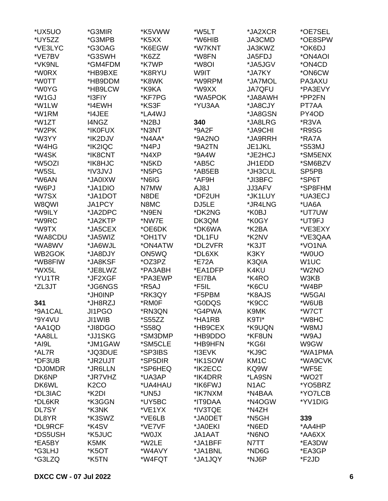| *UX5UO  | *G3MIR            | *K5VWW  | *W5LT   | *JA2XCR           | *OE7SEL           |
|---------|-------------------|---------|---------|-------------------|-------------------|
| *UY5ZZ  | *G3MPB            | *K5XX   | *W6HIB  | JA3CMD            | *OE8SPW           |
| *VE3LYC | *G3OAG            | *K6EGW  | *W7KNT  | JA3KWZ            | *OK6DJ            |
| *VE7BV  | *G3SWH            | *K6ZZ   | *W8FN   | JA5FDJ            | *ON4AOI           |
| *VK9NL  | *GM4FDM           | *K7WP   | *W8OI   | *JA5JGV           | *ON4CD            |
| *W0RX   | *HB9BXE           | *K8RYU  | W9IT    | *JA7KY            | *ON6CW            |
| *W0TT   | *HB9DDM           | *K8WK   | *W9RPM  | *JA7MOL           | PA3AXU            |
| *W0YG   | *HB9LCW           | *K9KA   | *W9XX   | <b>JA7QFU</b>     | *PA3EVY           |
| *W1GJ   | *I3FIY            | *KF7PG  | *WA5POK | *JA8AWH           | *PP2FN            |
| *W1LW   | *I4EWH            | *KS3F   | *YU3AA  | *JA8CJY           | PT7AA             |
| *W1RM   | *I4JEE            | *LA4WJ  |         | *JA8GSN           | PY4OD             |
| *W1ZT   | I4NGZ             | *N2BJ   | 340     | *JA8LRG           | *R3VA             |
| *W2PK   | *IK0FUX           | *N3NT   | *9A2F   | *JA9CHI           | *R9SG             |
| *W3YY   | *IK2DJV           | *N4AA*  | *9A2NO  | *JA9RRH           | *RA7A             |
| *W4HG   | *IK2IQC           | *N4PJ   | *9A2TN  | JE1JKL            | *S53MJ            |
| *W4SK   | *IK8CNT           | *N4XP   | *9A4W   | *JE2HCJ           | *SM5ENX           |
| *W5OZI  | *IK8HJC           | *N5KD   | *AB5C   | JH1EDD            | *SM6BZV           |
| *W5SL   | *IV3JVJ           | *N5PG   | *AB5EB  | *JH3CUL           | SP5PB             |
| *W6AN   | *JA0IXW           | *N6IG   | *AF9H   | *JI3BFC           | *SP6T             |
| *W6PJ   | *JA1DIO           | N7MW    | AJ8J    | JJ3AFV            | *SP8FHM           |
| *W7SX   | *JA1DOT           | N8DE    | *DF2UH  | *JK1LUY           | *UA3ECJ           |
| W8QWI   | JA1PCY            | N8MC    | DJ5LE   | *JR4LNG           | *UA6A             |
| *W9ILY  | *JA2DPC           | *N9EN   | *DK2NG  | *K0BJ             | *UT7UW            |
| *W9RC   | *JA2KTP           | *NW7E   | DK3QM   | *K0GY             | *UT9FJ            |
| *W9TX   | *JA5CEX           | *OE6DK  | *DK6WA  | *K2BA             | *VE3EXY           |
| *WA8CDU | *JA5WIZ           | *OH1TV  | *DL1FU  | *K2NV             | *VE3QAA           |
| *WA8WV  | *JA6WJL           | *ON4ATW | *DL2VFR | *K3JT             | *VO1NA            |
| WB2GOK  | *JA8DJY           | ON5WQ   | *DL6XK  | K3KY              | *W0UO             |
| *WB8FIW |                   |         | *E72A   |                   |                   |
| *WX5L   | *JA8KSF           | *OZ3PZ  |         | K3QIA             | W <sub>1</sub> UC |
|         | *JE8LWZ           | *PA3ABH | *EA1DFP | K4KU              | *W2NO             |
| *YU1TR  | *JF2XGF           | *PA3EWP | *EI7BA  | *K4RO             | W3KB              |
| *ZL3JT  | *JG6NGS           | *R5AJ   | *F5IL   | *K6CU             | *W4BP             |
|         | *JH0INP           | *RK3QY  | *F5PBM  | *K8AJS            | *W5GAI            |
| 341     | *JH8RZJ           | *RM0F   | *G0DQS  | *K9CC             | *W6UB             |
| *9A1CAL | JI1PGO            | *RN3QN  | *G4PWA  | K9MK              | *W7CT             |
| *9Y4VU  | JI1WIB            | *S55ZZ  | *HA1RB  | K9TI*             | *W8HC             |
| *AA1QD  | *JI8DGO           | *S58Q   | *HB9CEX | *K9UQN            | *W8MJ             |
| *AA8LL  | *JJ1SKG           | *SM3DMP | *HB9DDO | *KF8UN            | *W9AJ             |
| *AI9L   | *JM1GAW           | *SM5CLE | *HB9HFN | *KG6I             | W9GW              |
| *AL7R   | *JQ3DUE           | *SP3IBS | *I3EVK  | *KJ9C             | *WA1PMA           |
| *DF3UB  | *JR2UJT           | *SP5DIR | *IK1SOW | KM <sub>1</sub> C | *WA9CVK           |
| *DJ0MDR | *JR6LLN           | *SP6HEQ | *IK2ECC | KQ9W              | *WF5E             |
| DK6NP   | *JR7VHZ           | *UA3AP  | *IK4DRR | *LA9SN            | *WO2T             |
| DK6WL   | K <sub>2</sub> CO | *UA4HAU | *IK6FWJ | N <sub>1</sub> AC | *YO5BRZ           |
| *DL3IAC | *K2DI             | *UN5J   | *IK7NXM | *N4BAA            | *YO7LCB           |
| *DL6KR  | *K3GGN            | *UY5BC  | *IT9DAA | *N4OGW            | *YV1DIG           |
| DL7SY   | *K3NK             | *VE1YX  | *IV3TQE | *N4ZH             |                   |
| DL8YR   | *K3SWZ            | *VE6LB  | *JA0DET | *N5GH             | 339               |
| *DL9RCF | *K4SV             | *VE7VF  | *JA0EKI | *N6ED             | *AA4HP            |
| *DS5USH | *K5JUC            | *W0JX   | JA1AAT  | *N6NO             | *AA6XX            |
| *EA5BY  | K5MK              | *W2LE   | *JA1BFF | N7TT              | *EA3DW            |
| *G3LHJ  | *K5OT             | *W4AVY  | *JA1BNL | *ND6G             | *EA3GP            |
| *G3LZQ  | *K5TN             | *W4FQT  | *JA1JQY | *NJ6P             | *F2JD             |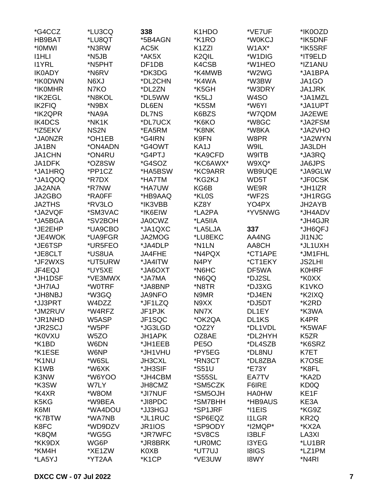| *G4CCZ                        | *LU3CQ            | 338           | K1HDO                | *VE7UF            | *IK0OZD           |
|-------------------------------|-------------------|---------------|----------------------|-------------------|-------------------|
| HB9BAT                        | *LU8QT            | *5B4AGN       | *K1RO                | *W0KCJ            | *IK5DNF           |
| *I0MWI                        | *N3RW             | AC5K          | K <sub>1</sub> ZZI   | W1AX*             | *IK5SRF           |
| <b>I1HLI</b>                  | *N5JB             | *AK5X         | K <sub>2</sub> QIL   | *W1DIG            | *IT9ELD           |
| <b>I1YRL</b>                  | *N5PHT            | DF1DB         | K4CSB                | *W1HEO            | *IZ1ANU           |
| <b>IK0ADY</b>                 | *N6RV             | *DK3DG        | *K4MWB               | *W2WG             | *JA1BPA           |
| *IK0DWN                       | N6XJ              | *DL2CHN       | *K4WA                | *W3BW             | JA1GO             |
| *IK0MHR                       | N7KO              | *DL2ZN        | *K5GH                | *W3DRY            | <b>JA1JRK</b>     |
| *IK2EGL                       | *N8KOL            | *DL5WW        | *K5LJ                | W <sub>4</sub> SO | *JA1MZL           |
| <b>IK2FIQ</b>                 | *N9BX             | DL6EN         | *K5SM                | *W6YI             | *JA1UPT           |
| *IK2QPR                       | *NA9A             | <b>DL7NS</b>  | K6BZS                | *W7QDM            | JA2EWE            |
| IK4DCS                        | *NK1K             | *DL7UCX       | *K6KO                | *W8GC             | *JA2FSM           |
| *IZ5EKV                       | NS <sub>2N</sub>  | *EA5RM        | *K8NK                | *W8KA             | *JA2VHO           |
|                               |                   |               |                      |                   |                   |
| *JA0NZR                       | *OH1EB            | *G4IRN        | K9FN                 | W8PR              | *JA2WYN           |
| JA1BN                         | *ON4ADN           | *G4OWT        | KA1J                 | W9IL              | JA3LDH            |
| JA1CHN                        | *ON4RU            | *G4PTJ        | *KA9CFD              | W9ITB             | *JA3RQ            |
| JA1DFK                        | *OZ8SW            | *G4SOZ        | *KC6AWX*             | W9XQ*             | JA6JPS            |
| *JA1HRQ                       | *PP1CZ            | *HA5BSW       | *KC9ARR              | WB9UQE            | *JA9GLW           |
| *JA1QOQ                       | *R7DX             | *HA7TM        | *KG2KJ               | WD5T              | *JF0CSK           |
| <b>JA2ANA</b>                 | *R7NW             | *HA7UW        | KG6B                 | WE9R              | *JH1IZR           |
| JA2GBO                        | *RA0FF            | *HB9AAQ       | *KL0S                | *WF2S             | *JH1RGG           |
| <b>JA2THS</b>                 | *RV3LO            | *IK3VBB       | KZ8Y                 | YO4PX             | JH2AYB            |
| *JA2VQF                       | *SM3VAC           | *IK6EIW       | *LA2PA               | *YV5NWG           | *JH4ADV           |
| *JA5BGA                       | *SV2BOH           | <b>JA0CWZ</b> | *LA5IIA              |                   | *JH4GJR           |
| *JE2EHP                       | *UA9CBO           | *JA1QXC       | *LA5LJA              | 337               | *JH6QFJ           |
| *JE4WOK                       | *UA9FGR           | JA2MOG        | *LU8EKC              | AA4NG             | <b>JI1NJC</b>     |
| *JE6TSP                       | *UR5FEO           | *JA4DLP       | *N1LN                | AA8CH             | *JL1UXH           |
| *JE8CLT                       | *US8UA            | JA4FHE        | *N4PQX               | *CT1APE           | *JM1FHL           |
| *JF2WXS                       | *UT5URW           | *JA4ITW       | N <sub>4</sub> PY    | *CT1EKY           | <b>JS2LHI</b>     |
| JF4EQJ                        | *UY5XE            | *JA6OXT       | *N6HC                | DF5WA             | <b>K0HRF</b>      |
| *JH1DSF                       | *VE3MWX           | *JA7MA        | *N6QQ                | *DJ2SL            | *K0XX             |
| *JH7IAJ                       | *W0TRF            | *JA8BNP       | *N8TR                | *DJ3XG            | K1VKO             |
| *JH8NBJ                       | *W3GQ             | <b>JA9NFO</b> | N9MR                 | *DJ4EN            | *K2IXQ            |
| *JJ3PRT                       | W4DZZ             | *JF1LZQ       | N9XX                 | *DJ5DT            | *K2RD             |
| *JM2RUV                       | *W4RFZ            | JF1PJK        | NN7X                 | DL1EY             | *K3WA             |
| *JR1NHD                       | W5ASP             | JF1SQC        | *OK2QA               | DL1KS             | K4PR              |
| *JR2SCJ                       | *W5PF             | *JG3LGD       | *OZ2Y                | *DL1VDL           | *K5WAF            |
| *K0VXU                        | W <sub>5</sub> ZO | JH1APK        | OZ8AE                | *DL2HYH           | K <sub>5</sub> ZR |
| *K1BD                         | W6DN              | *JH1EEB       | PE <sub>5</sub> O    | *DL4SZB           | *K6SRZ            |
| *K1ESE                        | W6NP              | *JH1VHU       | *PY5EG               | *DL8NU            | K7ET              |
| *K1NU                         | *W6SL             | JH3CXL        | *RN3CT               | *DL8ZBA           | K7OSE             |
| K1WB                          | *W6XK             | *JH3SIF       | <i><b>*S51U</b></i>  | *E73Y             | *K8FL             |
| K3NW                          | *W6YOO            | *JH4CBM       | <i><b>*S55SL</b></i> | EA7TV             | *KA2D             |
| *K3SW                         | W7LY              | JH8CMZ        | *SM5CZK              | F6IRE             | KD0Q              |
| *K4XR                         | *W8OM             | *JI7NUF       | *SM5OJH              | <b>HA0HW</b>      | KE1F              |
| K <sub>5</sub> K <sub>G</sub> | *W9BEA            | *JI8PDC       | *SM7BHH              | *HB9AUS           | KE3A              |
| K6MI                          | *WA4DOU           | *JJ3HGJ       | *SP1JRF              | *I1EIS            | *KG9Z             |
| *K7BTW                        |                   |               |                      |                   |                   |
|                               | *WA7NB            | *JL1RUC       | *SP6EQZ              | <b>I1LGR</b>      | KR <sub>2Q</sub>  |
| K8FC                          | *WD9DZV           | JR1IOS        | *SP9ODY              | *I2MQP*           | *KX2A             |
| *K8QM                         | *WG5G             | *JR7WFC       | *SV8CS               | <b>I3BLF</b>      | LA3XI             |
| *KK9DX                        | WG6P              | *JR8BRK       | *UR0MC               | <b>I3YEG</b>      | *LU1BR            |
| *KM4H                         | *XE1ZW            | K0XB          | *UT7UJ               | <b>I8IGS</b>      | *LZ1PM            |
| *LA5YJ                        | *YT2AA            | *K1CP         | *VE3UW               | <b>I8WY</b>       | *N4RI             |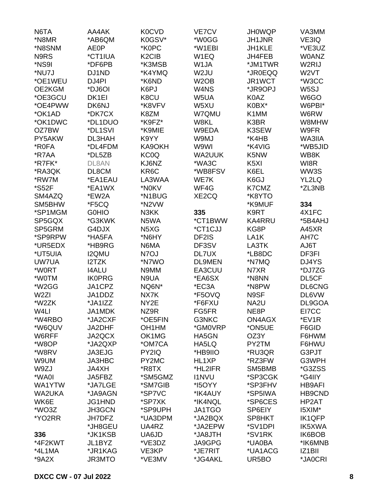| N6TA             | AA4AK         | K0CVD                          | VE7CV             | <b>JH0WQP</b>     | VA3MM               |
|------------------|---------------|--------------------------------|-------------------|-------------------|---------------------|
| *N8MR            | *AB6QM        | K0GSV*                         | *W0GG             | <b>JH1JNR</b>     | VE3IQ               |
| *N8SNM           | AE0P          | *K0PC                          | *W1EBI            | JH1KLE            | *VE3UZ              |
| N9RS             | *CT1IUA       | K <sub>2</sub> C <sub>IB</sub> | W1EQ              | JH4FEB            | <b>WOANZ</b>        |
| *NS9I            | *DF6PB        | *K3MSB                         | W1JA              | *JM1TWR           | W2RIJ               |
| *NU7J            | DJ1ND         | *K4YMQ                         | W2JU              | *JR0EQQ           | W <sub>2</sub> VT   |
| *OE1WEU          | DJ4PI         | *K6ND                          | W <sub>2</sub> OB | JR1WCT            | *W3CC               |
| OE2KGM           | *DJ6OI        | K6PJ                           | W4NS              | *JR9OPJ           | W <sub>5</sub> SJ   |
| *OE3GCU          | DK1EI         | K8CU                           | W5UA              | K0AZ              | W6GO                |
| *OE4PWW          | DK6NJ         | *K8VFV                         | W5XU              | K0BX*             | W6PBI*              |
| *OK1AD           |               |                                |                   | K1MM              |                     |
|                  | *DK7CX        | K8ZM                           | W7QMU             |                   | W6RW                |
| *OK1DWC          | *DL1DUO       | *K9FZ*                         | W8KL              | K3BR              | W8MHW               |
| OZ7BW            | *DL1SVI       | *K9MIE                         | W9EDA             | K3SEW             | W9FR                |
| PY5AKW           | DL3HAH        | K9YY                           | W9MJ              | *K4HB             | WA3IIA              |
| *R0FA            | *DL4FDM       | KA9OKH                         | W9WI              | *K4VIG            | *WB5JID             |
| *R7AA            | *DL5ZB        | KC0Q                           | WA2UUK            | K5NW              | WB8K                |
| *R7FK*           | DL8AN         | KJ6NZ                          | *WA3C             | K <sub>5</sub> XI | WI8R                |
| *RA3QK           | DL8CM         | KR6C                           | *WB8FSV           | K6EL              | WW3S                |
| *RW7M            | *EA1EAU       | LA3WAA                         | WE7K              | K6GJ              | YL2LQ               |
| *S52F            | *EA1WX        | *N0KV                          | WF4G              | K7CMZ             | *ZL3NB              |
| SM4AZQ           | *EW2A         | *N1BUG                         | XE2CQ             | *K8YTO            |                     |
| SM5BHW           | *F5CQ         | *N2VW                          |                   | *K9MUF            | 334                 |
| *SP1MGM          | <b>GOHIO</b>  | N3KK                           | 335               | K9RT              | 4X1FC               |
| SP5GQX           | *G3KWK        | N5WA                           | *CT1BWW           | <b>KA4RRU</b>     | *5B4AHJ             |
| SP5GRM           | G4DJX         | N <sub>5</sub> X <sub>G</sub>  | *CT1CJJ           | KG8P              | A45XR               |
| *SP9RPW          | *HA5FA        | *N6HY                          | DF2IS             | LA <sub>1</sub> K | AH7C                |
| *UR5EDX          | *HB9RG        | N6MA                           | DF3SV             | LA3TK             | T <sub>a</sub> UA   |
| *UT5UIA          | <b>I2QMU</b>  | N7OJ                           | DL7UX             | *LB8DC            | DF3FI               |
| UW7UA            | I2TZK         | *N7WO                          | <b>DL9MEN</b>     | *N7MQ             | DJ4YS               |
| *W0RT            | <b>I4ALU</b>  | N9MM                           | EA3CUU            | N7XR              | *DJ7ZG              |
| *W0TM            | <b>IK0PRG</b> | N9UA                           | *EA6SX            | *N8NN             | DL5CF               |
| *W2GG            | JA1CPZ        | NQ6N*                          | *EC3A             | *N8PW             | DL6CNG              |
| W <sub>2ZI</sub> | JA1DDZ        | NX7K                           | *F5OVQ            | N9SF              | DL6VW               |
| *W2ZK            | *JA1IZZ       | NY2E                           | *F6FXU            | NA <sub>2U</sub>  | DL9GOA              |
| W4LI             | JA1MDK        | NZ9R                           | FG5FR             | NE8P              | EI7CC               |
| *W4RBO           | *JA2CXF       | *OE5FIN                        | G3NKC             | ON4AGX            | *EV1R               |
| *W6QUV           | JA2DHF        | OH <sub>1</sub> HM             | *GM0VRP           | *ON5UE            | F6GID               |
| W6RFF            | JA2QCX        | OK1MG                          | HA5GN             | OZ3Y              | F6HWM               |
| *W8OP            | *JA2QXP       | *OM7CA                         | HA5LQ             | PY2TM             | F6HWU               |
| *W8RV            | JA3EJG        | PY2IQ                          | *HB9IIO           | *RU3QR            | G3PJT               |
| W9UM             | JA3HBC        | PY2MC                          | HL1XP             | *RZ3FW            | G3WPH               |
| W9ZJ             | <b>JA4XH</b>  | *R8TX                          | *HL2IFR           | SM5BMB            | *G3ZSS              |
| *WA0I            |               | *SM5GMZ                        | <b>I1NVU</b>      | *SP3CGK           | *G4IIY              |
|                  | JA5FBZ        | *SM7GIB                        |                   |                   |                     |
| WA1YTW           | *JA7LGE       |                                | *I5OYY            | *SP3FHV           | <b>HB9AFI</b>       |
| <b>WA2UKA</b>    | *JA9AGN       | *SP7VC                         | *IK4AUY           | *SP5IWA           | HB9CND              |
| WK6E             | JG1HND        | *SP7XK                         | *IK4NQL           | *SP6CES           | HP2AT               |
| *WO3Z            | JH3GCN        | *SP9UPH                        | JA1TGO            | SP6EIY            | I5XIM*              |
| *YO2RR           | <b>JH7DFZ</b> | *UA3DPM                        | *JA2BQX           | SP8HKT            | <b>IK1QFP</b>       |
|                  | *JH8GEU       | UA4RZ                          | *JA2EPW           | *SV1DPI           | <b>IK5XWA</b>       |
| 336              | *JK1KSB       | UA6JD                          | *JA8JTH           | *SV1RK            | IK6BOB              |
| *4F2KWT          | JL1BYZ        | *VE3DZ                         | JA9GPG            | *UA0BA            | *IK6MNB             |
| *4L1MA           | *JR1KAG       | VE3KP                          | *JE7RIT           | *UA1ACG           | IZ <sub>1</sub> BII |
| $*9A2X$          | JR3MTO        | *VE3MV                         | *JG4AKL           | UR5BO             | *JA0CRI             |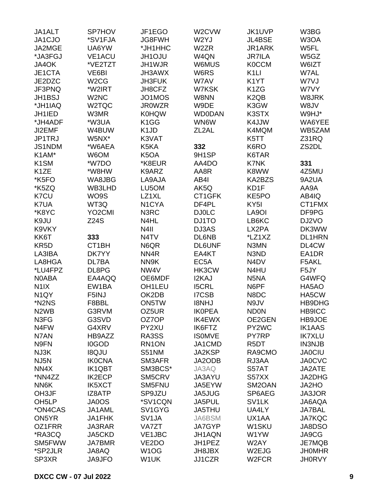| JA1ALT                        | <b>SP7HOV</b>       | JF1EGO                        | W2CVW              | JK1UVP                        | W3BG              |
|-------------------------------|---------------------|-------------------------------|--------------------|-------------------------------|-------------------|
| JA1CJO                        | *SV1FJA             | JG8FWH                        | W2YJ               | JL4BSE                        | W <sub>3</sub> OA |
| JA2MGE                        | UA6YW               | *JH1HHC                       | W <sub>2</sub> ZR  | JR1ARK                        | W5FL              |
| *JA3FGJ                       | <b>VE1ACU</b>       | <b>JH1OJU</b>                 | W4QN               | <b>JR7ILA</b>                 | W5GZ              |
| JA4OK                         | *VE2TZT             | JH1WJR                        | W6MUS              | <b>K0CCM</b>                  | W6IZT             |
| JE1CTA                        | VE6BI               | JH3AWX                        | W6RS               | K <sub>1</sub> LI             | W7AL              |
| JE2DZC                        | W <sub>2</sub> CG   | <b>JH3FUK</b>                 | W7AV               | K <sub>1</sub> YT             | W7VJ              |
|                               |                     |                               |                    |                               |                   |
| JF3PNQ                        | *W2IRT              | JH8CFZ                        | W7KSK              | K <sub>1</sub> ZG             | W7VY              |
| <b>JH1BSJ</b>                 | W <sub>2</sub> NC   | JO1MOS                        | W8NN               | K <sub>2</sub> Q <sub>B</sub> | W8JRK             |
| *JH1IAQ                       | W2TQC               | <b>JR0WZR</b>                 | W9DE               | K3GW                          | W8JV              |
| JH1IED                        | W3MR                | <b>K0HQW</b>                  | <b>WD0DAN</b>      | K3STX                         | W9HJ*             |
| *JH4ADF                       | *W3UA               | K <sub>1</sub> GG             | WN6W               | K4JJW                         | WA6YEE            |
| JI2EMF                        | W4BUW               | K <sub>1</sub> J <sub>D</sub> | ZL <sub>2</sub> AL | K4MQM                         | WB5ZAM            |
| JP1TRJ                        | W5NX*               | K3VAT                         |                    | K5TT                          | Z31RQ             |
| <b>JS1NDM</b>                 | *W6AEA              | K5KA                          | 332                | K6RO                          | ZS2DL             |
| K1AM*                         | W6OM                | K <sub>5</sub> OA             | 9H1SP              | K6TAR                         |                   |
| K <sub>1</sub> SM             | *W7DO               | *K8EUR                        | AA4DO              | <b>K7NK</b>                   | 331               |
| K <sub>1</sub> ZE             | *W8HW               | K9ARZ                         | AA8R               | K8WW                          | 4Z5MU             |
| *K5FO                         | WA8JBG              | LA9AJA                        | AB4I               | KA2BZS                        | 9A2UA             |
| *K5ZQ                         | WB3LHD              | LU5OM                         | AK5Q               | KD1F                          | AA9A              |
| K7CU                          | WO9S                | LZ1XL                         | CT1GFK             | KE5PO                         | AB4IQ             |
| K7UA                          | WT3Q                | N <sub>1</sub> CYA            | DF4PL              | KY <sub>5</sub> I             | CT1FMX            |
| *K8YC                         | YO <sub>2</sub> CMI | N3RC                          | <b>DJ0LC</b>       | LA9OI                         | DF9PG             |
| K9JU                          | <b>Z24S</b>         | N4HL                          | DJ1TO              | LB6KC                         | DJ2VO             |
| K9VKY                         |                     | N <sub>4</sub> II             | DJ3AS              | LX2PA                         | DK3WW             |
|                               | 333                 | N <sub>4</sub> TV             | DL6NB              | *LZ1XZ                        | <b>DL1HRN</b>     |
| KK6T                          |                     |                               |                    |                               |                   |
| KR <sub>5</sub> D             | CT1BH               | N6QR                          | <b>DL6UNF</b>      | N3MN                          | DL4CW             |
| LA3IBA                        | DK7YY               | NN4R                          | EA4KT              | N3ND                          | EA1DR             |
| LA8HGA                        | DL7BA               | NN9K                          | EC <sub>5</sub> A  | N <sub>4</sub> D <sub>V</sub> | F5AKL             |
| *LU4FPZ                       | DL8PG               | NW4V                          | HK3CW              | N4HU                          | F5JY              |
| N0ABA                         | EA4AQQ              | OE6MDF                        | I2KAJ              | N <sub>5</sub> NA             | G4WFQ             |
| N <sub>1</sub> IX             | EW1BA               | OH1LEU                        | <b>I5CRL</b>       | N6PF                          | HA5AO             |
| N <sub>1</sub> QY             | F5INJ               | OK2DB                         | <b>I7CSB</b>       | N8DC                          | HA5CW             |
| *N2NS                         | F8BBL               | ON5TW                         | <b>I8NHJ</b>       | N9JV                          | HB9DHG            |
| N <sub>2</sub> W <sub>B</sub> | G3RVM               | OZ5UR                         | <b>IK0PEA</b>      | <b>ND0N</b>                   | HB9ICC            |
| N3FG                          | G3SVD               | OZ7OP                         | <b>IK4EWX</b>      | OE2GEN                        | HB9JOE            |
| N <sub>4</sub> FW             | G4XRV               | PY2XU                         | <b>IK6FTZ</b>      | PY2WC                         | <b>IK1AAS</b>     |
| N7AN                          | HB9AZZ              | RA3SS                         | <b>ISOMVE</b>      | PY7RP                         | <b>IK7XLU</b>     |
| N9FN                          | <b>I0GOD</b>        | RN1ON                         | JA1CMD             | R <sub>5</sub> DT             | <b>IN3NJB</b>     |
| NJ3K                          | <b>I8QJU</b>        | <b>S51NM</b>                  | JA2KSP             | RA9CMO                        | <b>JA0CIU</b>     |
| NJ5N                          | <b>IK0CNA</b>       | SM3AFR                        | JA2ODB             | RJ3AA                         | <b>JA0CVC</b>     |
| NN4X                          | <b>IK1QBT</b>       | SM3BCS*                       | JA3AQ              | S57AT                         | JA2ATE            |
| *NN4ZZ                        | <b>IK2ECP</b>       | SM5CRV                        | JA3AYU             | S57XX                         | JA2DHG            |
| NN6K                          | <b>IK5XCT</b>       | SM5FNU                        | JA5EYW             | SM2OAN                        | JA2HO             |
| OH3JF                         | IZ8ATP              | SP9JZU                        | JA5JUG             | SP6AEG                        | JA3JOR            |
| OH <sub>5</sub> LP            | JA0OS               | *SV1CQN                       | JA5PUL             | SV <sub>1</sub> LK            | JA6AQA            |
|                               |                     |                               |                    |                               |                   |
| *ON4CAS                       | JA1AML              | SV1GYG                        | JA5THU             | UA4LY                         | <b>JA7BAL</b>     |
| ON5YR                         | JA1FHK              | SV <sub>1</sub> JA            | JA6BSM             | UX1AA                         | <b>JA7KQC</b>     |
| OZ1FRR                        | JA3RAR              | VA7ZT                         | JA7GYP             | W1SKU                         | JA8DSO            |
| *RA3CQ                        | JA5CKD              | VE1JBC                        | JH1AQN             | W1YW                          | JA9CG             |
| SM5FWW                        | <b>JA7BMR</b>       | VE <sub>2</sub> DO            | JH1PEZ             | W2AY                          | JE7MQB            |
| *SP2JLR                       | JA8AQ               | W <sub>1</sub> OG             | JH8JBX             | W2EJG                         | <b>JHOMHR</b>     |
| SP3XR                         | <b>JA9JFO</b>       | W1UK                          | JJ1CZR             | W <sub>2</sub> FCR            | <b>JH0RVY</b>     |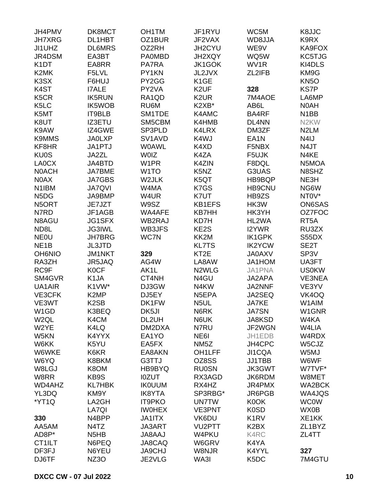| JH4PMV                        | DK8MCT                        | OH <sub>1</sub> TM | JF1RYU              | WC5M                          | K8JJC             |
|-------------------------------|-------------------------------|--------------------|---------------------|-------------------------------|-------------------|
| <b>JH7XRG</b>                 | DL1HBT                        | OZ1BUR             | JF2VAX              | WD8JJA                        | K9RX              |
| JI1UHZ                        | <b>DL6MRS</b>                 | OZ2RH              | JH2CYU              | WE9V                          | KA9FOX            |
| JR4DSM                        | EA3BT                         | <b>PA0MBD</b>      | JH2XQY              | WQ5W                          | KC5TJG            |
| K <sub>1</sub> DT             | EA8RR                         | <b>PA7RA</b>       | JK1GOK              | WV1R                          | KI4DLS            |
| K2MK                          | F5LVL                         | PY1KN              | JL2JVX              | ZL2IFB                        | KM9G              |
| K3SX                          | F6HUJ                         | PY2GG              | K <sub>1</sub> GE   |                               | KN <sub>5</sub> O |
| K4ST                          | <b>I7ALE</b>                  | PY2VA              | K <sub>2</sub> UF   | 328                           | <b>KS7P</b>       |
|                               |                               |                    | K <sub>2</sub> UR   |                               |                   |
| K <sub>5</sub> CR             | <b>IK5RUN</b>                 | RA1QD              |                     | 7M4AOE                        | LA6MP             |
| K <sub>5</sub> LC             | <b>IK5WOB</b>                 | RU6M               | K2XB*               | AB6L                          | N0AH              |
| K5MT                          | IT9BLB                        | SM1TDE             | K4AMC               | BA4RF                         | N <sub>1</sub> BB |
| K8UT                          | IZ3ETU                        | SM5CBM             | K4HMB               | DL4NN                         | N <sub>2</sub> KW |
| K9AW                          | IZ4GWE                        | SP3PLD             | K4LRX               | DM3ZF                         | N <sub>2</sub> LM |
| <b>K9MMS</b>                  | <b>JA0LXP</b>                 | SV1AVD             | K4WJ                | EA <sub>1</sub> N             | N <sub>4</sub> IJ |
| KF8HR                         | JA1PTJ                        | <b>WOAWL</b>       | K4XD                | F5NBX                         | N4JT              |
| <b>KU0S</b>                   | JA2ZL                         | <b>WOIZ</b>        | K4ZA                | F5UJK                         | N4KE              |
| LA0CX                         | JA4BTD                        | W1PR               | K4ZIN               | F8DQL                         | N5MOA             |
| <b>NOACH</b>                  | JA7BME                        | W <sub>1</sub> TO  | K5NZ                | G3UAS                         | N8SHZ             |
| N0AX                          | <b>JA7GBS</b>                 | W2JLK              | K5QT                | HB9BQP                        | NE3H              |
| N <sub>1</sub> IBM            | <b>JA7QVI</b>                 | W4MA               | K7GS                | <b>HB9CNU</b>                 | NG6W              |
| N <sub>5</sub> D <sub>G</sub> | JA9BMP                        | W4UR               | K7UT                | HB9ZS                         | NT0V*             |
| N5ORT                         | JE7JZT                        | W9SZ               | <b>KB1EFS</b>       | HK3W                          | ON6SAS            |
| N7RD                          | JF1AGB                        | WA4AFE             | <b>KB7HH</b>        | HK3YH                         | OZ7FOC            |
| N8AGU                         | JG1SFX                        | WB2RAJ             | KD7H                | HL2WA                         | RT <sub>5</sub> A |
| ND8L                          | <b>JG3IWL</b>                 | WB3JFS             | KE2S                | I2YWR                         | RU3ZX             |
| <b>NEOU</b>                   | <b>JH7BRG</b>                 | WC7N               | KK2M                | <b>IK1GPK</b>                 | S55DX             |
|                               |                               |                    | <b>KL7TS</b>        |                               |                   |
| NE <sub>1</sub> B             | <b>JL3JTD</b>                 |                    |                     | <b>IK2YCW</b>                 | SE <sub>2</sub> T |
| <b>OH6NIO</b>                 | <b>JM1NKT</b>                 | 329                | KT <sub>2</sub> E   | <b>JA0AXV</b>                 | SP <sub>3</sub> V |
| RA3ZH                         | JR5JAQ                        | AG4W               | LA8AW               | JA1HOM                        | UA3FT             |
| RC9F                          | <b>K0CF</b>                   | AK1L               | N <sub>2</sub> WLG  | JA1PNA                        | <b>US0KW</b>      |
| SM4GVR                        | K <sub>1</sub> JA             | CT4NH              | N4GU                | JA2APA                        | VE3NEA            |
| UA1AIR                        | K1VW*                         | DJ3GW              | N4KW                | JA2NNF                        | VE3YV             |
| VE3CFK                        | K <sub>2</sub> MP             | DJ5EY              | N5EPA               | JA2SEQ                        | VK4OQ             |
| VE3WT                         | K <sub>2</sub> SB             | DK1FW              | N <sub>5</sub> UL   | <b>JA7KE</b>                  | W1AIM             |
| W <sub>1</sub> GD             | K3BEQ                         | DK5JI              | N6RK                | <b>JA7SN</b>                  | W1GNR             |
| W <sub>2QL</sub>              | K4CM                          | DL2UH              | N6UK                | JA8KSD                        | W4KA              |
| W2YE                          | K4LQ                          | DM2DXA             | N7RU                | JF2WGN                        | W4LIA             |
| W5KN                          | K4YYX                         | EA1YO              | NE6I                | JH1EDB                        | W4RDX             |
| W6KK                          | K5YU                          | EA5FX              | NM <sub>5</sub> Z   | JH4CPC                        | W5CJZ             |
| W6WKE                         | K6KR                          | EA8AKN             | OH <sub>1</sub> LFF | JI1CQA                        | W5MJ              |
| W6YQ                          | K8BKM                         | G3TTJ              | OZ8SS               | JJ1TBB                        | W6WF              |
| W8LGJ                         | K8OM                          | HB9BYQ             | <b>RU0SN</b>        | <b>JK3GWT</b>                 | W7TVF*            |
| W8RR                          | KB9S                          | <b>IOZUT</b>       | RX3AGD              | JK6RDM                        | W8MET             |
| WD4AHZ                        | <b>KL7HBK</b>                 | <b>IK0UUM</b>      | RX4HZ               | JR4PMX                        | <b>WA2BCK</b>     |
| YL3DQ                         | KM9Y                          | <b>IK8YTA</b>      | SP3RBG*             | JR6PGB                        | WA4JQS            |
| *YT1Q                         | LA2GH                         | <b>IT9PKO</b>      | <b>UN7TW</b>        | K0OK                          | <b>WC0W</b>       |
|                               | LA7QI                         | <b>IWOHEX</b>      | VE3PNT              | K <sub>0</sub> SD             | WX0B              |
|                               |                               |                    |                     |                               |                   |
| 330                           | N4BPP                         | <b>JA1ITX</b>      | VK6DU               | K <sub>1</sub> RV             | XE1KK             |
| AA5AM                         | N4TZ                          | JA3ART             | VU <sub>2</sub> PTT | K <sub>2</sub> B <sub>X</sub> | ZL1BYZ            |
| AD8P*                         | N <sub>5</sub> H <sub>B</sub> | JA8AAJ             | W4PKU               | K4RC                          | ZL4TT             |
| CT1ILT                        | N6PEQ                         | JA8CAQ             | W6GRV               | K4YA                          |                   |
| DF3FJ                         | N6YEU                         | <b>JA9CHJ</b>      | W8NJR               | K4YYL                         | 327               |
| DJ6TF                         | <b>NZ3O</b>                   | JE2VLG             | WA3I                | K <sub>5</sub> DC             | 7M4GTU            |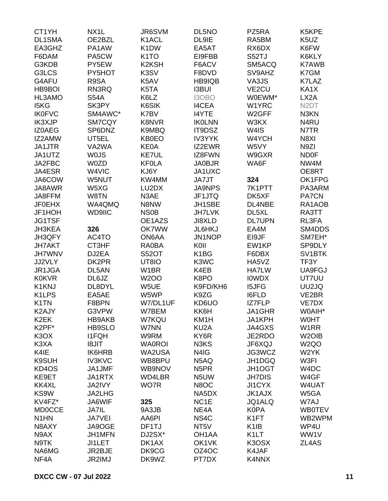| CT1YH                         | NX <sub>1</sub> L | JR6SVM            | DL5NO              | PZ5RA              | K5KPE               |
|-------------------------------|-------------------|-------------------|--------------------|--------------------|---------------------|
| DL1SMA                        | OE2BZL            | K1ACL             | DL9IE              | RA5BM              | K <sub>5</sub> UZ   |
| EA3GHZ                        | PA1AW             | K <sub>1</sub> DW | EA5AT              | RX6DX              | K6FW                |
| F6DAM                         | PA5CW             | K <sub>1</sub> TO | EI9FBB             | S52TJ              | K6KLY               |
| G3KDB                         | PY5EW             | K2KSH             | F6ACV              | SM5ACQ             | <b>K7AWB</b>        |
| G3LCS                         | PY5HOT            | K3SV              | F8DVD              | SV9AHZ             | K7GM                |
| G4AFU                         | R9SA              | K5AV              | HB9IQB             | VA3JS              | K7LAZ               |
| HB9BOI                        | RN3RQ             | K5TA              | <b>I3BUI</b>       | VE <sub>2</sub> CU | KA1X                |
| HL3AMO                        | <b>S54A</b>       | K6LZ              | I3OBO              | W0EWM*             | LX <sub>2</sub> A   |
| I5KG                          | SK3PY             | K6SIK             | <b>I4CEA</b>       | W1YRC              | N <sub>2</sub> DT   |
| <b>IK0FVC</b>                 | SM4AWC*           | K7BV              | <b>I4YTE</b>       | W <sub>2</sub> GFF | N3KN                |
| <b>IK3XJP</b>                 | SM7CQY            | <b>K8NVR</b>      | <b>IKOLNN</b>      | W3KX               | N4RU                |
| <b>IZ0AEG</b>                 | SP6DNZ            | K9MBQ             | IT9DSZ             | W4IS               | N7TR                |
|                               |                   |                   |                    |                    |                     |
| IZ2AMW                        | UT5EL             | KB0EO             | <b>IV3YYK</b>      | W4YCH              | N8XI                |
| JA1JTR                        | VA2WA             | KE0A              | IZ2EWR             | W5VY               | N9ZI                |
| JA1UTZ                        | <b>WOJS</b>       | KE7UL             | IZ8FWN             | W9GXR              | <b>ND0F</b>         |
| JA2FBC                        | W0ZD              | <b>KF0LA</b>      | <b>JA0BJR</b>      | WA6F               | NW4M                |
| JA4ESR                        | W4VIC             | KJ6Y              | JA1UXC             |                    | OE8RT               |
| JA6COW                        | W5NUT             | KW4MM             | JA7JT              | 324                | OK1FPG              |
| JA8AWR                        | W5XG              | LU2DX             | <b>JA9NPS</b>      | 7K1PTT             | PA3ARM              |
| JA8FFM                        | W8TN              | N3AE              | JF1JTQ             | DK5XF              | <b>PA7CN</b>        |
| <b>JF0EHX</b>                 | WA4QMQ            | N8NW              | JH1SBE             | DL4NBE             | RA1AOB              |
| JF1HOH                        | WD9IIC            | <b>NS0B</b>       | <b>JH7LVK</b>      | DL5XL              | RA3TT               |
| <b>JG1TSF</b>                 |                   | OE1AZS            | JI8XLD             | <b>DL7UPN</b>      | RL3FA               |
| <b>JH3KEA</b>                 | 326               | <b>OK7WW</b>      | JL6HKJ             | EA4M               | SM4DDS              |
| JH3QFY                        | AC4TO             | ON6AA             | JN1NOP             | EI9JF              | SM7EH*              |
| <b>JH7AKT</b>                 | CT3HF             | <b>RA0BA</b>      | KOII               | EW1KP              | SP9DLY              |
| <b>JH7WNV</b>                 | DJ2EA             | <b>S52OT</b>      | K <sub>1</sub> BG  | F6DBX              | SV <sub>1</sub> BTK |
| JJ2VLY                        | DK2PR             | UT8IO             | K3WC               | HA5VZ              | TF3Y                |
| JR1JGA                        | DL5AN             | W1BR              | K4EB               | <b>HA7LW</b>       | UA9FGJ              |
| <b>K0KVR</b>                  | DL6JZ             | <b>W2OO</b>       | K8PO               | <b>IOWDX</b>       | UT7UU               |
| K1KNJ                         | DL8DYL            | W5UE              | K9FD/KH6           | <b>I5JFG</b>       | UU2JQ               |
| K <sub>1</sub> LPS            | EA5AE             | W5WP              | K9ZG               | I6FLD              | VE2BR               |
| K <sub>1</sub> TN             | F8BPN             | W7/DL1UF          | KD6UO              | <b>IZ7FLP</b>      | VE7DX               |
| K2AJY                         | G3VPW             | W7BEM             | KK6H               | JA1GHR             | W0AIH*              |
| K <sub>2</sub> EK             | HB9AKB            | <b>W7KQU</b>      | KM1H               | JA1KPH             | <b>WOHT</b>         |
| K2PF*                         | <b>HB9SLO</b>     | W7NN              | KU <sub>2</sub> A  | JA4GXS             | W <sub>1</sub> RR   |
| K <sub>3</sub> O <sub>X</sub> | <b>I1FQH</b>      | W9RM              | KY6R               | JE2RDO             | W <sub>2</sub> OIB  |
| K3XA                          | <b>I8JIT</b>      | <b>WA0ROI</b>     | N3KS               | JF6XQJ             | W <sub>2</sub> QO   |
| K4IE                          | <b>IK6HRB</b>     | WA2USA            | N4IG               | JG3WCZ             | W2YK                |
| K9SUH                         | <b>IV3KVC</b>     | WB8BPU            | N <sub>5</sub> AQ  | JH1DGQ             | W3FI                |
| KD4OS                         | JA1JMF            | WB9NOV            | N <sub>5</sub> PR  | JH1OGT             | W4DC                |
| KE9ET                         | JA1RTX            | WD4LBR            | N <sub>5</sub> UW  | <b>JH7DIS</b>      | W4GF                |
| KK4XL                         | <b>JA2IVY</b>     | WO7R              | N8OC               | JI1CYX             | W4UAT               |
|                               |                   |                   |                    |                    |                     |
| KS9W                          | <b>JA2LHG</b>     |                   | NA5DX              | <b>JK1AJX</b>      | W5GA                |
| KV4FZ*                        | JA6WIF            | 325               | NC <sub>1</sub> E  | JQ1ALQ             | W7AJ                |
| <b>MD0CCE</b>                 | <b>JA7IL</b>      | 9A3JB             | NE4A               | <b>K0PA</b>        | <b>WB0TEV</b>       |
| N <sub>1</sub> HN             | <b>JA7VEI</b>     | AA6PI             | NS <sub>4</sub> C  | K <sub>1</sub> FT  | WB2WPM              |
| N8AXY                         | JA9OGE            | DF1TJ             | NT <sub>5</sub> V  | K <sub>1</sub> IB  | WP4U                |
| N9AX                          | JH1MFN            | DJ2SX*            | OH <sub>1</sub> AA | K <sub>1</sub> LT  | WW1V                |
| N9TK                          | <b>JI1LET</b>     | DK1AX             | OK1VK              | K3OSX              | ZL4AS               |
| NA6MG                         | JR2BJE            | DK9CG             | OZ4OC              | K4JAF              |                     |
| NF4A                          | JR2IMJ            | DK9WZ             | PT7DX              | K4NNX              |                     |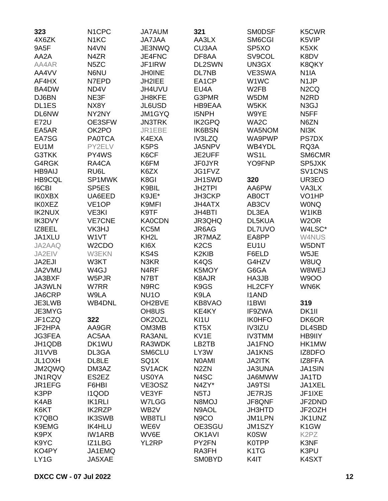| 323           | N <sub>1</sub> CPC | <b>JA7AUM</b>                 | 321                            | <b>SMODSF</b>                 | K5CWR                         |
|---------------|--------------------|-------------------------------|--------------------------------|-------------------------------|-------------------------------|
| 4X6ZK         | N <sub>1</sub> KC  | <b>JA7JAA</b>                 | AA3LX                          | SM6CGI                        | K5VIP                         |
| 9A5F          | N4VN               | JE3NWQ                        | CU3AA                          | SP <sub>5</sub> XO            | K <sub>5</sub> XK             |
| AA2A          | N4ZR               | JE4FNC                        | DF8AA                          | SV9COL                        | K8DV                          |
| AA4AR         | N <sub>5</sub> ZC  | JF1IRW                        | DL2SWN                         | UN3GX                         | K8QKY                         |
| AA4VV         | N6NU               | <b>JH0INE</b>                 | DL7NB                          | VE3SWA                        | N <sub>1</sub> IA             |
| AF4HX         | N7EPD              | JH2IEE                        | EA1CP                          | W1WC                          | N <sub>1</sub> JP             |
| BA4DW         | ND4V               | JH4UVU                        | EU4A                           | W <sub>2</sub> FB             | N <sub>2</sub> CQ             |
| DJ6BN         | NE3F               | <b>JH8KFE</b>                 | G3PMR                          | W5DM                          | N <sub>2</sub> R <sub>D</sub> |
| DL1ES         | NX8Y               | JL6USD                        | HB9EAA                         | W5KK                          | N <sub>3</sub> GJ             |
| <b>DL6NW</b>  |                    |                               | <b>I5NPH</b>                   |                               | N <sub>5</sub> FF             |
|               | NY2NY              | JM1GYQ                        |                                | W9YE                          |                               |
| <b>E72U</b>   | OE3SFW             | <b>JN3TRK</b>                 | <b>IK2GPQ</b>                  | WA2C                          | N6ZN                          |
| EA5AR         | OK2PO              | JR1EBE                        | <b>IK6BSN</b>                  | WA5NOM                        | NI3K                          |
| EA7SG         | <b>PA0TCA</b>      | K4EXA                         | IV3LZQ                         | WA9PWP                        | <b>PS7DX</b>                  |
| EU1M          | PY2ELV             | K <sub>5</sub> P <sub>S</sub> | JA5NPV                         | WB4YDL                        | RQ3A                          |
| G3TKK         | PY4WS              | K6CF                          | JE2UFF                         | WS1L                          | SM6CMR                        |
| G4RGK         | RA4CA              | K6FM                          | <b>JF0JYR</b>                  | YO9FNP                        | SP5JXK                        |
| <b>HB9AIJ</b> | RU6L               | K6ZX                          | JG1FVZ                         |                               | SV1CNS                        |
| <b>HB9CQL</b> | SP1MWK             | K8GI                          | JH1SWD                         | 320                           | UR3EO                         |
| <b>I6CBI</b>  | SP <sub>5</sub> ES | K9BIL                         | JH2TPI                         | AA6PW                         | VA3LX                         |
| <b>IK0XBX</b> | UA6EED             | K9JE*                         | JH3CKP                         | <b>ABOCT</b>                  | VO <sub>1</sub> HP            |
| <b>IK0XEZ</b> | VE <sub>1</sub> OP | K9MFI                         | <b>JH4ATX</b>                  | AB3CV                         | <b>WONQ</b>                   |
| <b>IK2NUX</b> | VE3KI              | K9TF                          | JH4BTI                         | DL3EA                         | W1IKB                         |
| <b>IK3DVY</b> | <b>VE7CNE</b>      | <b>KA0CDN</b>                 | JR3QHQ                         | DL5KUA                        | W <sub>2</sub> OR             |
| IZ8EEL        | VK3HJ              | KC5M                          | JR6AG                          | <b>DL7UVO</b>                 | W4LSC*                        |
| JA1XLU        | W1VT               | KH <sub>2</sub> L             | JR7MAZ                         | EA8PP                         | W4NUS                         |
| JA2AAQ        | W <sub>2</sub> CDO | KI6X                          | K <sub>2</sub> C <sub>S</sub>  | EU1U                          | W5DNT                         |
| JA2EIV        | W3EKN              | KS4S                          | K <sub>2</sub> KI <sub>B</sub> | F6ELD                         | W5JE                          |
| JA2EJI        | W3KT               | N3KR                          | K <sub>4</sub> Q <sub>S</sub>  | G4HZV                         | W8UQ                          |
| JA2VMU        | W4GJ               | N <sub>4</sub> RF             | K5MOY                          | G6GA                          | W8WEJ                         |
| JA3BXF        | W5PJR              | N7BT                          | K8AJR                          | HA3JB                         | <b>W9OO</b>                   |
| JA3WLN        | W7RR               | N9RC                          | K9GS                           | HL2CFY                        | WN6K                          |
| JA6CRP        | W9LA               | NU <sub>10</sub>              | K9LA                           | <b>I1AND</b>                  |                               |
| JE3LWB        | <b>WB4DNL</b>      | OH <sub>2</sub> BVE           | KB8VAO                         | <b>I1BWI</b>                  | 319                           |
| JE3MYG        |                    | OH8US                         | KE4KY                          | IF9ZWA                        | DK1II                         |
| JF1CZQ        | 322                | OK2OZL                        | KI1U                           | <b>IK0HFO</b>                 | DK6OR                         |
|               | AA9GR              | OM3MB                         | KT <sub>5</sub> X              | IV3IZU                        | DL4SBD                        |
| JF2HPA        |                    |                               |                                |                               |                               |
| <b>JG3FEA</b> | AC5AA              | RA3ANL                        | KV <sub>1</sub> E              | <b>IV3TMM</b>                 | HB9IIY                        |
| JH1QDB        | DK1WU              | RA3WDK                        | LB2TB                          | JA1FNO                        | HK1MW                         |
| JI1VVB        | DL3GA              | SM6CLU                        | LY3W                           | JA1KNS                        | IZ8DFO                        |
| JL1OXH        | DL8LE              | SQ1X                          | <b>NOAMI</b>                   | <b>JA2ITK</b>                 | IZ8FFA                        |
| JM2QWQ        | DM3AZ              | SV1ACK                        | N <sub>2</sub> ZN              | <b>JA3UNA</b>                 | <b>JA1SIN</b>                 |
| JN1RQV        | ES2EZ              | <b>US0YA</b>                  | N4SC                           | JA6MWW                        | JA1TD                         |
| JR1EFG        | F6HBI              | VE3OSZ                        | N4ZY*                          | <b>JA9TSI</b>                 | JA1XEL                        |
| K3PP          | <b>I1QOD</b>       | VE3YF                         | N <sub>5</sub> TJ              | <b>JE7RJS</b>                 | JF1IXE                        |
| K4AB          | <b>IK1RLI</b>      | W7LGG                         | N8MOJ                          | JF8QNF                        | JF2DND                        |
| K6KT          | <b>IK2RZP</b>      | WB <sub>2</sub> V             | N9AOL                          | JH3HTD                        | JF2OZH                        |
| K7QBO         | <b>IK3SWB</b>      | WB8TLI                        | N <sub>9</sub> CO              | JM1LPN                        | JK1UNZ                        |
| K9EMG         | <b>IK4HLU</b>      | WE6V                          | OE3SGU                         | JM1SZY                        | K <sub>1</sub> GW             |
| K9PX          | <b>IW1ARB</b>      | WV6E                          | OK <sub>1</sub> AVI            | <b>K0SW</b>                   | K <sub>2</sub> P <sub>Z</sub> |
| K9YC          | IZ1LBG             | YL2RP                         | PY2FN                          | <b>K0TPP</b>                  | K3NF                          |
| KO4PY         | JA1EMQ             |                               | RA3FH                          | K <sub>1</sub> T <sub>G</sub> | K3PU                          |
| LY1G          | JA5XAE             |                               | <b>SM0BYD</b>                  | K4IT                          | K4SXT                         |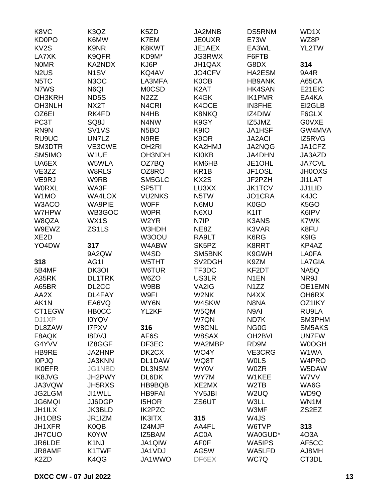| K8VC                          | K3QZ                           | K5ZD               | JA2MNB             | <b>DS5RNM</b>       | WD1X              |
|-------------------------------|--------------------------------|--------------------|--------------------|---------------------|-------------------|
| <b>KD0PO</b>                  | K6MW                           | K7EM               | <b>JE0UXR</b>      | <b>E73W</b>         | WZ8P              |
| KV <sub>2</sub> S             | K9NR                           | K8KWT              | JE1AEX             | EA3WL               | YL2TW             |
| LA7XK                         | K9QFR                          | KD9M*              | JG3RWX             | F6FTB               |                   |
| <b>NOMR</b>                   | KA2NDX                         | KJ6P               | JH1QAX             | G8DX                | 314               |
| N <sub>2</sub> U <sub>S</sub> | N <sub>1</sub> SV              | KQ4AV              | JO4CFV             | HA2ESM              | 9A4R              |
| N5TC                          | N <sub>3</sub> OC              | LA3MFA             | K0OB               | <b>HB9ANK</b>       | A65CA             |
| N7WS                          | N6QI                           | <b>MOCSD</b>       | K <sub>2</sub> AT  | <b>HK4SAN</b>       | E21EIC            |
| OH3KRH                        | ND <sub>5</sub> S              | N <sub>2</sub> ZZ  | K4GK               | <b>IK1PMR</b>       | EA4KA             |
| OH3NLH                        | NX2T                           | N <sub>4</sub> CRI | K4OCE              | <b>IN3FHE</b>       | EI2GLB            |
|                               |                                | N4HB               | <b>K8NKQ</b>       | IZ4DIW              | F6GLX             |
| OZ6EI                         | RK4FD                          | N4NW               | K9GY               |                     | <b>GOVXE</b>      |
| PC3T                          | SQ8J                           |                    |                    | IZ5JMZ              |                   |
| RN9N                          | SV <sub>1</sub> V <sub>S</sub> | N <sub>5</sub> BO  | K9IO               | <b>JA1HSF</b>       | GW4MVA            |
| RU9UC                         | UN7LZ                          | N9RE               | K <sub>9</sub> OR  | <b>JA2ACI</b>       | IZ5RVG            |
| SM3DTR                        | VE3CWE                         | OH <sub>2RI</sub>  | KA2HMJ             | JA2NQG              | JA1CFZ            |
| SM5IMO                        | W1UE                           | OH3NDH             | <b>KI0KB</b>       | JA4DHN              | JA3AZD            |
| UA6EX                         | W5WLA                          | OZ7BQ              | KM6HB              | JE1OHL              | <b>JA7CVL</b>     |
| VE3ZZ                         | W8RLS                          | OZ8RO              | KR <sub>1</sub> B  | JF1OSL              | <b>JH0OXS</b>     |
| VE9RJ                         | W9RB                           | SM5GLC             | KX2S               | JF2PZH              | JI1LAT            |
| <b>WORXL</b>                  | WA3F                           | SP5TT              | LU3XX              | <b>JK1TCV</b>       | JJ1LID            |
| W1MO                          | <b>WA4LOX</b>                  | <b>VU2NKS</b>      | N5TW               | JO1CRA              | K4JC              |
| W3ACO                         | <b>WA9PIE</b>                  | <b>WOFF</b>        | N6MU               | K0GD                | K <sub>5</sub> GO |
| W7HPW                         | WB3GOC                         | <b>W0PR</b>        | N6XU               | K <sub>1</sub>      | K6IPV             |
| W8QZA                         | WX1S                           | W2YR               | N7IP               | <b>K3ANS</b>        | K7WK              |
| W9EWZ                         | ZS1LS                          | W3HDH              | NE8Z               | K3VAR               | K8FU              |
| XE <sub>2</sub> D             |                                | W3OOU              | RA9LT              | K6RG                | K9IG              |
| YO4DW                         | 317                            | W4ABW              | SK <sub>5</sub> PZ | K8RRT               | KP4AZ             |
|                               | 9A2QW                          | W4SD               | SM5BNK             | K9GWH               | LA0FA             |
| 318                           | AG1I                           | W5THT              | SV2DGH             | K9ZM                | LA7GIA            |
| 5B4MF                         | DK3OI                          | W6TUR              | TF3DC              | KF2DT               | NA5Q              |
| A35RK                         | <b>DL1TRK</b>                  | W6ZO               | US3LR              | N <sub>1</sub> EN   | NR9J              |
| A65BR                         | DL <sub>2</sub> CC             | W9BB               | VA2IG              | N <sub>1</sub> ZZ   | OE1EMN            |
| AA2X                          | DL4FAY                         | W9FI               | W2NK               | N4XX                | OH6RX             |
| AK1N                          | EA6VQ                          | WY6N               | W4SKW              | N8NA                | OZ1IKY            |
| CT1EGW                        | <b>HB0CC</b>                   | YL2KF              | W5QM               | N9AI                | RU9LA             |
| DJ1XP                         | <b>IOYQV</b>                   |                    | W7QN               | ND7K                | SM3PHM            |
| DL8ZAW                        | <b>I7PXV</b>                   | 316                | W8CNL              | NG <sub>0</sub> G   | SM5AKS            |
| F8AQK                         | <b>I8DVJ</b>                   | AF6S               | W8SAX              | OH <sub>2</sub> BVI | <b>UN7FW</b>      |
| G4YVV                         | IZ8GGF                         | DF3EC              | WA2MBP             | RD9M                | W0OGH             |
| HB9RE                         | JA2HNP                         | DK2CX              | WO4Y               | VE3CRG              | W1WA              |
| <b>IOPJQ</b>                  | <b>JA3KNN</b>                  | DL1DAW             | WQ8T               | <b>WOLS</b>         | W4PRO             |
| <b>IK0EFR</b>                 | <b>JG1NBD</b>                  |                    |                    | <b>W0ZR</b>         | W5DAW             |
|                               | JH2PWY                         | DL3NSM             | <b>WY0V</b>        |                     |                   |
| <b>IK8JVG</b>                 |                                | DL6DK              | WY7M               | W1KEE               | W7VV              |
| JA3VQW                        | <b>JH5RXS</b>                  | HB9BQB             | XE2MX              | W <sub>2</sub> TB   | WA6G              |
| JG2LGM                        | JI1WLL                         | <b>HB9FAI</b>      | YV5JBI             | W <sub>2</sub> UQ   | WD9Q              |
| <b>JG6MQI</b>                 | JJ6DGP                         | <b>I5HOR</b>       | ZS6UT              | W3LL                | WN1M              |
| <b>JH1ILX</b>                 | <b>JK3BLD</b>                  | <b>IK2PZC</b>      |                    | W3MF                | ZS2EZ             |
| JH1OBS                        | JR1IZM                         | <b>IK3ITX</b>      | 315                | W4JS                |                   |
| JH1XFR                        | K0QB                           | IZ4MJP             | AA4FL              | W6TVP               | 313               |
| <b>JH7CUO</b>                 | K0YW                           | IZ5BAM             | <b>AC0A</b>        | WA0GUD*             | 4O3A              |
| JR6LDE                        | K <sub>1</sub> NJ              | <b>JA1QIW</b>      | <b>AF0F</b>        | WA5IPS              | AF5CC             |
| JR8AMF                        | K1TWF                          | JA1VDJ             | AG5W               | WA5LFD              | AJ8MH             |
| K <sub>2</sub> ZD             | K4QG                           | JA1WWO             | DF6EX              | WC7Q                | CT3DL             |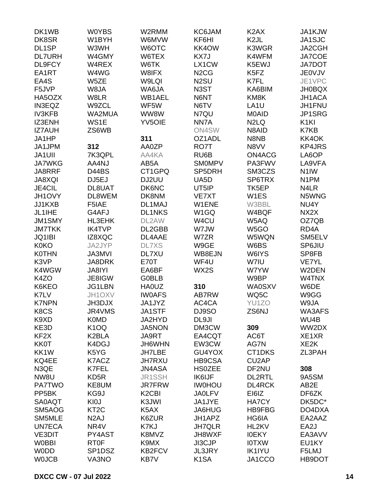| DK1WB              | <b>W0YBS</b>      | W2RMM                          | KC6JAM                        | K <sub>2</sub> AX             | JA1KJW            |
|--------------------|-------------------|--------------------------------|-------------------------------|-------------------------------|-------------------|
| DK8SR              | W1BYH             | W6MVW                          | KF6HI                         | K <sub>2</sub> JL             | JA1SJC            |
| DL1SP              | W3WH              | W6OTC                          | KK4OW                         | K3WGR                         | JA2CGH            |
| <b>DL7URH</b>      | W4GMY             | W6TEX                          | KX7J                          | K4WFM                         | JA7COE            |
| DL9FCY             | W4REX             | W6TK                           | LX1CW                         | K5EWJ                         | <b>JA7DOT</b>     |
| EA1RT              | W4WG              | W8IFX                          | N <sub>2</sub> C <sub>G</sub> | K5FZ                          | <b>JE0VJV</b>     |
| EA4S               | W5ZE              | W9LQI                          | N <sub>2</sub> SU             | K7FL                          | JE1VPC            |
| F5JVP              | W8JA              |                                | N3ST                          | KA6BIM                        |                   |
| HA5OZX             |                   | WA6JA<br>WB1AEL                |                               |                               | <b>JH0BQX</b>     |
|                    | W8LR              |                                | N6NT                          | KM8K                          | JH1ACA            |
| <b>IN3EQZ</b>      | W9ZCL             | WF5W                           | N6TV                          | LA <sub>1U</sub>              | JH1FNU            |
| <b>IV3KFB</b>      | WA2MUA            | WW8W                           | N7QU                          | M0AID                         | JP1SRG            |
| IZ3ENH             | WS1E              | <b>YV5OIE</b>                  | NN7A                          | N <sub>2</sub> L <sub>Q</sub> | K <sub>1KI</sub>  |
| <b>IZ7AUH</b>      | ZS6WB             |                                | ON4SW                         | N8AID                         | K7KB              |
| JA1HP              |                   | 311                            | OZ1ADL                        | N8NB                          | KK4OK             |
| JA1JPM             | 312               | AA0ZP                          | RO7T                          | N8VV                          | <b>KP4JRS</b>     |
| <b>JA1UII</b>      | 7K3QPL            | AA4KA                          | RU6B                          | ON4ACG                        | LA6OP             |
| <b>JA7WKG</b>      | AA4NJ             | AB5A                           | <b>SMOMPV</b>                 | PA3FWV                        | LA9VFA            |
| JA8RRF             | D44BS             | CT1GPQ                         | SP5DRH                        | SM3CZS                        | N <sub>1</sub> IW |
| <b>JA8XQI</b>      | DJ5EJ             | DJ2UU                          | UA5D                          | SP6TRX                        | N <sub>1</sub> PM |
| JE4CIL             | DL8UAT            | DK6NC                          | UT5IP                         | TK5EP                         | N4LR              |
| JH1OVY             | DL8WEM            | DK8NM                          | VE7XT                         | W1ES                          | N5WNG             |
| JJ1KXB             | F5IAE             | DL1MAJ                         | W1ENE                         | W3BBL                         | NU4Y              |
| JL1IHE             | G4AFJ             | <b>DL1NKS</b>                  | W1GQ                          | W4BQF                         | NX2X              |
| <b>JM1SMY</b>      | HL3EHK            | DL2AW                          | W4CU                          | W5AQ                          | OZ7QB             |
| <b>JM7TKK</b>      | <b>IK4TVP</b>     | DL2GBB                         | W7JW                          | W <sub>5</sub> GO             | RD <sub>4</sub> A |
| JQ1IBI             | IZ8XQC            | DL4AAE                         | W7ZR                          | W5WQN                         | SM5ELV            |
| <b>K0KO</b>        | JA2JYP            | <b>DL7XS</b>                   | W9GE                          | W6BS                          | SP6JIU            |
| <b>K0THN</b>       | <b>JA3MVI</b>     | DL7XU                          | WB8EJN                        | W6IYS                         | SP8FB             |
| K3VP               | JA8DRK            | <b>E70T</b>                    | WF4U                          | W7IU                          | <b>VE7YL</b>      |
| K4WGW              | JA8IYI            | EA6BF                          | WX2S                          | W7YW                          | W2DEN             |
| K4ZO               | JE8IGW            | <b>G0BLB</b>                   |                               | W9BP                          | W4TNX             |
| K6KEO              | JG1LBN            | <b>HA0UZ</b>                   | 310                           | <b>WA0SXV</b>                 | W6DE              |
| K7LV               | JH1OXV            | <b>IWOAFS</b>                  | AB7RW                         | WQ5C                          | W9GG              |
| <b>K7NPN</b>       | JH3DJX            | JA1JYZ                         | AC4CA                         | YU1ZO                         | W9JA              |
| K8CS               | JR4VMS            | JA1STF                         | DJ9SO                         | ZS6NJ                         | <b>WA3AFS</b>     |
| K9XD               | <b>K0MD</b>       | JA2HYD                         | DL9JI                         |                               | WU4B              |
| KE3D               | K <sub>1</sub> OQ | JA5NON                         | DM3CW                         | 309                           | WW2DX             |
| KF <sub>2</sub> X  | K2BLA             | JA9RT                          | EA4CQT                        | AC6T                          | XE1XR             |
| <b>KK0T</b>        | K4DGJ             | JH6WHN                         | EW3CW                         | AG7N                          | XE <sub>2</sub> K |
| KK1W               | K5YG              | <b>JH7LBE</b>                  | GU4YOX                        | CT1DKS                        | ZL3PAH            |
| KQ4EE              | K7ACZ             | <b>JH7RXU</b>                  | <b>HB9CSA</b>                 | CU2AP                         |                   |
| N3QE               | K7FEL             | JN4ASA                         | <b>HS0ZEE</b>                 | DF2NU                         | 308               |
| NW8U               | KD5R              | <b>JR1SSH</b>                  | <b>IK6IJF</b>                 | <b>DL2RTL</b>                 | 9A5SM             |
| <b>PA7TWO</b>      | KE8UM             | <b>JR7FRW</b>                  | <b>IW0HOU</b>                 | <b>DL4RCK</b>                 | AB2E              |
| PP <sub>5</sub> BK | KG9J              | K <sub>2</sub> C <sub>BI</sub> | <b>JA0LFV</b>                 | EI6IZ                         | DF6ZK             |
| <b>SA0AQT</b>      | KI0J              | K3JWI                          | JA1JYE                        | <b>HA7CY</b>                  | DK5DC*            |
|                    | KT <sub>2</sub> C | K5AX                           |                               | <b>HB9FBG</b>                 | DO4DXA            |
| SM5AOG             |                   |                                | JA6HUG                        |                               |                   |
| SM5MLE             | N <sub>2</sub> AJ | K6ZUR                          | JH1APZ                        | HG6IA                         | EA2AAZ            |
| <b>UN7ECA</b>      | NR4V              | K7KJ                           | <b>JH7QLR</b>                 | HL2KV                         | EA2J              |
| <b>VE3DIT</b>      | PY4AST            | K8MVZ                          | JH8WXF                        | <b>IOEKY</b>                  | EA3AVV            |
| <b>W0BBI</b>       | RT <sub>0</sub> F | K9MX                           | JI3CJP                        | <b>IOTXW</b>                  | EU1KY             |
| <b>WODD</b>        | SP1DSZ            | <b>KB2FCV</b>                  | JL3JRY                        | <b>IK1IYU</b>                 | F5LMJ             |
| <b>WOJCB</b>       | VA3NO             | KB7V                           | K <sub>1</sub> SA             | JA1CCO                        | HB9DOT            |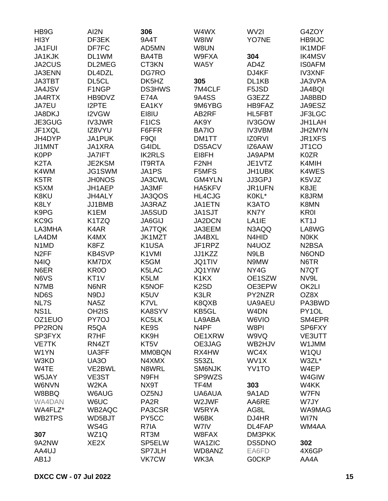| HB9G                          | AI2N               | 306                | W4WX                          | WV2I          | G4ZOY                          |
|-------------------------------|--------------------|--------------------|-------------------------------|---------------|--------------------------------|
| HI3Y                          | DF3EK              | 9A4T               | W8IW                          | YO7NE         | <b>HB9IJC</b>                  |
| JA1FUI                        | DF7FC              | AD5MN              | W8UN                          |               | IK1MDF                         |
| JA1KJK                        | DL1WM              | BA4TB              | W9FXA                         | 304           | <b>IK4MSV</b>                  |
| JA2CUS                        | DL2MEG             | CT3KN              | WA5Y                          | AD4Z          | <b>ISOAFM</b>                  |
| JA3ENN                        | DL4DZL             | DG7RO              |                               | DJ4KF         | <b>IV3XNF</b>                  |
| <b>JA3TBT</b>                 | DL5CL              | DK5HZ              | 305                           | DL1KB         | JA3VPA                         |
| <b>JA4JSV</b>                 | F1NGP              | <b>DS3HWS</b>      | 7M4CLF                        | F5JSD         | <b>JA4BQI</b>                  |
| JA4RTX                        | HB9DVZ             | <b>E74A</b>        | 9A4SS                         | G3EZZ         | JA8BBD                         |
| JA7EU                         | <b>I2PTE</b>       | EA1KY              | 9M6YBG                        | HB9FAZ        | JA9ESZ                         |
| JA8DKJ                        | I2VGW              | EI8IU              | AB2RF                         | HL5FBT        | JF3LGC                         |
| JE3GUG                        | <b>IV3JWR</b>      | F <sub>1</sub> ICS | AK9Y                          | IV3GOW        | JH1LAH                         |
| JF1XQL                        | IZ8VYU             | F6FFR              | <b>BA7IO</b>                  | <b>IV3VBM</b> | JH2MYN                         |
| JH4DYP                        | JA1PUK             | F <sub>9QI</sub>   | DM1TT                         | <b>IZ0RVI</b> | JR1XFS                         |
| JI1MNT                        | JA1XRA             | G4IDL              | <b>DS5ACV</b>                 | IZ6AAW        | JT <sub>1</sub> CO             |
| <b>K0PP</b>                   | <b>JA7IFT</b>      | <b>IK2RLS</b>      | EI8FH                         | JA9APM        | <b>K0ZR</b>                    |
| K <sub>2</sub> TA             | JE2KSM             | <b>IT9RTA</b>      | F <sub>2NH</sub>              | JE1VTZ        | K4MIH                          |
| K4WM                          | JG1SWM             | JA1PS              | F5MFS                         | JH1UBK        | K4WES                          |
| K5TR                          | <b>JH0NOS</b>      | JA3CWL             | <b>GM4YLN</b>                 | JJ3GPJ        | K5VJZ                          |
| K5XM                          | JH1AEP             | JA3MF              | HA5KFV                        | JR1UFN        | K8JE                           |
| K8KU                          | JH4ALY             | JA3QOS             | <b>HL4CJG</b>                 | K0KL*         | K8JRM                          |
| K8LY                          | JJ1BMB             | JA3RAZ             | JA1ETN                        | K3ATO         | K8MN                           |
| K9PG                          | K1EM               | <b>JA5SUD</b>      | JA1SJT                        | <b>KN7Y</b>   | <b>KR0I</b>                    |
| KC9G                          | K1TZQ              | <b>JA6GIJ</b>      | <b>JA2DCN</b>                 | LA1IE         | KT <sub>1</sub> J              |
| LA3MHA                        | K4AR               | <b>JA7TQK</b>      | JA3EEM                        | N3AQQ         | LA8WG                          |
| LA4DM                         | K4MX               | JK1MZT             | JA4BXL                        | N4HID         | <b>NOKK</b>                    |
| N <sub>1</sub> M <sub>D</sub> | K8FZ               | K1USA              | JF1RPZ                        | N4UOZ         | N <sub>2</sub> B <sub>SA</sub> |
| N <sub>2</sub> FF             | <b>KB4SVP</b>      | K1VMI              | JJ1KZZ                        | N9LB          | N6OND                          |
| N4IQ                          | <b>KM7DX</b>       | K5GM               | <b>JQ1TIV</b>                 | N9MW          | N6TR                           |
| N6ER                          | KR <sub>0</sub> O  | K5LAC              | <b>JQ1YIW</b>                 | NY4G          | N7QT                           |
| N6VS                          | KT <sub>1</sub> V  | K5LM               | K <sub>1</sub> K <sub>X</sub> | OE1SZW        | NV9L                           |
| N7MB                          | N6NR               | K5NOF              | K <sub>2</sub> SD             | OE3EPW        | OK2LI                          |
| ND6S                          | N9DJ               | K5UV               | K3LR                          | PY2NZR        | OZ8X                           |
| NL7S                          | NA5Z               | K7VL               | K8QXB                         | UA9AEU        | PA3BWD                         |
| NS <sub>1</sub> L             | OH <sub>2</sub> IS | KA8SYV             | KB5GL                         | W4DN          | PY1OL                          |
| OZ1EUO                        | PY7OJ              | KC5LK              | LA9ABA                        | W6VIO         | SM4EPR                         |
| PP2RON                        | R <sub>5</sub> QA  | KE9S               | N4PF                          | W8PI          | SP6FXY                         |
| SP3FYX                        | R7HF               | KK9H               | OE1XRW                        | W9VQ          | VE3UTT                         |
| <b>VE7TK</b>                  | RN4ZT              | KT5V               | OE3JAG                        | WB2HJV        | W1JMM                          |
| W1YN                          | UA3FF              | <b>MM0BQN</b>      | RX4HW                         | WC4X          | W1QU                           |
| W3KD                          | <b>UA30</b>        | N4XMX              | S53ZL                         | WV1X          | W3ZL*                          |
| W4TE                          | VE2BWL             | N8WRL              | SM6NJK                        | YV1TO         | W4EP                           |
| W5JAY                         | VE3ST              | N9FH               | SP9WZS                        |               | W4GIW                          |
| <b>W6NVN</b>                  | W2KA               | NX9T               | TF4M                          | 303           | W4KK                           |
| W8BBQ                         | W6AUG              | OZ5NJ              | UA6AUA                        | 9A1AD         | W7FN                           |
| WA4DAN                        | W6UC               | PA <sub>2</sub> R  | W2JWF                         | AA6RE         | W7JY                           |
| WA4FLZ*                       | WB2AQC             | PA3CSR             | W5RYA                         | AG8L          | WA9MAG                         |
| WB2TPS                        | WD5BJT             | PY5CC              | W6BK                          | DJ4HR         | WI7N                           |
|                               | WS4G               | R7IA               | W7IV                          | DL4FAP        | WM4AA                          |
| 307                           | WZ1Q               | RT3M               | W8FAX                         | DM3PKK        |                                |
| 9A2NW                         | XE <sub>2</sub> X  | SP5ELW             | <b>WA1ZIC</b>                 | DS5DNO        | 302                            |
| AA4UJ                         |                    | <b>SP7JLH</b>      | WD8ANZ                        | EA6FD         | 4X6GP                          |
| AB <sub>1</sub> J             |                    | <b>VK7CW</b>       | WK3A                          | <b>GOCKP</b>  | AA4A                           |
|                               |                    |                    |                               |               |                                |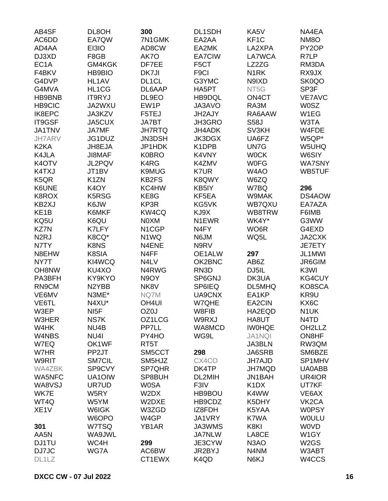| AB4SF             | DL8OH             | 300                | DL1SDH             | KA5V                          | NA4EA                         |
|-------------------|-------------------|--------------------|--------------------|-------------------------------|-------------------------------|
| AC6DD             | EA7QW             | 7N1GMK             | EA2AA              | KF <sub>1</sub> C             | NM <sub>8</sub> O             |
| AD4AA             | EI3IO             | AD8CW              | EA2MK              | LA2XPA                        | PY <sub>2</sub> OP            |
| DJ3XD             | F8GB              | AK7O               | EA7CIW             | LA7WCA                        | R7LP                          |
| EC <sub>1</sub> A | GM4KGK            | DF7EE              | F5CT               | LZ2ZG                         | RM3DA                         |
| F4BKV             | <b>HB9BIO</b>     | DK7JI              | F <sub>9</sub> Cl  | N <sub>1</sub> RK             | RX9JX                         |
| G4DVP             |                   |                    |                    |                               |                               |
|                   | HL1AV             | DL <sub>1</sub> CL | G3YMC              | N9IXD                         | SK0QO                         |
| G4MVA             | HL1CG             | DL6AAP             | HA5PT              | NT5G                          | SP3F                          |
| HB9BNB            | <b>IT9RYJ</b>     | DL9EO              | HB9DQL             | ON <sub>4</sub> CT            | <b>VE7AVC</b>                 |
| <b>HB9CIC</b>     | JA2WXU            | EW1P               | JA3AVO             | RA3M                          | <b>W0SZ</b>                   |
| IK8EPC            | JA3KZV            | F5TEJ              | JH2AJY             | RA6AAW                        | W1EG                          |
| IT9GSF            | JA5CUX            | <b>JA7BT</b>       | JH3GRO             | <b>S58J</b>                   | W3TA                          |
| <b>JA1TNV</b>     | <b>JA7MF</b>      | <b>JH7RTQ</b>      | JH4ADK             | SV3KH                         | W4FDE                         |
| <b>JH7ARV</b>     | JG1DUZ            | JN3DSH             | <b>JK3DGX</b>      | UA6FZ                         | W5QP*                         |
| K <sub>2</sub> KA | JH8EJA            | JP1HDK             | K <sub>1</sub> DPB | UN7G                          | W5UHQ                         |
| K4JLA             | <b>JI8MAF</b>     | <b>K0BRO</b>       | K4VNY              | <b>WOCK</b>                   | W6SIY                         |
| K4OTV             | JL2PQV            | K4RG               | K4ZMV              | <b>WOFG</b>                   | <b>WA7SNY</b>                 |
| K4TXJ             | JT1BV             | <b>K9MUG</b>       | K7UR               | W4AO                          | WB5TUF                        |
| K <sub>5</sub> QR | K <sub>1</sub> ZN | KB2FS              | K8QWY              | W6ZQ                          |                               |
| K6UNE             | K4OY              | KC4HW              | KB5IY              | W7BQ                          | 296                           |
| K8ROX             | K5RSG             | KE8G               | KF5EA              | W9MAK                         | DS4AOW                        |
| KB2XJ             | K6JW              | KP3R               | KG5VK              | WB7QXU                        | EA7AZA                        |
| KE <sub>1</sub> B | K6MKF             | KW4CQ              | KJ9X               | WB8TRW                        | F6IMB                         |
| KQ5U              | K6QU              | N0XM               | N1EWR              | WK4Y*                         | G3WW                          |
| KZ7N              | K7LFY             | N <sub>1</sub> CGP | N <sub>4</sub> FY  | WO6R                          | G4EXD                         |
|                   |                   |                    |                    |                               |                               |
| N <sub>2</sub> RJ | K8CQ*             | N1WQ               | N6JM               | WQ5L                          | JA2CXK                        |
| N7TY              | K8NS              | N4ENE              | N9RV               |                               | JE7ETY                        |
| N8EHW             | K8SIA             | N4FF               | OE1ALW             | 297                           | JL1MWI                        |
| NY7T              | KI4WCQ            | N4LV               | OK2BNC             | AB6Z                          | JR6GIM                        |
| OH8NW             | KU4XO             | N4RWG              | RN <sub>3</sub> D  | DJ5IL                         | K3WI                          |
| PA3BFH            | KY9KYO            | N9OY               | SP6GNJ             | DK3UA                         | <b>KG4CUY</b>                 |
| RN9CM             | N2YBB             | NK8V               | SP6IEQ             | DL5MHQ                        | KO8SCA                        |
| VE6MV             | N3ME*             | NQ7M               | UA9CNX             | EA1KP                         | KR9U                          |
| VE6TL             | N4XU*             | OH <sub>4UI</sub>  | W7QHE              | EA2CIN                        | KX6C                          |
| W3EP              | NI <sub>5</sub> F | OZ0J               | W8FIB              | HA2EQD                        | N <sub>1</sub> UK             |
| W3HER             | NS7K              | OZ1LCG             | W9RXJ              | HA8UT                         | N <sub>4</sub> T <sub>D</sub> |
| W4HK              | NU4B              | PP7LL              | WA8MCD             | <b>IWOHQE</b>                 | OH <sub>2</sub> LLZ           |
| W4NBS             | NU4I              | PY4HO              | WG9L               | <b>JA1NQI</b>                 | ON8HF                         |
| W7EQ              | OK1WF             | RT5T               |                    | JA3BLN                        | RW3QM                         |
| W7HR              | PP <sub>2JT</sub> | SM5CCT             | 298                | JA6SRB                        | SM6BZE                        |
| W9RIT             | SM7CIL            | SM5HJZ             | CX4CO              | <b>JH7AJD</b>                 | SP1MHV                        |
| <b>WA4ZBK</b>     | SP9CVY            | SP7QHR             | DK4TP              | JH7MQD                        | <b>UA0ABB</b>                 |
| <b>WA5NFC</b>     | UA1OIW            | SP8BUH             | DL2MIH             | JN1BAH                        | UR4IOR                        |
| WA8VSJ            | UR7UD             | <b>W0SA</b>        | F3IV               | K <sub>1</sub> D <sub>X</sub> | UT7KF                         |
| WK7E              | W5RY              | W2DX               | HB9BOU             | K4WW                          | VE6AX                         |
| WT4Q              | W5YM              | W2DXE              | HB9CDZ             | K5DHY                         | VK <sub>2</sub> CA            |
| XE <sub>1</sub> V | W6IGK             | W3ZGD              | IZ8FDH             | K5YAA                         | <b>W0PSY</b>                  |
|                   |                   |                    |                    |                               |                               |
|                   | W6OPO             | W4GP               | JA1VRY             | K7WA                          | <b>WOULU</b>                  |
| 301               | W7TSQ             | YB1AR              | JA3WMS             | K8KI                          | <b>WOVD</b>                   |
| AA5N              | WA9JWL            |                    | <b>JA7NLW</b>      | LA8CE                         | W1GY                          |
| DJ1TU             | WC4H              | 299                | JE3CYW             | N <sub>3</sub> AO             | W <sub>2</sub> GS             |
| DJ7JC             | WG7A              | AC6BW              | JR2BYJ             | N4NM                          | W3ABT                         |
| DL1LZ             |                   | CT1EWX             | K4QD               | N6KJ                          | W4CCS                         |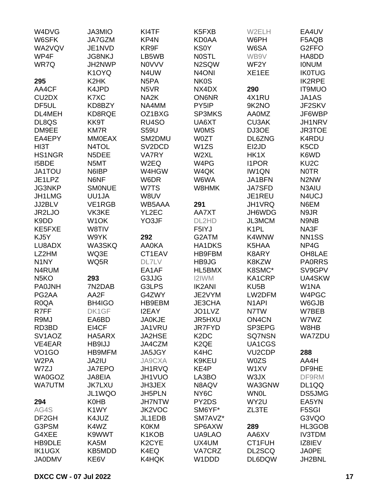| W4DVG                          | JA3MIO             | KI4TF              | K <sub>5</sub> F <sub>XB</sub> | W2ELH               | EA4UV                         |
|--------------------------------|--------------------|--------------------|--------------------------------|---------------------|-------------------------------|
| W6SFK                          | JA7GZM             | KP4N               | <b>KD0AA</b>                   | W6PH                | F5AQB                         |
| WA2VQV                         | JE1NVD             | KR9F               | <b>KS0Y</b>                    | W6SA                | G <sub>2</sub> FFO            |
| WP4F                           | <b>JG8NKJ</b>      | LB5WB              | <b>NOSTL</b>                   | WB9V                | HA8DD                         |
| WR7Q                           | JH2NWP             | <b>NOVVV</b>       | N2SQW                          | WF2Y                | <b>IONUM</b>                  |
|                                | K <sub>1</sub> OYQ | N4UW               | N <sub>4</sub> ONI             | XE1EE               | <b>IK0TUG</b>                 |
| 295                            | K <sub>2</sub> HK  | N <sub>5</sub> PA  | <b>NK0S</b>                    |                     | <b>IK2RPE</b>                 |
| AA4CF                          | K4JPD              | N <sub>5</sub> VR  | NX4DX                          | 290                 | <b>IT9MUO</b>                 |
| CU <sub>2</sub> D <sub>X</sub> | K7XC               | NA <sub>2</sub> K  | <b>ON6NR</b>                   | 4X1RU               | JA1AS                         |
| DF <sub>5UL</sub>              | KD8BZY             | NA4MM              | PY5IP                          | 9K2NO               | JF2SKV                        |
| DL4MEH                         | KD8RQE             | OZ1BXG             | <b>SP3MKS</b>                  | <b>AA0MZ</b>        | JF6WBP                        |
|                                |                    |                    |                                |                     |                               |
| DL8QS                          | KK9T               | RU4SO              | UA6XT                          | <b>CU3AK</b>        | JH1NRV                        |
| DM9EE                          | <b>KM7R</b>        | <b>S59U</b>        | <b>WOMS</b>                    | DJ3OE               | <b>JR3TOE</b>                 |
| EA4EPY                         | <b>MM0EAX</b>      | SM2DMU             | <b>W0ZT</b>                    | DL6ZNG              | K4RDU                         |
| HI3T                           | N4TOL              | SV2DCD             | W <sub>1</sub> ZS              | EI2JD               | K <sub>5</sub> C <sub>D</sub> |
| <b>HS1NGR</b>                  | N5DEE              | <b>VA7RY</b>       | W <sub>2</sub> XL              | HK1X                | K6WD                          |
| I5BDE                          | N5MT               | W2EQ               | W4PG                           | <b>I1POR</b>        | KU <sub>2</sub> C             |
| JA1TOU                         | N6IBP              | W4HGW              | W4QK                           | <b>IW1QN</b>        | <b>NOTR</b>                   |
| JE1LPZ                         | N6NF               | W6DR               | W6WA                           | JA1BFN              | N <sub>2</sub> N <sub>W</sub> |
| JG3NKP                         | <b>SMONUE</b>      | W7TS               | W8HMK                          | <b>JA7SFD</b>       | N3AIU                         |
| JH1LMG                         | UU1JA              | W8UV               |                                | JE1REU              | N4UCJ                         |
| JJ2BLV                         | VE1RGB             | WB5AAA             | 291                            | JH1VRQ              | N6EM                          |
| JR2LJO                         | VK3KE              | YL2EC              | AA7XT                          | JH6WDG              | N9JR                          |
| K9DD                           | W <sub>1</sub> OK  | YO3JF              | DL2HD                          | <b>JL3MCM</b>       | N9NB                          |
| KE5FXE                         | W8TIV              |                    | F5IYJ                          | K <sub>1</sub> PL   | NA3F                          |
| KJ5Y                           | W9YK               | 292                | G2ATM                          | K4WNW               | NN <sub>1</sub> SS            |
| LU8ADX                         | WA3SKQ             | <b>AA0KA</b>       | <b>HA1DKS</b>                  | K5HAA               | NP4G                          |
| LZ2HM                          | WQ3E               | CT1EAV             | <b>HB9FBM</b>                  | K8ARY               | OH8LAE                        |
| N <sub>1</sub> NY              | WQ5R               | DL7LV              | HB9JG                          | K8KZW               | <b>PA0RRS</b>                 |
| N4RUM                          |                    | EA1AF              | HL5BMX                         | K8SMC*              | SV9GPV                        |
| N <sub>5</sub> KO              | 293                | G3JJG              | <b>I2IWM</b>                   | KA1CRP              | UA4SKW                        |
| <b>PA0JNH</b>                  | 7N2DAB             | G3LPS              | <b>IK2ANI</b>                  | KU <sub>5</sub> B   | W1NA                          |
| PG2AA                          | AA2F               | G4ZWY              | JE2VYM                         | LW2DFM              | W4PGC                         |
| R <sub>0</sub> QA              | BH4IGO             | HB9EBM             | JE3CHA                         | N <sub>1</sub> API  | W6GJB                         |
| R7FF                           | DK1GF              | I2EAY              | JO1LVZ                         | N7TW                | W7BEB                         |
| R9MJ                           | EA6BD              | <b>JA0KJE</b>      | JR5HXU                         | ON <sub>4</sub> CN  | W7WZ                          |
| RD3BD                          | EI4CF              | JA1VRU             | <b>JR7FYD</b>                  | SP3EPG              | W8HB                          |
| SV <sub>1</sub> AOZ            | HA5ARX             | <b>JA2HSE</b>      | K <sub>2</sub> D <sub>C</sub>  | SQ7NSN              | <b>WA7ZDU</b>                 |
| VE4EAR                         | HB9IJJ             | JA4CZM             | K <sub>2</sub> QE              | UA1CGS              |                               |
| VO <sub>1</sub> GO             | <b>HB9MFM</b>      | JA5JGY             | K4HC                           | VU <sub>2</sub> CDP | 288                           |
| W <sub>2</sub> PA              | JA2IU              | <b>JA9CXA</b>      | K9KEU                          | W0ZS                | AA4H                          |
| W7ZJ                           | JA7EPO             |                    | KE4P                           | W1XV                | DF9HE                         |
|                                |                    | JH1RVQ             |                                |                     | DF9RM                         |
| WA0GOZ                         | JA8EIA             | JH1VUO             | LA3BO                          | W3JX                |                               |
| <b>WA7UTM</b>                  | <b>JK7LXU</b>      | JH3JEX             | N8AQV                          | WA3GNW              | DL1QQ                         |
|                                | JL1WQO             | JH5PLN             | NY <sub>6</sub> C              | <b>WN0L</b>         | DS5JMG                        |
| 294                            | <b>K0HB</b>        | <b>JH7NTW</b>      | PY2DS                          | WY2U                | EA5YN                         |
| AG4S                           | K1WY               | JK2VOC             | SM6YF*                         | ZL3TE               | F5SGI                         |
| DF <sub>2GH</sub>              | K4JUZ              | JL1EDB             | SM7AVZ*                        |                     | G3VQO                         |
| G3PSM                          | K4WZ               | <b>K0KM</b>        | SP6AXW                         | 289                 | HL3GOB                        |
| G4XEE                          | K9WWT              | K1KOB              | UA9LAO                         | AA6XV               | <b>IV3TDM</b>                 |
| HB9DLE                         | KA5M               | K <sub>2</sub> CYE | UX4UM                          | CT1FUH              | IZ8IEV                        |
| <b>IK1UGX</b>                  | KB5MDD             | K4EQ               | VA7CRZ                         | DL2SCQ              | <b>JA0PE</b>                  |
| <b>JA0DMV</b>                  | KE6V               | K4HQK              | W1DDD                          | DL6DQW              | JH2BNL                        |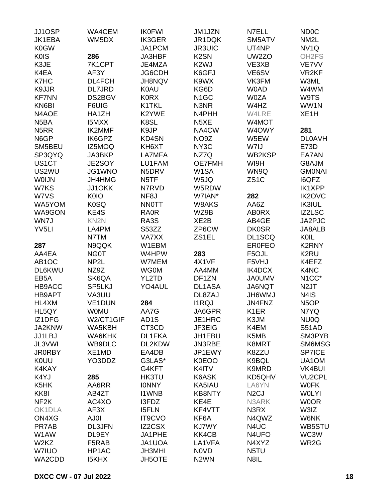| JJ1OSP                        | WA4CEM            | <b>IK0FWI</b>     | JM1JZN            | N7ELL             | <b>ND0C</b>        |
|-------------------------------|-------------------|-------------------|-------------------|-------------------|--------------------|
| JK1EBA                        | WM5DX             | <b>IK3GER</b>     | JR1DQK            | SM5ATV            | NM <sub>2</sub> L  |
| <b>K0GW</b>                   |                   | JA1PCM            | <b>JR3UIC</b>     | UT4NP             | NV <sub>1Q</sub>   |
| <b>K0IS</b>                   | 286               | JA3HBF            | K <sub>2</sub> SN | UW2ZO             | OH <sub>2</sub> FS |
| K3JE                          | 7K1CPT            | JE4MZA            | K <sub>2</sub> WJ | VE3XB             | VE7VV              |
| K4EA                          | AF3Y              | JG6CDH            | K6GFJ             | VE6SV             | VR <sub>2KF</sub>  |
|                               |                   |                   |                   |                   |                    |
| K7HC                          | DL4FCH            | JH8NQV            | K9WX              | VK3FM             | W3ML               |
| K9JJR                         | <b>DL7JRD</b>     | <b>K0AU</b>       | KG6D              | <b>WOAD</b>       | W4WM               |
| <b>KF7NN</b>                  | DS2BGV            | <b>K0RX</b>       | N <sub>1</sub> GC | <b>W0ZA</b>       | W9TS               |
| KN6BI                         | F6UIG             | K1TKL             | N3NR              | W4HZ              | WW1N               |
| N4AOE                         | HA1ZH             | K2YWE             | N4PHH             | W4LRE             | XE <sub>1</sub> H  |
| N <sub>5</sub> BA             | <b>I5MXX</b>      | K8SL              | N <sub>5</sub> XE | W4MOT             |                    |
| N <sub>5</sub> RR             | <b>IK2MMF</b>     | K9JP              | NA4CW             | W4OWY             | 281                |
| N6GP                          | IK6GPZ            | KD4SN             | NO9Z              | W5EW              | <b>DL0AVH</b>      |
| SM5BEU                        | IZ5MOQ            | KH6XT             | NY3C              | W7IJ              | E73D               |
| SP3QYQ                        | JA3BKP            | LA7MFA            | NZ7Q              | WB2KSP            | EA7AN              |
| US1CT                         | JE2SOY            | LU1FAM            | <b>OE7FMH</b>     | WI9H              | G8AJM              |
| US2WU                         | <b>JG1WNO</b>     | N5DRV             | W <sub>1</sub> SA | WN9Q              | <b>GMONAI</b>      |
| <b>WOIJN</b>                  | JH4HMG            | N <sub>5</sub> TF | W5JQ              | ZS <sub>1</sub> C | <b>I6QFZ</b>       |
| W7KS                          | JJ1OKK            | N7RVD             | W5RDW             |                   | <b>IK1XPP</b>      |
| W7VS                          | <b>K0IO</b>       | NF <sub>8</sub> J | W7IAN*            | 282               | <b>IK2OVC</b>      |
| WA5YOM                        | <b>K0SQ</b>       | <b>NNOTT</b>      | W8AKS             | AA6Z              | <b>IK3IUL</b>      |
| WA9GON                        | KE4S              | <b>RA0R</b>       | WZ9B              | <b>ABORX</b>      | IZ2LSC             |
| WN7J                          | KN <sub>2N</sub>  | RA3S              | XE <sub>2</sub> B | AB4GE             | JA2PJC             |
| YV <sub>5LI</sub>             | LA4PM             | S53ZZ             | ZP6CW             | <b>DK0SR</b>      | JA8ALB             |
|                               |                   |                   |                   | DL1SCQ            | KOIL               |
|                               | N7TM              | <b>VA7XX</b>      | ZS1EL             |                   |                    |
| 287                           | N9QQK             | W1EBM             |                   | <b>ER0FEO</b>     | <b>K2RNY</b>       |
| AA4EA                         | NG0T              | W4HPW             | 283               | F5OJL             | K <sub>2</sub> RU  |
| AB <sub>1</sub> OC            | NP <sub>2</sub> L | W7MEM             | 4X1VF             | F5VHJ             | K4EFZ              |
| <b>DL6KWU</b>                 | NZ9Z              | <b>WG0M</b>       | AA4MM             | IK4DCX            | K4NC               |
| EB <sub>5</sub> A             | SK6QA             | YL2TD             | DF1ZN             | <b>JA0UMV</b>     | N <sub>1</sub> CC* |
| HB9ACC                        | SP5LKJ            | YO4AUL            | DL1ASA            | JA6NQT            | N <sub>2</sub> JT  |
| <b>HB9APT</b>                 | VA3UU             |                   | DL8ZAJ            | <b>JH6WMJ</b>     | N4IS               |
| HL4XM                         | VE1DUN            | 284               | <b>I1RQJ</b>      | JN4FNZ            | N <sub>5</sub> OP  |
| HL5QY                         | <b>WOMU</b>       | AA7G              | JA6GPR            | K <sub>1</sub> ER | N7YQ               |
| IZ1DFG                        | W2/CT1GIF         | AD <sub>1</sub> S | JE1HRC            | K3JM              | NU0Q               |
| JA2KNW                        | WA5KBH            | CT3CD             | JF3EIG            | K4EM              | S51AD              |
| JJ1LBJ                        | WA6KHK            | DL1FKA            | JH1EBU            | K5MB              | SM3PYB             |
| JL3VWI                        | WB9DLC            | DL2KDW            | JN3RBE            | K8MRT             | SM6MSG             |
| <b>JR0RBY</b>                 | XE1MD             | EA4DB             | JP1EWY            | K8ZZU             | <b>SP7ICE</b>      |
| <b>K0UU</b>                   | YO3DDZ            | G3LAS*            | <b>K0EOO</b>      | K9BQL             | UA1OM              |
| K4KAY                         |                   | G4KFT             | K4ITV             | K9MRD             | <b>VK4BUI</b>      |
| K4YJ                          | 285               | <b>HK3TU</b>      | K6ASK             | KD5QHV            | <b>VU2CPL</b>      |
| K5HK                          | AA6RR             | <b>IONNY</b>      | KA5IAU            | LA6YN             | <b>WOFK</b>        |
| KK8I                          | AB4ZT             | <b>I1WNB</b>      | <b>KB8NTY</b>     | N <sub>2</sub> CJ | <b>WOLYI</b>       |
| NF <sub>2</sub> K             | AC4XO             | I3FDZ             | KE4E              | N3ARK             | <b>WOOR</b>        |
| OK1DLA                        | AF3X              | <b>I5FLN</b>      | KF4VTT            | N3RX              | W3IZ               |
|                               |                   |                   |                   |                   |                    |
| ON4XG                         | <b>AJ0I</b>       | <b>IT9CVO</b>     | KF6A              | N4QWZ             | W6NK               |
| PR7AB                         | <b>DL3JFN</b>     | <b>IZ2CSX</b>     | KJ7WY             | N4UC              | WB5STU             |
| W1AW                          | DL9EY             | JA1PHE            | KK4CB             | N4UFO             | WC3W               |
| W <sub>2</sub> K <sub>Z</sub> | F5RAB             | JA1UOA            | LA1VFA            | N4XYZ             | WR2G               |
| <b>W7IUO</b>                  | HP1AC             | <b>JH3MHI</b>     | N0VD              | N5TU              |                    |
| WA2CDD                        | <b>I5KHX</b>      | <b>JH5OTE</b>     | N <sub>2</sub> WN | N8IL              |                    |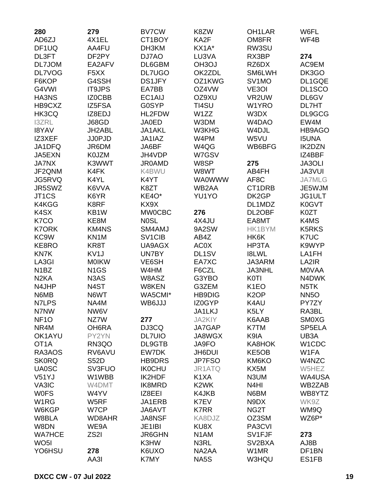| 280                | 279               | <b>BV7CW</b>        | K8ZW              | OH <sub>1</sub> LAR | W6FL                           |
|--------------------|-------------------|---------------------|-------------------|---------------------|--------------------------------|
| AD6ZJ              | 4X1EL             | CT1BOY              | KA2F              | OM8FR               | WF4B                           |
| DF <sub>1</sub> UQ | AA4FU             | DH3KM               | KX1A*             | RW3SU               |                                |
| DL3FT              | DF2PY             | DJ7AO               | LU3VA             | RX3BP               | 274                            |
| DL7JOM             | EA2AFV            | DL6GBM              | OH3OJ             | RZ6DX               | AC9EM                          |
| <b>DL7VOG</b>      | F <sub>5</sub> XX | <b>DL7UGO</b>       | OK2ZDL            | SM6LWH              | DK3GO                          |
| F6KOP              | G4SSH             | <b>DS1JFY</b>       | OZ1KWG            | SV <sub>1</sub> MO  | DL1GQE                         |
| G4VWI              | <b>IT9JPS</b>     | EA7BB               | OZ4VW             | VE3OI               | DL1SCO                         |
| HA3NS              | IZ0CBB            | EC1AIJ              | OZ9XU             | VR2UW               | DL6GV                          |
| HB9CXZ             | IZ5FSA            | <b>G0SYP</b>        | TI4SU             | W1YRO               | DL7HT                          |
| HK3CQ              | IZ8EDJ            | HL2FDW              | W1ZZ              | W3DX                | DL9GCG                         |
| <b>I3ZRL</b>       | J68GD             | <b>JA0ED</b>        | W3DM              | W4DAO               | EW4M                           |
| <b>I8YAV</b>       | JH2ABL            | JA1AKL              | W3KHG             | W4DJL               | HB9AGO                         |
| IZ3XEF             | <b>JJ0PJD</b>     | JA1IAZ              | W4PM              | W5VU                | <b>I5UNA</b>                   |
| JA1DFQ             | JR6DM             | JA6BF               | W4QG              | WB6BFG              | <b>IK2DZN</b>                  |
| JA5EXN             | K0JZM             | JH4VDP              | W7GSV             |                     | IZ4BBF                         |
| <b>JA7NX</b>       | K3WWT             | <b>JR0AMD</b>       | W8SP              | 275                 | JA3OLI                         |
| JF2QNM             | K4FK              | K4BWU               | W8WT              | AB4FH               | JA3VUI                         |
| JG5RVQ             | K4YL              | K4YT                | <b>WA0WWW</b>     | AF8C                | <b>JA7MLG</b>                  |
| JR5SWZ             | K6VVA             | K8ZT                | WB2AA             | CT1DRB              | JE5WJM                         |
| JT <sub>1</sub> CS | K6YR              | KE4O*               | YU1YO             | DK2GP               | JG1ULT                         |
| K4KGG              |                   |                     |                   |                     |                                |
|                    | K8RF              | KX9X                |                   | DL1MDZ              | K0GVT                          |
| K <sub>4</sub> SX  | KB1W              | <b>MW0CBC</b>       | 276               | DL2OBF              | K0ZT                           |
| K7CO               | KE8M              | <b>NOSL</b>         | 4X4JU             | EA8MT               | K4MS                           |
| <b>K7ORK</b>       | <b>KM4NS</b>      | SM4AMJ              | 9A2SW             | HK1BYM              | K5RKS                          |
| KC9W               | KN <sub>1</sub> M | SV <sub>1</sub> CIB | AB4Z              | HK6K                | K7UC                           |
| KE8RO              | KR8T              | UA9AGX              | <b>AC0X</b>       | HP3TA               | K9WYP                          |
| <b>KN7K</b>        | KV <sub>1</sub> J | UN7BY               | DL1SV             | <b>I8LWL</b>        | LA1FH                          |
| LA3GI              | <b>MOIKW</b>      | VE6SH               | EA7XC             | JA3ARM              | LA2IR                          |
| N <sub>1</sub> BZ  | N <sub>1</sub> GS | W4HM                | F6CZL             | <b>JA3NHL</b>       | <b>MOVAA</b>                   |
| N <sub>2</sub> KA  | N3AS              | W8ASZ               | G3YBO             | <b>K0TI</b>         | N4DWK                          |
| N4JHP              | N4ST              | W8KEN               | G3ZEM             | K <sub>1</sub> EO   | N <sub>5</sub> TK              |
| N6MB               | N6WT              | WA5CMI*             | <b>HB9DIG</b>     | K <sub>2</sub> OP   | <b>NN5O</b>                    |
| N7LPS              | NA4M              | WB6JJJ              | IZ0GYP            | K4AU                | PY7ZY                          |
| N7NW               | NW6V              |                     | JA1LKJ            | K5LY                | RA3BL                          |
| NF <sub>10</sub>   | NZ7W              | 277                 | JA2KIY            | K6AAB               | <b>SM0XG</b>                   |
| NR4M               | OH6RA             | DJ3CQ               | JA7GAP            | K7TM                | SP5ELA                         |
| OK1AYU             | PY2YN             | <b>DL7UIO</b>       | JA8WGX            | K9IA                | UB3A                           |
| OT <sub>1</sub> A  | RN3QO             | DL9GTB              | JA9FO             | KA8HOK              | W <sub>1</sub> CD <sub>C</sub> |
| RA3AOS             | RV6AVU            | EW7DK               | JH6DUI            | KE5OB               | W1FA                           |
| <b>SK0RQ</b>       | <b>S52D</b>       | <b>HB9DRS</b>       | JP7FSO            | KM6KO               | W4NZC                          |
| <b>UA0SC</b>       | SV3FUO            | <b>IK0CHU</b>       | JR1ATQ            | KX5M                | W5HEZ                          |
| V51YJ              | W1WBB             | IK2HDF              | K <sub>1</sub> XA | N3UM                | WA4USA                         |
| VA3IC              | W4DMT             | IK8MRD              | K <sub>2</sub> WK | N <sub>4</sub> HI   | WB2ZAB                         |
| <b>WOFS</b>        | W4YV              | IZ8EEI              | K4JKB             | N6BM                | WB8YTZ                         |
| W <sub>1</sub> RG  | W5RF              | JA1ERB              | K7EV              | N9DX                | WK9Z                           |
| W6KGP              | W7CP              | JA6AVT              | <b>K7RR</b>       | NG <sub>2</sub> T   | WM9Q                           |
| W8BLA              | WD8AHR            | <b>JA8NSF</b>       | KA8DJZ            | OZ3SM               | WZ6P*                          |
| W8DN               | WE9A              | JE1IBI              | KU8X              | PA3CVI              |                                |
| <b>WA7HCE</b>      | ZS <sub>2</sub> I | <b>JR6GHN</b>       | N <sub>1</sub> AM | SV1FJF              | 273                            |
| WO <sub>5</sub> I  |                   | K3HW                | N3RL              | SV <sub>2</sub> BXA | AJ8B                           |
| YO6HSU             | 278               | K6UXO               | NA2AA             | W1MR                | DF1BN                          |
|                    | AA3I              | K7MY                | NA5S              | W3HQU               | ES1FB                          |
|                    |                   |                     |                   |                     |                                |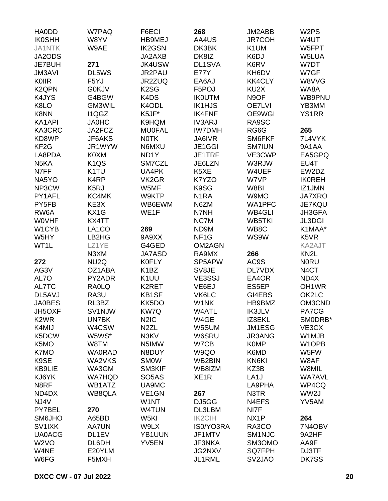| <b>HAODD</b>                  | W7PAQ              | F6ECI                         | 268               | JM2ABB            | W <sub>2</sub> PS             |
|-------------------------------|--------------------|-------------------------------|-------------------|-------------------|-------------------------------|
| <b>IK0SHH</b>                 | W8YV               | <b>HB9MEJ</b>                 | AA4US             | <b>JR7COH</b>     | W4UT                          |
| <b>JA1NTK</b>                 | W9AE               | <b>IK2GSN</b>                 | DK3BK             | K1UM              | W5FPT                         |
| JA2ODS                        |                    | JA2AXB                        | DK8IZ             | K6DJ              | W5LUA                         |
| <b>JE7BUH</b>                 | 271                | <b>JK4USW</b>                 | DL1SVA            | K6RV              | W7DT                          |
| <b>JM3AVI</b>                 | DL5WS              | JR2PAU                        | <b>E77Y</b>       | KH6DV             | W7GF                          |
| KOIIR                         | F5YJ               | JR2ZUQ                        | EA6AJ             | <b>KK4CLY</b>     | W8VVG                         |
| K <sub>2</sub> QPN            | <b>G0KJV</b>       | K <sub>2</sub> SG             | F5POJ             | KU2X              | WA8A                          |
| K4JYS                         | G4BGW              | K <sub>4</sub> D <sub>S</sub> | <b>IKOUTM</b>     | N9OF              | WB9PNU                        |
| K8LO                          | GM3WIL             | K4ODL                         | <b>IK1HJS</b>     | <b>OE7LVI</b>     | YB3MM                         |
| K8NN                          | I1QGZ              | K5JF*                         | <b>IK4FNF</b>     | OE9WGI            | <b>YS1RR</b>                  |
| KA1API                        | <b>JA0HC</b>       | K9HQM                         | <b>IV3ARJ</b>     | RA9SC             |                               |
| KA3CRC                        | JA2FCZ             | <b>MU0FAL</b>                 | <b>IW7DMH</b>     | RG6G              | 265                           |
| KD8WP                         | JF6AKS             | <b>NOTK</b>                   | JA6IVR            | SM6FKF            | 7L4VYK                        |
| KF <sub>2</sub> G             | JR1WYW             | N6MXU                         | JE1GGI            | <b>SM7IUN</b>     | 9A1AA                         |
| LA8PDA                        | K0XM               | ND <sub>1</sub> Y             | JE1TRF            | VE3CWP            | EA5GPQ                        |
| N <sub>5</sub> KA             | K <sub>1QS</sub>   | SM7CZL                        | JE6LZN            | W3RJW             | EU4T                          |
| N7FF                          | K <sub>1</sub> TU  | UA4PK                         | K5XE              | W4UEF             | EW2DZ                         |
| NA5YO                         | K <sub>4</sub> RP  | VK <sub>2</sub> GR            | K7YZO             | W7VP              | <b>IKOREH</b>                 |
| NP3CW                         | K <sub>5</sub> RJ  | W5MF                          | K9SG              | W8BI              | IZ1JMN                        |
| PY1AFL                        | KC4MK              | W9KTP                         | N <sub>1</sub> RA | W9MO              | <b>JA7XRO</b>                 |
| PY5FB                         | KE3X               | WB6EWM                        | N6ZM              | WA1PFC            | JE7KQU                        |
| RW6A                          | KX1G               | WE1F                          | N7NH              | WB4GLI            | JH3GFA                        |
| <b>WOVHF</b>                  | KX4TT              |                               | NC7M              | <b>WB5TKI</b>     | <b>JL3DGI</b>                 |
|                               |                    |                               |                   |                   |                               |
| W1CYB                         | LA <sub>1</sub> CO | 269                           | ND9M              | WB8C              | K1MAA*                        |
| W5HY                          | LB2HG              | 9A9XX                         | NF <sub>1</sub> G | WS9W              | K <sub>5</sub> V <sub>R</sub> |
| WT1L                          | LZ1YE              | G4GED                         | OM2AGN            |                   | KA2AJT                        |
|                               | N3XM               | <b>JA7ASD</b>                 | RA9MX             | 266               | KN <sub>2</sub> L             |
| 272                           | NU <sub>2</sub> Q  | <b>K0FLY</b>                  | SP5APW            | AC9S              | <b>NORU</b>                   |
| AG3V                          | OZ1ABA             | K <sub>1</sub> BZ             | SV8JE             | <b>DL7VDX</b>     | N <sub>4</sub> CT             |
| AL7O                          | PY2ADR             | K <sub>1</sub> UU             | VE3SSJ            | EA4OR             | ND4X                          |
| AL7TC                         | <b>RAOLQ</b>       | K2RET                         | VE6EJ             | ES5EP             | OH <sub>1</sub> WR            |
| DL5AVJ                        | RA3U               | KB1SF                         | VK6LC             | GI4EBS            | OK2LC                         |
| <b>JA0BES</b>                 | RL3BZ              | KK5DO                         | W1NK              | HB9BMZ            | OM3CND                        |
| JH5OXF                        | SV1NJW             | KW7Q                          | W4ATL             | <b>IK3JLV</b>     | PA7CG                         |
| K <sub>2</sub> W <sub>R</sub> | UN7BK              | N <sub>2</sub> I <sub>C</sub> | W4GE              | IZ8EKL            | SMODRB*                       |
| K4MIJ                         | W4CSW              | N <sub>2</sub> ZL             | W5SUM             | JM1ESG            | VE3CX                         |
| K5DCW                         | W5WS*              | N3KV                          | W6SRU             | JR3ANG            | W1MJB                         |
| K5MO                          | W8TM               | N5IMW                         | W7CB              | <b>K0MP</b>       | W1OPB                         |
| K7MO                          | <b>WA0RAD</b>      | N8DUY                         | W9QO              | K6MD              | W5FW                          |
| K9SE                          | WA2VKS             | <b>SMOW</b>                   | WB2BIN            | KN6KI             | W8AF                          |
| <b>KB9LIE</b>                 | WA3GM              | SM3KIF                        | WB8IZM            | KZ3B              | W8MIL                         |
| KJ6YK                         | <b>WA7HQD</b>      | SO <sub>5</sub> AS            | XE <sub>1</sub> R | LA <sub>1</sub> J | <b>WA7AVL</b>                 |
| N8RF                          | WB1ATZ             | UA9MC                         |                   | LA9PHA            | WP4CQ                         |
| ND4DX                         | WB8QLA             | VE <sub>1</sub> GN            | 267               | N3TR              | WW2J                          |
| NJ4V                          |                    | W1NT                          | DJ5GG             | N4EFS             | YV5AM                         |
| PY7BEL                        | 270                | W4TUN                         | DL3LBM            | NI7F              |                               |
| SM6JHO                        | A65BD              | W <sub>5KI</sub>              | <b>IK2CIH</b>     | NX <sub>1</sub> P | 264                           |
| SV1IXK                        | <b>AA7UN</b>       | W9LX                          | IS0/YO3RA         | RA3CO             | 7N4OBV                        |
| <b>UA0ACG</b>                 | DL1EV              | YB1UUN                        | JF1MTV            | SM1NJC            | 9A2HF                         |
| W <sub>2</sub> VO             | DL6DH              | YV5EN                         | JF3NKA            | SM3OMO            | AA9F                          |
| W4NE                          | E20YLM             |                               | JG2NXV            | <b>SQ7FPH</b>     | DJ3TF                         |
| W6FG                          | F5MXH              |                               | JL1RML            | SV2JAO            | DK7SS                         |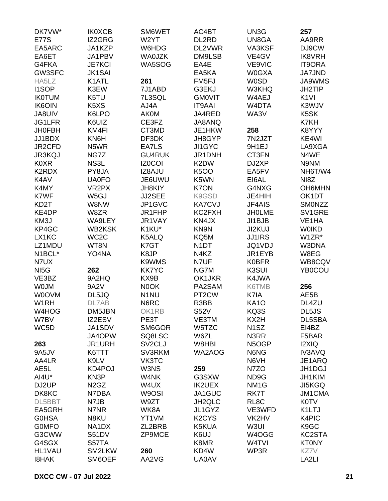| DK7VW*            | <b>IK0XCB</b>                 | SM6WET              | AC4BT                          | UN3G               | 257                |
|-------------------|-------------------------------|---------------------|--------------------------------|--------------------|--------------------|
| <b>E77S</b>       | IZ2GRG                        | W2YT                | DL2RD                          | UN8GA              | AA9RR              |
| EA5ARC            | JA1KZP                        | W6HDG               | DL2VWR                         | VA3KSF             | DJ9CW              |
| EA6ET             | JA1PBV                        | <b>WA0JZK</b>       | DM9LSB                         | VE4GV              | <b>IK8VRH</b>      |
| G4FKA             | <b>JE7KCI</b>                 | WA5SOG              | EA4E                           | VE9VIC             | <b>IT9ORA</b>      |
| GW3SFC            | <b>JK1SAI</b>                 |                     | EA5KA                          | W0GXA              | <b>JA7JND</b>      |
| HA5LZ             | K1ATL                         | 261                 | FM <sub>5FJ</sub>              | <b>W0SD</b>        | <b>JA9WMS</b>      |
| <b>I1SOP</b>      | K3EW                          | 7J1ABD              | G3EKJ                          | W3KHQ              | JH2TIP             |
| <b>IK0TUM</b>     | K5TU                          | 7L3SQL              | <b>GMOVIT</b>                  | W4AEJ              | K <sub>1VI</sub>   |
| <b>IK6OIN</b>     | K <sub>5</sub> X <sub>S</sub> | AJ4A                | <b>IT9AAI</b>                  | W <sub>4</sub> DTA | K3WJV              |
| JA8UIV            | K6LPO                         | <b>AK0M</b>         | JA4RED                         | WA3V               | K5SK               |
| <b>JG1LFR</b>     | K6UIZ                         | CE3FZ               | JA8ANQ                         |                    | K7KH               |
| <b>JH0FBH</b>     | KM4FI                         | CT3MD               | JE1HKW                         | 258                | K8YYY              |
| JJ1BDX            | KN6H                          | DF3DK               | JH8GYP                         | 7N2JZT             | KE4WI              |
|                   |                               |                     |                                |                    |                    |
| JR2CFD            | N <sub>5</sub> WR             | EA7LS               | JI1GYC                         | 9H1EJ              | LA9XGA             |
| <b>JR3KQJ</b>     | NG7Z                          | <b>GU4RUK</b>       | JR1DNH                         | CT3FN              | N4WE               |
| <b>K0XR</b>       | NS3L                          | <b>IZ0COI</b>       | K2DW                           | DJ2XP              | N9NM               |
| K2RDX             | PY8JA                         | IZ8AJU              | <b>K5OO</b>                    | EA5FV              | NH6T/W4            |
| K4AV              | <b>UA0FO</b>                  | JE6UWU              | K5WN                           | EI6AL              | NI8Z               |
| K4MY              | VR <sub>2</sub> PX            | <b>JH8KIY</b>       | K7ON                           | G4NXG              | <b>OH6MHN</b>      |
| K7WF              | W <sub>5</sub> GJ             | JJ2SEE              | K9GSD                          | JE4HIH             | OK1DT              |
| KD <sub>2</sub> T | W8NW                          | JP1GVC              | <b>KA7CVJ</b>                  | JF4AIS             | SMONZZ             |
| KE4DP             | W8ZR                          | JR1FHP              | KC2FXH                         | <b>JHOLME</b>      | SV1GRE             |
| KM3J              | WA9LEY                        | JR1VAY              | KN4JX                          | JI1BJB             | VE <sub>1</sub> HA |
| KP4GC             | <b>WB2KSK</b>                 | K1KU*               | KN9N                           | JI2KUJ             | <b>WOIKD</b>       |
| LX1KC             | WC <sub>2</sub> C             | K5ALQ               | KQ5M                           | <b>JJ1IRS</b>      | W1ZR*              |
| LZ1MDU            | WT8N                          | K7GT                | N <sub>1</sub> DT              | JQ1VDJ             | W3DNA              |
| N1BCL*            | YO4NA                         | K8JP                | N4KZ                           | JR1EYB             | W8EG               |
| N7UX              |                               | K9WMS               | N7UF                           | <b>K0BFR</b>       | WB8CQV             |
| NI <sub>5</sub> G | 262                           | <b>KK7YC</b>        | NG7M                           | K3SUI              | YB0COU             |
| VE3BZ             | 9A2HQ                         | KX9B                | OK1JKR                         | K4JWA              |                    |
| <b>WOJM</b>       | 9A2V                          | N0OK                | PA2SAM                         | K6TMB              | 256                |
| <b>WOOVM</b>      | DL5JQ                         | N <sub>1</sub> NU   | PT <sub>2</sub> CW             | K7IA               | AE5B               |
| W <sub>1</sub> RH | DL7AB                         | N6RC                | R3BB                           | <b>KA10</b>        | DL4ZU              |
| W4HOG             | DM5JBN                        | OK1RB               | S52V                           | KQ3S               | DL5JS              |
| W7BV              | IZ2ESV                        | PE3T                | VE3TM                          | KX2H               | DL5SBA             |
| WC5D              | JA1SDV                        | SM6GOR              | W5TZC                          | N <sub>1</sub> SZ  | EI4BZ              |
|                   | JA4OPW                        | SQ8LSC              | W6ZL                           | N3RR               | F5BAR              |
| 263               | JR1URH                        | SV <sub>2</sub> CLJ | W8HBI                          | N5OGP              | <b>I2XIQ</b>       |
| 9A5JV             | K6TTT                         | SV3RKM              | WA2AOG                         | N6NG               | <b>IV3AVQ</b>      |
| AA4LR             | K9LV                          | VK3TC               |                                | N6VH               | JE1ARQ             |
| AE <sub>5</sub> L | KD4POJ                        | W3NS                | 259                            | N7ZO               | JH1DGJ             |
| AI4U*             | KN3P                          | W4NK                | G3SXW                          | ND9G               | JH1KIM             |
| DJ2UP             | N <sub>2</sub> G <sub>Z</sub> | W4UX                | <b>IK2UEX</b>                  | NM <sub>1</sub> G  | <b>JI5KGQ</b>      |
| DK8KC             | N7DBA                         | W9OSI               | JA1GUC                         | RK7T               | <b>JM1CMA</b>      |
| DL5BBT            |                               | W9ZT                |                                |                    |                    |
|                   | N7JB                          |                     | JH2QLC                         | RL <sub>8</sub> C  | <b>K0TV</b>        |
| EA5GRH            | N7NR                          | WK8A                | JL1GYZ                         | VE3WFD             | K1LTJ              |
| <b>G0HSA</b>      | N8KU                          | YT1VM               | K <sub>2</sub> CY <sub>S</sub> | VK2HV              | K4PIC              |
| <b>GOMFO</b>      | NA1DX                         | ZL2BRB              | K5KUA                          | W3UI               | K9GC               |
| G3CWW             | S51DV                         | ZP9MCE              | K6UJ                           | W4OGG              | KC2STA             |
| G4SGX             | S57TA                         |                     | K8MR                           | W4TVI              | <b>KT0NY</b>       |
| <b>HL1VAU</b>     | SM2LKW                        | 260                 | KD4W                           | WP3R               | KZ7V               |
| <b>I8HAK</b>      | SM6OEF                        | AA2VG               | <b>UA0AV</b>                   |                    | LA2LI              |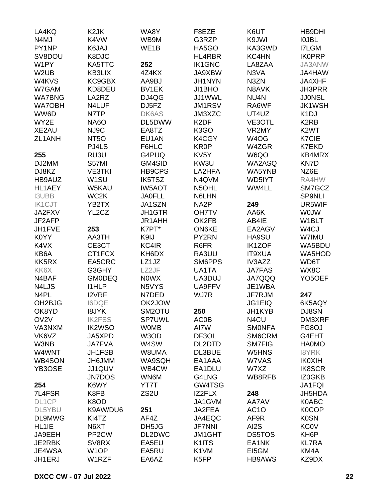| LA4KQ               | K <sub>2</sub> JK  | WA8Y              | F8EZE             | K6UT              | HB9DHI                        |
|---------------------|--------------------|-------------------|-------------------|-------------------|-------------------------------|
| N4MJ                | K4VW               | WB9M              | G3RZP             | K9JWI             | <b>IOJBL</b>                  |
| PY1NP               | K6JAJ              | WE <sub>1</sub> B | HA5GO             | KA3GWD            | <b>I7LGM</b>                  |
| SV8DOU              | K8DJC              |                   | HL4RBR            | KC4HN             | <b>IK0PRP</b>                 |
| W1PY                | KA5TTC             | 252               | <b>IK1GNC</b>     | LA8ZAA            | JA3ANW                        |
| W <sub>2</sub> UB   | KB3LIX             | 4Z4KX             | JA9XBW            | N3VA              | JA4HAW                        |
| W4KVS               | KC9GBX             | AA9BJ             | JH1NYN            | N3ZN              | JA4XHF                        |
| W7GAM               | KD8DEU             | BV1EK             | JI1BHO            | N8AVK             | <b>JH3PRR</b>                 |
| <b>WA7BNG</b>       | LA2RZ              | DJ4QG             | JJ1WWL            | NU4N              | <b>JJ0NSL</b>                 |
| <b>WA7OBH</b>       | N4LUF              | DJ5FZ             | <b>JM1RSV</b>     | RA6WF             | <b>JK1WSH</b>                 |
| WW6D                |                    | DK6AS             | JM3XZC            | UT4UZ             | K <sub>1</sub> DJ             |
| WY2E                | N7TP               | DL5DWW            | K <sub>2</sub> DF |                   | K <sub>2</sub> R <sub>B</sub> |
|                     | <b>NA6O</b>        |                   |                   | VE3OTL            | K <sub>2</sub> WT             |
| XE2AU               | NJ9C               | EA8TZ             | K <sub>3</sub> GO | VR2MY             |                               |
| ZL1ANH              | NT <sub>50</sub>   | EU1AN             | K4CGY             | W <sub>4</sub> OG | K7CIE                         |
|                     | PJ4LS              | F6HLC             | <b>KR0P</b>       | W4ZGR             | <b>K7EKD</b>                  |
| 255                 | RU3U               | G4PUQ             | KV <sub>5</sub> Y | W6QO              | KB4MRX                        |
| DJ2MM               | S57MI              | GM4SID            | KW3U              | WA2ASQ            | KN7D                          |
| DJ8KZ               | <b>VE3TKI</b>      | HB9CPS            | LA2HFA            | WA5YNB            | NZ6E                          |
| HB9AUZ              | W <sub>1</sub> SU  | IK5TSZ            | N4QVM             | WD5IYT            | RA4HW                         |
| HL1AEY              | W5KAU              | <b>IW5AOT</b>     | N5OHL             | WW4LL             | SM7GCZ                        |
| <b>I3UBB</b>        | WC <sub>2</sub> K  | <b>JA0FLL</b>     | N6LHN             |                   | <b>SP9NLI</b>                 |
| <b>IK1CJT</b>       | YB2TX              | JA1SZN            | NA <sub>2</sub> P | 249               | UR5WIF                        |
| JA2FXV              | YL2CZ              | JH1GTR            | <b>OH7TV</b>      | AA6K              | <b>WOJW</b>                   |
| JF2AFP              |                    | JR1AHH            | OK2FB             | AB4IE             | W1BLT                         |
| JH1FVE              | 253                | K7PT*             | <b>ON6KE</b>      | EA2AGV            | W4CJ                          |
| K0YY                | AA3TH              | K9IJ              | PY2RN             | HA9SU             | W7IMU                         |
| K4VX                | CE3CT              | KC4IR             | R6FR              | <b>IK1ZOF</b>     | WA5BDU                        |
| KB6A                | CT1FCX             | KH6DX             | RA3UU             | <b>IT9XUA</b>     | WA5HOD                        |
| KK5RX               | EA5CRC             | LZ1JZ             | SM6PPS            | IV3AZZ            | WD6T                          |
| KK6X                | G3GHY              | LZ2JF             | UA1TA             | <b>JA7FAS</b>     | WX8C                          |
| N4BAF               | <b>GM0DEQ</b>      | <b>NOWX</b>       | UA3DUJ            | <b>JA7QQQ</b>     | YO <sub>5</sub> OEF           |
| N4LJS               | <b>I1HLP</b>       | N5VYS             | UA9FFV            | JE1WBA            |                               |
| N <sub>4</sub> PL   | <b>I2VRF</b>       | N7DED             | WJ7R              | JF7RJM            | 247                           |
| OH <sub>2</sub> BJG | <b>I6DQE</b>       | OK2JOW            |                   | <b>JG1EIQ</b>     | 6K5AQY                        |
| OK8YD               | <b>I8JYK</b>       | SM2OTU            | 250               | JH1KYB            | DJ8SN                         |
| OV <sub>2V</sub>    | <b>IK2FSS</b>      | SP7UWL            | <b>AC0B</b>       | N4CU              | DM3XRF                        |
| VA3NXM              | <b>IK2WSO</b>      | <b>WOMB</b>       | AI7W              | <b>SMONFA</b>     | FG8OJ                         |
| VK6VZ               | JA5XPD             | W3OD              | DF3OL             | SM6CRM            | G4EHT                         |
| W3NB                | <b>JA7FVA</b>      | W4SW              | DL2DTD            | <b>SM7FIG</b>     | <b>HA0MO</b>                  |
| W4WNT               | JH1FSB             | W8UMA             | DL3BUE            | W5HNS             | <b>I8YRK</b>                  |
| WB4SON              | JH6JMM             | WA9SQH            | EA1AAA            | W7VAS             | <b>IK0XIH</b>                 |
| YB3OSE              | JJ1QUV             | WB4CW             | EA1DLU            | W7XZ              | <b>IK8SCR</b>                 |
|                     | <b>JN7DOS</b>      | WN6M              | G4LNG             | WB8RFB            | IZ0GKB                        |
|                     | K6WY               | YT7T              | GW4TSG            |                   |                               |
| 254                 |                    | ZS <sub>2U</sub>  |                   |                   | JA1FQI                        |
| 7L4FSR              | K8FB               |                   | IZ2FLX            | 248               | JH5HDA                        |
| DL1CP               | K8OD               |                   | JA1GVM            | AA7AV             | K0ABC                         |
| DL5YBU              | K9AW/DU6           | 251               | JA2FEA            | AC <sub>1</sub> O | <b>K0COP</b>                  |
| DL9MWG              | KI4TZ              | AF4Z              | JA4EQC            | AF9R              | <b>K0SN</b>                   |
| HL1IE               | N6XT               | DH5JG             | <b>JF7NNI</b>     | AI <sub>2</sub> S | <b>KC0V</b>                   |
| JA9EEH              | PP <sub>2</sub> CW | DL2DWC            | <b>JM1GHT</b>     | DS5TOS            | KH <sub>6</sub> P             |
| JE2RBK              | SV8RX              | EA5EU             | K1ITS             | EA1NK             | <b>KL7RA</b>                  |
| JE4WSA              | W <sub>1</sub> OP  | EA5RU             | K1VM              | EI5GM             | KM4A                          |
| JH1ERJ              | W1RZF              | EA6AZ             | K5FP              | <b>HB9AWS</b>     | KZ9DX                         |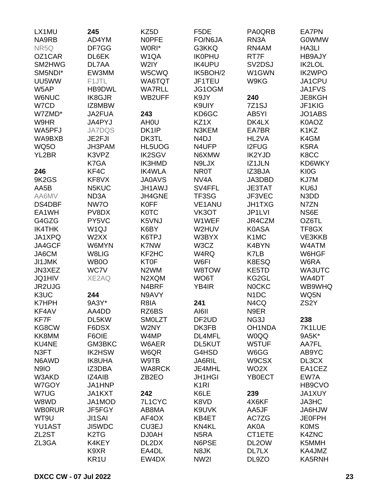| LX1MU         | 245                           | KZ5D               | F <sub>5</sub> DE  | PA0QRB                          | <b>EA7PN</b>                  |
|---------------|-------------------------------|--------------------|--------------------|---------------------------------|-------------------------------|
| NA9RB         | AD4YM                         | <b>NOPFE</b>       | FO/N6JA            | RN <sub>3</sub> A               | <b>G0WMW</b>                  |
| NR5Q          | DF7GG                         | W0RI*              | G3KKQ              | RN4AM                           | HA3LI                         |
| OZ1CAR        | DL6EK                         | W <sub>1</sub> QA  | <b>IK0PHU</b>      | RT7F                            | <b>HB9AJY</b>                 |
| SM2HWG        | DL7AA                         | W2IY               | <b>IK4UPU</b>      | SV <sub>2</sub> D <sub>SJ</sub> | <b>IK2LOL</b>                 |
| SM5NDI*       | EW3MM                         | W5CWQ              | IK5BOH/2           | W1GWN                           | <b>IK2WPO</b>                 |
| UU5WW         | F1JTL                         | WA6TQT             | JF1TEU             | W9KG                            | JA1CPU                        |
| W5AP          | HB9DWL                        | <b>WA7RLL</b>      | JG1OGM             |                                 | JA1FVS                        |
| <b>W6NUC</b>  | <b>IK8GJR</b>                 | WB2UFF             | K9JY               | 240                             | JE8KGH                        |
| W7CD          | IZ8MBW                        |                    | K9UIY              | 7Z1SJ                           | JF1KIG                        |
| W7ZMD*        | JA2FUA                        | 243                | KD6GC              | AB5YI                           | JO1ABS                        |
| W9HR          | JA4PYJ                        | AH <sub>0</sub> U  | KZ1X               | DK4LX                           | K0AOZ                         |
|               |                               | DK1IP              |                    |                                 | K <sub>1</sub> K <sub>Z</sub> |
| WA5PFJ        | <b>JA7DQS</b>                 |                    | N3KEM              | EA7BR                           |                               |
| WA9BXB        | JE2FJI                        | DK3TL              | N <sub>4</sub> DJ  | HL2VA                           | K4GM                          |
| <b>WQ5O</b>   | JH3PAM                        | HL5UOG             | N4UFP              | <b>I2FUG</b>                    | K5RA                          |
| YL2BR         | K3VPZ                         | <b>IK2SGV</b>      | N6XMW              | IK2YJD                          | K8CC                          |
|               | K7GA                          | <b>IK3HMD</b>      | N9LJX              | IZ1JLN                          | KD6WKY                        |
| 246           | KF4C                          | <b>IK4WLA</b>      | <b>NR0T</b>        | IZ3BJA                          | KI0G                          |
| 9K2GS         | KF8VX                         | <b>JA0AVS</b>      | NV <sub>4</sub> A  | JA3DBD                          | KJ7M                          |
| AA5B          | N5KUC                         | <b>JH1AWJ</b>      | SV4FFL             | <b>JE3TAT</b>                   | KU6J                          |
| AA6MV         | ND <sub>3</sub> A             | JH4GNE             | TF3SG              | JF3VEC                          | N3DD                          |
| DS4DBF        | NW7O                          | <b>K0FF</b>        | <b>VE1ANU</b>      | <b>JH1TXG</b>                   | N7ZN                          |
| EA1WH         | PV8DX                         | <b>K0TC</b>        | VK3OT              | JP1LVI                          | NS6E                          |
| G4GZG         | PY5VC                         | K5VNJ              | W1WEF              | JR4CZM                          | OZ6TL                         |
| <b>IK4THK</b> | W <sub>1Q</sub> J             | K6BY               | W2HUV              | <b>K0ASA</b>                    | TF8GX                         |
| JA1XPQ        | W2XX                          | K6TPJ              | W3BYX              | K <sub>1</sub> M <sub>C</sub>   | VE3KKB                        |
| JA4GCF        | W6MYN                         | K7NW               | W3CZ               | K4BYN                           | W4ATM                         |
| JA6CM         | W8LIG                         | KF2HC              | W4RQ               | K7LB                            | W6HGF                         |
| <b>JI1JMK</b> | WB0O                          | <b>KT0F</b>        | W6FI               | K8ESQ                           | W6RA                          |
| JN3XEZ        | WC7V                          | N <sub>2</sub> WM  | W8TOW              | KE5TD                           | WA3UTC                        |
| <b>JQ1HIV</b> | XE2AQ                         | N2XQM              | WO6T               | KG2GL                           | WA4DT                         |
| JR2UJG        |                               | N4BRF              | YB4IR              | <b>NOCKC</b>                    | WB9WHQ                        |
| K3UC          | 244                           | N9AVY              |                    | N <sub>1</sub> DC               | WQ5N                          |
| <b>K7HPH</b>  | 9A3Y*                         | R8IA               | 241                | N4CQ                            | ZS <sub>2</sub> Y             |
| KF4AV         | AA4DD                         | RZ6BS              | AI6II              | N9ER                            |                               |
| KF7F          | DL5KW                         | <b>SMOLZT</b>      | DF <sub>2</sub> UD | NG3J                            | 238                           |
| KG8CW         | F6DSX                         | W2NY               | DK3FB              | OH1NDA                          | 7K1LUE                        |
| KK8MM         | F6OIE                         | W4MP               | DL4MFL             | <b>W0QQ</b>                     | 9A5K*                         |
| <b>KU4NE</b>  | GM3BKC                        | W6AER              | DL5KUT             | W5TUF                           | AA7FL                         |
| N3FT          | <b>IK2HSW</b>                 | W6QR               | G4HSD              | W6GG                            | AB9YC                         |
| N6AWD         | <b>IK8UHA</b>                 | W9TB               | JA6RIL             | W9CSX                           | DL3CX                         |
| N9IO          | IZ3DBA                        | <b>WA8RCK</b>      | JE4MHL             | WO <sub>2</sub> X               | EA1CEZ                        |
| W3AKD         | <b>IZ4AIB</b>                 |                    | <b>JH1HGI</b>      |                                 |                               |
|               |                               | ZB <sub>2</sub> EO |                    | YB0ECT                          | EW7A                          |
| W7GOY         | JA1HNP                        |                    | K <sub>1</sub> RI  |                                 | HB9CVO                        |
| W7UG          | JA1KXT                        | 242                | K6LE               | 239                             | JA1XUY                        |
| W8WD          | JA1MOD                        | 7L1CYC             | K8VD               | 4X6KF                           | JA3HC                         |
| <b>WB0RUR</b> | JF5FGY                        | AB8MA              | K9UVK              | AA5JF                           | <b>JA6HJW</b>                 |
| WT9U          | <b>JI1SAI</b>                 | AF4OX              | KB4ET              | AC7ZG                           | <b>JE0FPH</b>                 |
| <b>YU1AST</b> | JI5WDC                        | CU3EJ              | KN4KL              | AK0A                            | <b>K0MS</b>                   |
| ZL2ST         | K <sub>2</sub> T <sub>G</sub> | <b>DJ0AH</b>       | N <sub>5</sub> RA  | CT1ETE                          | K4ZNC                         |
| ZL3GA         | K4KEY                         | DL2DX              | N6PSE              | DL2OW                           | K5MMH                         |
|               | K9XR                          | EA4DL              | N8JK               | DL7LX                           | KA4JMZ                        |
|               | KR1U                          | EW4DX              | NW2I               | DL9ZO                           | KA5RNH                        |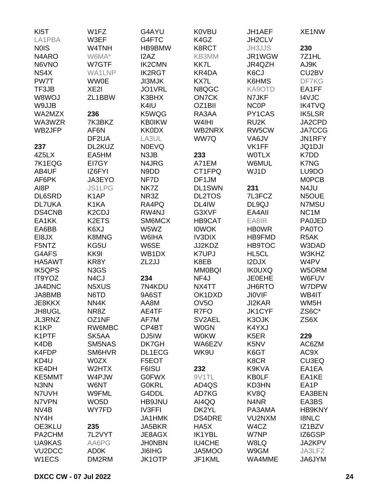| KI <sub>5</sub> T   | W1FZ                            | G4AYU          | <b>K0VBU</b>      | JH1AEF                                             | XE1NW             |
|---------------------|---------------------------------|----------------|-------------------|----------------------------------------------------|-------------------|
| LA1PBA              | W3EF                            | G4FTC          | K4GZ              | JH2CLV                                             |                   |
| <b>NOIS</b>         | W4TNH                           | HB9BMW         | K8RCT             | <b>JH3JJS</b>                                      | 230               |
| N4ARO               | W6MA*                           | I2AZ           | KB3MM             | JR1WGW                                             | 7Z1HL             |
| N6VNO               | W7GTF                           | <b>IK2CMN</b>  | <b>KK7L</b>       | JR4QZH                                             | AJ9K              |
| NS4X                | WA1LNP                          | <b>IK2RGT</b>  | KR4DA             | K6CJ                                               | CU2BV             |
| PW7T                | <b>WW0E</b>                     | <b>JI3MJK</b>  | KX7L              | K6HMS                                              | DF7KG             |
| TF3JB               | XE <sub>2</sub>                 | JO1VRL         | N8QGC             | KA9OTD                                             | EA1FF             |
| W8WOJ               | ZL1BBW                          | K3BHX          | <b>ON7CK</b>      | N7JKF                                              | <b>I4VJC</b>      |
| W9JJB               |                                 | K4IU           | OZ1BII            | <b>NCOP</b>                                        | <b>IK4TVQ</b>     |
| WA2MZX              | 236                             | K5WQG          | RA3AA             | PY1CAS                                             | <b>IK5LSR</b>     |
| WA3WZR              | 7K3BKZ                          | <b>KB0IKW</b>  | W4IHI             | RU <sub>2</sub> K                                  | JA2CPD            |
| WB2JFP              | AF6N                            | <b>KK0DX</b>   | WB2NRX            | RW5CW                                              | JA7CCG            |
|                     | DF <sub>2</sub> UA              | LA3UL          | WW7Q              | VA6JV                                              | JN1RFY            |
| 237                 | DL2KUZ                          | <b>NOEVQ</b>   |                   | VK1FF                                              | <b>JQ1DJI</b>     |
| 4Z5LX               | EA5HM                           | N3JB           | 233               | <b>WOTLX</b>                                       | K7DD              |
| 7K1EQG              | EI7GY                           | N4JRG          | A71EM             | W6MUL                                              | K7NG              |
| AB4UF               | IZ6FYI                          | N9DD           | CT1FPQ            | WJ1D                                               | LU9DO             |
| AF6PK               | JA3EYO                          | NF7D           | DF1JM             |                                                    | <b>MOPCB</b>      |
| AI8P                | <b>JS1LPG</b>                   | NK7Z           | <b>DL1SWN</b>     | 231                                                | N4JU              |
| <b>DL6SRD</b>       | K <sub>1</sub> AP               | NR3Z           | <b>DL2TOS</b>     | 7L3FCZ                                             | N5OUE             |
| <b>DL7UKA</b>       | K <sub>1</sub> KA               | RA4PQ          | DL4IW             | DL9QJ                                              | N7MSU             |
| DS4CNB              | K <sub>2</sub> C <sub>D</sub> J | RW4NJ          | G3XVF             | EA4AII                                             | NC <sub>1</sub> M |
| EA1KK               | K2ETS                           | SM6MCX         | HB9CAT            | EA8IR                                              | <b>PA0JED</b>     |
| EA6BB               | K6XJ                            | W5WZ           | <b>IOWOK</b>      | <b>HBOWR</b>                                       | <b>PA0TO</b>      |
| EI8JX               | <b>K8MNG</b>                    | W6IHA          | <b>IV3DIX</b>     | HB9FMD                                             | R <sub>5</sub> AK |
| F5NTZ               | KG5U                            | W6SE           | JJ2KDZ            | <b>HB9TOC</b>                                      | W3DAD             |
| G4AFS               | KK9I                            | WB1DX          | <b>K7UPJ</b>      | HL5CL                                              | W3KHZ             |
| HA5AWT              | KR8Y                            | ZL2JJ          | K8EB              | I2DJX                                              | W4PV              |
| <b>IK5QPS</b>       | N3GS                            |                | <b>MM0BQI</b>     | <b>IK0UXQ</b>                                      | W5ORM             |
| IT9YOZ              | N <sub>4</sub> CJ               | 234            | NF4J              | <b>JE0EHE</b>                                      | W6FUV             |
| JA4DNC              | N5XUS                           | 7N4KDU         | NX4TT             | JH6RTO                                             | W7DPW             |
| JA8BMB              | N6TD                            | 9A6ST          | OK1DXD            | <b>JIOVIF</b>                                      | WB4IT             |
| JE8KKX              | NN4K                            | AA8M           | OV <sub>5</sub> O | JI2KAR                                             | WM <sub>5</sub> H |
| JH8UGL              | NR8Z                            | AE4TF          | R7FO              | JK1CYF                                             | ZS6C*             |
| JL3RNZ              | OZ1NF                           | AF7M           | SV2AEL            | K3OJK                                              | ZS6X              |
| K <sub>1</sub> KP   | RW6MBC                          | CP4BT          | <b>W0GN</b>       | K4YXJ                                              |                   |
| K1PTF               | SK5AA                           |                | <b>W0KW</b>       |                                                    |                   |
| K4DB                | SM5NAS                          | DJ5IW<br>DK7GH | WA6EZV            | K <sub>5</sub> ER<br>K <sub>5</sub> N <sub>V</sub> | 229<br>AC6ZM      |
| K4FDP               | SM6HVR                          |                | WK9U              |                                                    |                   |
|                     |                                 | DL1ECG         |                   | K6GT                                               | AC9X              |
| KD4U                | <b>W0ZX</b><br>W2HTX            | F5EOT          |                   | K8CR<br>K9KVA                                      | CU3EQ             |
| KE4DH               |                                 | F6ISU          | 232               |                                                    | EA1EA             |
| KE5MMT              | W4PJW                           | <b>G0FWX</b>   | 9V1TL             | <b>KB0LF</b>                                       | EA1KE             |
| N3NN                | W6NT                            | <b>G0KRL</b>   | AD4QS             | KD3HN                                              | EA1P              |
| N7UVH               | W9FML                           | G4DDL          | AD7KG             | KV8Q                                               | EA3BEN            |
| N7VPN               | WO <sub>5</sub> D               | HB9JNU         | AI4QQ             | N4NR                                               | EA3BS             |
| NV <sub>4</sub> B   | WY7FD                           | <b>IV3FFI</b>  | DK2YL             | PA3AMA                                             | <b>HB9KNY</b>     |
| NY4H                |                                 | JA1HMK         | <b>DS4DRE</b>     | VU2NXM                                             | <b>I8NLC</b>      |
| OE3KLU              | 235                             | JA5BKR         | HA5X              | W4CZ                                               | IZ1BZV            |
| PA2CHM              | 7L2VYT                          | JE8AGX         | <b>IK1YBL</b>     | W7NP                                               | IZ6GSP            |
| UA9KAS              | AA6PG                           | <b>JHONBN</b>  | <b>IU4CHE</b>     | W8LQ                                               | JA2KPV            |
| VU <sub>2</sub> DCC | AD0K                            | <b>JI6IHG</b>  | JA5MOO            | W9GM                                               | JA3LFZ            |
| W1ECS               | DM2RM                           | <b>JK1OTP</b>  | JF1KML            | WA4MME                                             | JA6JYM            |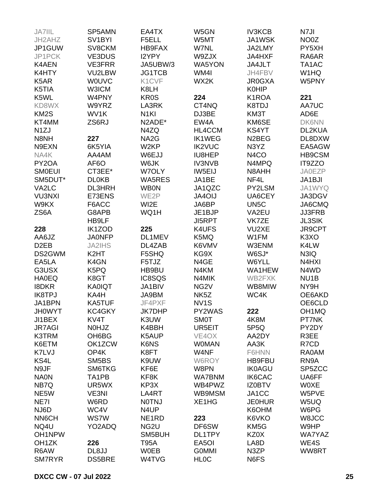| JA7IIL             | SP5AMN              | EA4TX              | W5GN               | <b>IV3KCB</b>      | N7JI               |
|--------------------|---------------------|--------------------|--------------------|--------------------|--------------------|
| JH2AHZ             | SV <sub>1</sub> BYI | F5ELL              | W5MT               | JA1WSK             | NO0Z               |
| JP1GUW             | SV8CKM              | HB9FAX             | W7NL               | JA2LMY             | PY5XH              |
| JP1PCK             | <b>VE3DUS</b>       | I2YPY              | W9ZJX              | JA4HXF             | RA6AR              |
| <b>K4AEN</b>       | <b>VE3FRR</b>       | JA5UBW/3           | <b>WA5YON</b>      | JA4JLT             | TA1AC              |
| K4HTY              | VU2LBW              | <b>JG1TCB</b>      | WM4I               | JH4FBV             | W1HQ               |
| K5AR               | <b>WOUVC</b>        | K1CVF              | WX2K               |                    | W5PNY              |
|                    |                     |                    |                    | <b>JR0GXA</b>      |                    |
| K5TIA              | W3ICM               | K8LH               |                    | <b>K0HIP</b>       |                    |
| K5WL               | W4PNY               | <b>KR0S</b>        | 224                | K1ROA              | 221                |
| KD8WX              | W9YRZ               | LA3RK              | CT4NQ              | K8TDJ              | AA7UC              |
| KM <sub>2</sub> S  | WV1K                | N <sub>1KI</sub>   | DJ3BE              | KM3T               | AD6E               |
| KT4MM              | ZS6RJ               | N2ADE*             | EW4A               | KM6SE              | <b>DK6NN</b>       |
| N <sub>1</sub> ZJ  |                     | N4ZQ               | HL4CCM             | KS4YT              | DL2KUA             |
| N8NH               | 227                 | NA <sub>2</sub> G  | <b>IK1WEG</b>      | N <sub>2</sub> BEG | DL8DXW             |
| N9EXN              | 6K5YIA              | W <sub>2KP</sub>   | <b>IK2VUC</b>      | N3YZ               | EA5AGW             |
| NA4K               | AA4AM               | W6EJJ              | IU8HEP             | N <sub>4</sub> CO  | HB9CSM             |
| PY <sub>2</sub> OA | AF <sub>6</sub> O   | W6JK               | <b>IV3NVB</b>      | N4MPQ              | IT9ZZO             |
| <b>SMOEUI</b>      | CT3EE*              | W7OLY              | IW5EIJ             | N8AHH              | <b>JA0EZP</b>      |
| SM5DUT*            | <b>DL0KB</b>        | <b>WA5RES</b>      | JA1BE              | NF4L               | JA1BJI             |
| VA2LC              | <b>DL3HRH</b>       | <b>WB0N</b>        | JA1QZC             | PY2LSM             | JA1WYQ             |
| <b>VU3NXI</b>      | E73ENS              | WE2P               | JA4OIJ             | UA6CEY             | JA3DGV             |
| W9KX               | F6ACC               | WI2E               | JA6BP              | UN <sub>5</sub> C  | JA6CMQ             |
| ZS6A               | G8APB               | WQ1H               | JE1BJP             | VA2EU              | <b>JJ3FRB</b>      |
|                    | HB9LF               |                    | <b>JI5RPT</b>      | VK7ZE              | <b>JL3SIK</b>      |
| 228                | IK1ZOD              | 225                | K4UFS              | VU2XE              | JR9CPT             |
| AA6JZ              | <b>JA0NFP</b>       | DL1MEV             | K5MQ               | W1FM               | K <sub>3</sub> XO  |
|                    |                     |                    |                    |                    |                    |
| D <sub>2</sub> EB  | <b>JA2IHS</b>       | DL4ZAB             | K6VMV              | W3ENM              | K4LW               |
| DS2GWM             | K <sub>2</sub> HT   | F5SHQ              | KG9X               | W6SJ*              | N3IQ               |
| EA5LA              | K4GN                | F5TJZ              | N4GE               | W6YLL              | N4HXI              |
| G3USX              | K5PQ                | HB9BU              | N4KM               | WA1HEW             | N4WD               |
| <b>HA0EQ</b>       | K8GT                | IC8SQS             | N4MIK              | WB2FXK             | NU <sub>1</sub> B  |
| <b>I8DKR</b>       | <b>KA0IQT</b>       | JA1BIV             | NG <sub>2V</sub>   | WB8MIW             | NY9H               |
| <b>IK8TPJ</b>      | KA4H                | JA9BM              | NK <sub>5</sub> Z  | WC4K               | OE6AKD             |
| JA1BPN             | <b>KA5TUF</b>       | JF4PXF             | NV <sub>1</sub> S  |                    | OE6CLD             |
| <b>JH0WYT</b>      | KC4GKY              | <b>JK7DHP</b>      | PY2WAS             | 222                | OH <sub>1</sub> MQ |
| JI1BEX             | KV4T                | K3UW               | <b>SMOT</b>        | 4K8M               | PT7NK              |
| <b>JR7AGI</b>      | N0HJZ               | K4BBH              | UR5EIT             | 5P5Q               | PY2DY              |
| <b>K3TRM</b>       | OH6BG               | K5AUP              | VE4OX              | AA2DY              | R3EE               |
| K6ETM              | OK1ZCW              | K6NS               | <b>WOMAN</b>       | AA3K               | R7CD               |
| K7LVJ              | OP4K                | K8FT               | W4NF               | F6HNN              | RA0AM              |
| KS4L               | SM5BS               | K9UW               | W6ROY              | HB9FBU             | RN9A               |
| N9JF               | SM6TKG              | KF6E               | W8PN               | <b>IK0AGU</b>      | SP5ZCC             |
| <b>NA0N</b>        | TA1PB               | KF8K               | <b>WA7BNM</b>      | <b>IK6CAC</b>      | UA6FF              |
| NB7Q               | UR5WX               | KP3X               | WB4PWZ             | <b>IZ0BTV</b>      | <b>WOXE</b>        |
| NE5W               | VE3NI               | LA4RT              | WB9MSM             | JA1CC              | W5PVE              |
| NE7I               | W6RD                | <b>NOTNJ</b>       | XE1HG              | <b>JE0HUR</b>      | W5UQ               |
|                    |                     |                    |                    |                    |                    |
| NJ6D               | WC4V                | N4UP               |                    | K6OHM              | W6PG               |
| NN6CH              | <b>WS7W</b>         | NE <sub>1</sub> RD | 223                | K6VKO              | W8JCC              |
| NQ4U               | YO2ADQ              | NG <sub>2U</sub>   | DF6SW              | KM <sub>5</sub> G  | W9HP               |
| OH1NPW             |                     | SM5BUH             | DL1TPY             | KZ0X               | <b>WA7YAZ</b>      |
| OH <sub>1</sub> ZK | 226                 | T95A               | EA <sub>5</sub> OI | LA8D               | WE4S               |
| R6AW               | DL8JJ               | <b>W0EB</b>        | <b>GOMMI</b>       | N3ZP               | WW8RT              |
| <b>SM7RYR</b>      | <b>DS5BRE</b>       | W4TVG              | <b>HLOC</b>        | N6FS               |                    |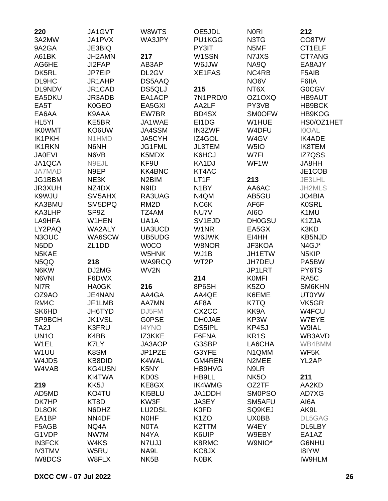| 220                           | JA1GVT             | W8WTS              | OE5JDL             | <b>NORI</b>       | 212                |
|-------------------------------|--------------------|--------------------|--------------------|-------------------|--------------------|
| 3A2MW                         | JA1PVX             | WA3JPY             | PU1KGG             | N3TG              | CO8TW              |
| 9A2GA                         | JE3BIQ             |                    | PY3IT              | N5MF              | CT1ELF             |
| A61BK                         | JH2AMN             | 217                | W1SSN              | N7JXS             | CT7ANG             |
| AG6HE                         | JI2FAP             | AB3AP              | WLL6W              | NA9Q              | EA8AJY             |
| DK5RL                         | JP7EIP             | DL2GV              | XE1FAS             | NC4RB             | F5AIB              |
| DL9HC                         | JR1AHP             | DS5AAQ             |                    | NO6V              | F6IIA              |
| DL9NDV                        | JR1CAD             | <b>DS5QLJ</b>      | 215                | NT6X              | <b>GOCGV</b>       |
| EA5DKU                        | JR3ADB             | EA1ACP             | 7N1PRD/0           | OZ1OXQ            | <b>HB9AUT</b>      |
| EA5T                          | <b>K0GEO</b>       | EA5GXI             | AA2LF              | PY3VB             | HB9BCK             |
| EA6AA                         | K9AAA              | EW7BR              | BD4SX              | <b>SM0OFW</b>     | HB9KOG             |
| HL5YI                         | KE5BR              | JA1WAE             | EI1DG              | W1HUE             | HS0/OZ1HET         |
|                               | KO6UW              | JA4SSM             |                    | W4DFU             | <b>IOOAL</b>       |
| <b>IKOWMT</b>                 |                    |                    | <b>IN3ZWF</b>      |                   |                    |
| IK1PKH                        | N1HMD              | JA5CYH             | IZ4GOL             | W4GV              | <b>IK4ADE</b>      |
| <b>IK1RKN</b>                 | N6NH               | JG1FML             | <b>JL3TEM</b>      | W <sub>5</sub> IO | <b>IK8TEM</b>      |
| <b>JA0EVI</b>                 | N6VB               | K5MDX              | K6HCJ              | W7FI              | IZ7QSS             |
| JA1QCA                        | N9EJL              | KF9U               | KA1DJ              | WF1W              | JA8HH              |
| <b>JA7MAD</b>                 | N9EP               | <b>KK4BNC</b>      | KT4AC              |                   | JE1COB             |
| JG1BBM                        | NE3K               | N <sub>2</sub> BIM | LT1F               | 213               | JE3LHL             |
| <b>JR3XUH</b>                 | NZ4DX              | N9ID               | N <sub>1</sub> BY  | AA6AC             | JH2MLS             |
| K9WJU                         | SM5AHX             | RA3UAG             | N4QM               | AB5GU             | JO4BIA             |
| KA3BMU                        | SM5DPQ             | RM <sub>2</sub> D  | NC6K               | AF6F              | <b>K0SRL</b>       |
| KA3LHP                        | SP9Z               | TZ4AM              | NU7V               | AI6O              | K1MU               |
| LA9HFA                        | W1HEN              | UA <sub>1</sub> A  | SV <sub>1EJD</sub> | <b>DH0GSU</b>     | K1ZJA              |
| LY2PAQ                        | WA2ALY             | UA3UCD             | W1NR               | EA5GX             | K3KD               |
| N3OUC                         | WA6SCW             | UB5UDG             | W6JWK              | EI4HH             | <b>KB5NJD</b>      |
| N <sub>5</sub> D <sub>D</sub> | ZL <sub>1</sub> DD | <b>WOCO</b>        | W8NOR              | JF3KOA            | N4GJ*              |
| N5KAE                         |                    | W5HNK              | WJ1B               | JH1ETW            | N <sub>5</sub> KIP |
| N5QQ                          | 218                | WA9RCQ             | WT2P               | <b>JH7DEU</b>     | PA5BW              |
| N6KW                          | DJ2MG              | WV2N               |                    | JP1LRT            | PY6TS              |
| N6VNI                         | F6DWX              |                    | 214                | <b>KOMFI</b>      | RA <sub>5</sub> C  |
| NI7R                          | <b>HA0GK</b>       | 216                | 8P6SH              | K <sub>5</sub> ZO | SM6KHN             |
| OZ9AO                         | JE4NAN             | AA4GA              | AA4QE              | K6EME             | <b>UT0YW</b>       |
| RM4C                          | JF1LMB             | <b>AA7MN</b>       | AF <sub>8</sub> A  | K7TQ              | VK5GR              |
| SK6HD                         | JH6TYD             | DJ5FM              | CX <sub>2</sub> CC | KK9A              | W4FCU              |
| SP9BCH                        | <b>JK1VSL</b>      | <b>GOPSE</b>       | <b>DH0JAE</b>      | KP3W              | W7EYE              |
| TA <sub>2</sub> J             | K3FRU              | <b>I4YNO</b>       | <b>DS5IPL</b>      | KP4SJ             | W9IAL              |
| UN <sub>10</sub>              | K4BB               | IZ3KKE             | F6FNA              | KR <sub>1</sub> S | WB3AVD             |
| W1EL                          | K7LY               | JA3AOP             | G3SBP              | LA6CHA            | WB4BMM             |
| W1UU                          | K8SM               | JP1PZE             | G3YFE              | N1QMM             | WF5K               |
| W4JDS                         | <b>KB8DID</b>      | K4WAL              | <b>GM4REN</b>      | N2MEE             | YL2AP              |
| W4VAB                         | KG4USN             | K <sub>5</sub> NY  | HB9HVG             | N9LR              |                    |
|                               |                    | <b>KD0S</b>        |                    | NK <sub>5</sub> O |                    |
|                               | KI4TWA             |                    | HB9LL              |                   | 211                |
| 219                           | KK5J               | KE8GX              | <b>IK4WMG</b>      | OZ2TF             | AA2KD              |
| AD5MD                         | KO4TU              | KI5BLU             | JA1DDH             | <b>SMOPSO</b>     | AD7XG              |
| DK7HP                         | KT8D               | KW3F               | JA3EY              | SM5AFU            | AI6A               |
| DL8OK                         | N6DHZ              | LU2DSL             | <b>K0FD</b>        | SQ9KEJ            | AK9L               |
| EA1BP                         | NN4DF              | <b>NOHF</b>        | K <sub>1</sub> ZO  | UX0BB             | DL5GAG             |
| F5AGB                         | NQ4A               | <b>NOTA</b>        | K2TTM              | W4EY              | DL5LBY             |
| G1VDP                         | NW7M               | N4YA               | K6UIP              | W9EBY             | EA1AZ              |
| <b>IN3FCK</b>                 | W4KS               | N7UJJ              | K8RMC              | W9NIO*            | G6NHU              |
| <b>IV3TMV</b>                 | W5RU               | NA9L               | KC8JX              |                   | <b>I8IYW</b>       |
| <b>IW8DCS</b>                 | W8FLX              | NK <sub>5</sub> B  | <b>NOBK</b>        |                   | <b>IW9HLM</b>      |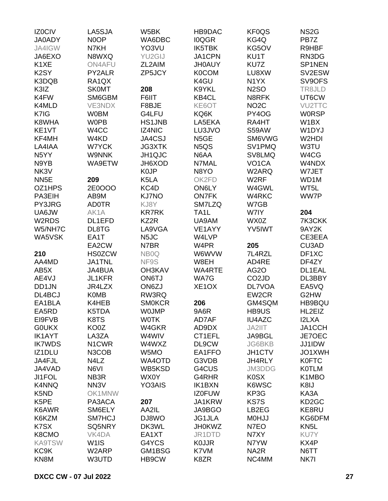| IZ0CIV            | LA5SJA             | W5BK              | HB9DAC                        | KF0QS              | NS <sub>2</sub> G  |
|-------------------|--------------------|-------------------|-------------------------------|--------------------|--------------------|
| <b>JA0ADY</b>     | N0OP               | WA6DBC            | <b>IOQGR</b>                  | KG4Q               | PB7Z               |
| JA4IGW            | N7KH               | YO3VU             | IK5TBK                        | KG5OV              | R9HBF              |
| JA6EXO            | N8WXQ              | YU2GIJ            | JA1CPN                        | KU1T               | RN3DG              |
| K1XE              | <b>ON4AFU</b>      | ZL2AIM            | <b>JH0AUY</b>                 | KU7Z               | SP1NEN             |
| K <sub>2</sub> SY | PY2ALR             | ZP5JCY            | <b>K0COM</b>                  | LU8XW              | SV2ESW             |
| K3DQB             | RA1QX              |                   | K4GU                          | N <sub>1</sub> YX  | SV9OFS             |
| K3IZ              | <b>SK0MT</b>       | 208               | K9YKL                         | <b>N2SO</b>        | TR8JLD             |
| K4FW              | SM6GBM             | F6IIT             | KB4CL                         | N8RFK              | UT6CW              |
| K4MLD             | <b>VE3NDX</b>      | F8BJE             | KE6OT                         | NO <sub>2</sub> C  | <b>VU2TTC</b>      |
| K7IG              | <b>W0BM</b>        | G4LFU             | KQ6K                          | PY4OG              | <b>WORSP</b>       |
| K8WHA             | <b>WOPB</b>        | <b>HS1JNB</b>     | LA5EKA                        | RA4HT              | W <sub>1</sub> BX  |
| KE1VT             | W4CC               | IZ4NIC            | LU3JVO                        | S59AW              | W1DYJ              |
| KF4MH             | W4KD               | JA4CSJ            | N <sub>5</sub> GE             | SM6VWG             | W2HDI              |
| LA4IAA            | W7YCK              | <b>JG3XTK</b>     | N <sub>5</sub> Q <sub>S</sub> | SV1PMQ             | W3TU               |
| N <sub>5</sub> YY | <b>W9NNK</b>       | JH1QJC            | N6AA                          | SV8LMQ             | W4CG               |
|                   | WA9ETW             | JH6XOD            | N7MAL                         | VO <sub>1</sub> CA | W4NDX              |
| N9YB<br>NK3V      |                    | K <sub>0</sub> JP | N8YO                          | W2ARQ              | W7JET              |
| NN <sub>5E</sub>  |                    | K5LA              |                               | W <sub>2RF</sub>   |                    |
|                   | 209                |                   | OK2FD                         |                    | WD1M               |
| OZ1HPS            | 2E0OOO             | KC4D              | ON6LY                         | W4GWL              | WT5L               |
| PA3EIH            | AB9M               | <b>KJ7NO</b>      | <b>ON7FK</b>                  | W4RKC              | WW7P               |
| PY3JRG            | <b>AD0TR</b>       | KJ8Y              | SM7LZQ                        | W7GB               |                    |
| UA6JW             | AK1A               | <b>KR7RK</b>      | TA <sub>1</sub> L             | W7IY               | 204                |
| W2RDS             | DL1EFD             | KZ2R              | UA9AM                         | WX0Z               | 7K3CKK             |
| W5/NH7C           | DL8TG              | LA9VGA            | VE1AYY                        | YV5IWT             | 9AY2K              |
| WA5VSK            | EA1T               | N <sub>5</sub> JC | W4LVP                         |                    | CE3EEA             |
|                   | EA2CW              | N7BR              | W4PR                          | 205                | CU3AD              |
| 210               | <b>HS0ZCW</b>      | NB <sub>0</sub> Q | W6WVW                         | 7L4RZL             | DF1XC              |
| AA4MD             | <b>JA1TNL</b>      | NF9S              | W8EH                          | AD4RE              | DF4ZY              |
| AB5X              | JA4BUA             | <b>OH3KAV</b>     | WA4RTE                        | AG <sub>2</sub> O  | DL1EAL             |
| AE4VJ             | <b>JL1KFR</b>      | ON6TJ             | WA7G                          | CO <sub>2</sub> JD | DL3BBY             |
| DD1JN             | JR4LZX             | ON6ZJ             | XE <sub>1</sub> OX            | <b>DL7VOA</b>      | EA5VQ              |
| DL4BCJ            | <b>K0MB</b>        | RW3RQ             |                               | EW2CR              | G2HW               |
| EA1BLA            | K4HEB              | <b>SMOKCR</b>     | 206                           | GM4SQM             | HB9BQU             |
| EA5RD             | K5TDA              | <b>WOJMP</b>      | 9A6R                          | HB9US              | HL2EIZ             |
| EI9FVB            | K8TS               | <b>WOTK</b>       | AD7AF                         | <b>IU4AZC</b>      | I2LXA              |
| <b>GOUKX</b>      | KO0Z               | W4GKR             | AD9DX                         | JA2IIT             | JA1CCH             |
| <b>IK1AYT</b>     | LA3ZA              | W4WIV             | CT1EFL                        | JA9BGL             | JE7OEC             |
| <b>IK7WDS</b>     | N <sub>1</sub> CWR | W4WXZ             | DL9CW                         | <b>JG6BKB</b>      | JJ1IDW             |
| IZ1DLU            | N3COB              | W5MO              | EA1FFO                        | JH1CTV             | JO1XWH             |
| JA4FJL            | N4LZ               | WA4OTD            | G3VDB                         | JH4RLY             | <b>K0FTC</b>       |
| JA4VAD            | N6VI               | WB5KSD            | G4CUS                         | JM3DDG             | <b>KOTLM</b>       |
| <b>JI1FOL</b>     | NB <sub>3</sub> R  | WX0Y              | G4RHR                         | <b>K0SX</b>        | K1MBO              |
| K4NNQ             | NN <sub>3</sub> V  | YO3AIS            | <b>IK1BXN</b>                 | K6WSC              | K8IJ               |
| K5ND              | OK1MNW             |                   | <b>IZ0FUW</b>                 | KP3G               | KA3A               |
| K <sub>5</sub> PE | PA3ACA             | 207               | JA1KRW                        | KS7S               | KD <sub>2</sub> GC |
| K6AWR             | SM6ELY             | AA2IL             | JA9BGO                        | LB2EG              | KE8RU              |
| K6KZM             | SM7HCJ             | DJ8WO             | JG1JLA                        | <b>MOHJJ</b>       | KG6DFM             |
| K7SX              | SQ5NRY             | DK3WL             | <b>JH0KWZ</b>                 | N7EO               | KN <sub>5</sub> L  |
| K8CMO             | VK4DA              | EA1XT             | JR1DTD                        | N7XY               | KU7Y               |
| <b>KA9TSW</b>     | W <sub>1</sub> IS  | G4YCS             | <b>KOJJR</b>                  | N7YW               | KX4P               |
| KC <sub>9</sub> K | W2ARP              | GM1BSG            | K7VM                          | NA <sub>2</sub> R  | N6TT               |
| KN8M              | W3UTD              | HB9CW             | K8ZR                          | NC4MM              | NK7I               |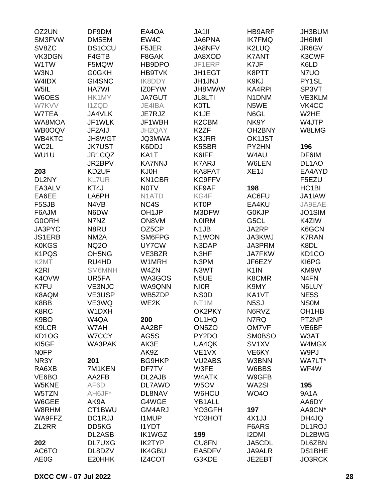| OZ2UN                          | DF9DM                          | EA4OA                          | JA1II              | <b>HB9ARF</b>       | JH3BUM             |
|--------------------------------|--------------------------------|--------------------------------|--------------------|---------------------|--------------------|
| SM3FVW                         | DM5EM                          | EW4C                           | <b>JA6PNA</b>      | <b>IK7FMQ</b>       | <b>JH6IMI</b>      |
| SV8ZC                          | <b>DS1CCU</b>                  | F5JER                          | JA8NFV             | K2LUQ               | JR6GV              |
| VK3DGN                         | F4GTB                          | F8GAK                          | JA8XOD             | <b>K7ANT</b>        | K3CWF              |
| W1TW                           | F5MQW                          | HB9DPO                         | JF1ERP             | K7JF                | K6LD               |
| W3NJ                           | <b>G0GKH</b>                   | <b>HB9TVK</b>                  | JH1EGT             | K8PTT               | N7UO               |
| W4IDX                          | GI4SNC                         | <b>IK8DDY</b>                  | <b>JH1JNJ</b>      | K9KJ                | PY1SL              |
| W5IL                           | HA7WI                          | <b>IZ0FYW</b>                  | JH8MWW             | <b>KA4RPI</b>       | SP3VT              |
| W6OES                          | HK1MY                          | <b>JA7GUT</b>                  | JL8LTI             | N1DNM               | VE3KLM             |
| W7KVV                          | <b>I1ZQD</b>                   | JE4IBA                         | <b>K0TL</b>        | N5WE                | VK4CC              |
| W7TEA                          | JA4VLK                         | JE7RJZ                         | K <sub>1</sub> JE  | N6GL                | W2HE               |
| WA8MOA                         | JF1WLK                         | JF1WBH                         | K <sub>2</sub> CBM | NK9Y                | W4JTP              |
| WB0OQV                         | JF2AIJ                         | JH2QAY                         | K <sub>2</sub> ZF  | OH <sub>2</sub> BNY | W8LMG              |
| WB4KTC                         | <b>JH8WGT</b>                  | JQ3MWA                         | K3JRR              | OK1JST              |                    |
| WC2L                           | <b>JK7UST</b>                  | K6DDJ                          | K5SBR              | PY2HN               | 196                |
| WU1U                           | JR1CQZ                         | KA1T                           | K6IFF              | W4AU                | DF6IM              |
|                                | JR2BPV                         | <b>KA7NNJ</b>                  | <b>K7ARJ</b>       | W6LEN               | DL <sub>1</sub> AO |
|                                | KD2UF                          | KJ0H                           | KA8FAT             | XE <sub>1</sub> J   | EA4AYD             |
| 203                            |                                |                                |                    |                     |                    |
| DL2NY                          | <b>KL7UR</b>                   | KN1CBR                         | <b>KC9FFV</b>      |                     | F5EZU              |
| EA3ALV                         | KT4J                           | <b>NOTV</b>                    | KF9AF              | 198                 | HC <sub>1</sub> BI |
| EA6EE                          | LA6PH                          | N <sub>1</sub> AT <sub>D</sub> | KG4F               | AC6FU               | JA1IAW             |
| F5SJB                          | N4VB                           | NC4S                           | <b>KT0P</b>        | EA4KU               | JA9EAE             |
| F6AJM                          | N6DW                           | OH <sub>1JP</sub>              | M3DFW              | G0KJP               | JO1SIM             |
| <b>G0ORH</b>                   | N7NZ                           | ON8VM                          | <b>NOIRM</b>       | G5CL                | K4ZIW              |
| JA3PYC                         | N8RU                           | OZ5CP                          | N <sub>1</sub> JB  | JA2RP               | K6GCN              |
| <b>JS1ERB</b>                  | NM <sub>2</sub> A              | SM6FPG                         | N1WON              | <b>JA3KWJ</b>       | <b>K7RAN</b>       |
| <b>K0KGS</b>                   | <b>NQ2O</b>                    | UY7CW                          | N3DAP              | JA3PRM              | K8DL               |
| K1PQS                          | OH <sub>5</sub> N <sub>G</sub> | VE3BZR                         | N3HF               | <b>JA7FKW</b>       | KD <sub>1</sub> CO |
| K <sub>2</sub> MT              | RU4HD                          | W1MRH                          | N3PM               | JF6EZY              | KI6PG              |
| K <sub>2</sub> RI              | <b>SM6MNH</b>                  | W4ZN                           | N3WT               | K <sub>1</sub> IN   | KM9W               |
| K4OVW                          | UR5FA                          | WA3GOS                         | N <sub>5</sub> UE  | K8CMR               | N4FN               |
| K7FU                           | <b>VE3NJC</b>                  | WA9QNN                         | <b>NIOR</b>        | K9MY                | N6LUY              |
| K8AQM                          | VE3USP                         | WB5ZDP                         | <b>NS0D</b>        | KA1VT               | NE5S               |
| K8BB                           | VE3WQ                          | WE2K                           | NT <sub>1</sub> M  | N <sub>5</sub> SJ   | <b>NSOM</b>        |
| K8RC                           | W1DXH                          |                                | OK2PKY             | N6RVZ               | OH <sub>1</sub> HB |
| K9BO                           | W4QA                           | 200                            | OL1HQ              | N7RQ                | PT2NP              |
| K9LCR                          | W7AH                           | AA2BF                          | ON5ZO              | <b>OM7VF</b>        | VE6BF              |
| KD <sub>1</sub> O <sub>G</sub> | W7CCY                          | AG5S                           | PY2DO              | <b>SM0BSO</b>       | W3AT               |
| KI5GF                          | WA3PAK                         | AK3E                           | UA4QK              | SV <sub>1</sub> XV  | W4MGX              |
| <b>NOFP</b>                    |                                | AK9Z                           | VE <sub>1</sub> VX | VE6KY               | W9PJ               |
| NR3Y                           | 201                            | <b>BG9HKP</b>                  | <b>VU2ABS</b>      | W3BNN               | WA7LT*             |
| RA6XB                          | 7M1KEN                         | DF7TV                          | W3FE               | W6BBS               | WF4W               |
| VE6BO                          | AA2FB                          | DL2AJB                         | W4ATK              | W9GFB               |                    |
| W5KNE                          | AF6D                           | <b>DL7AWO</b>                  | W5OV               | WA2SI               | 195                |
| W5TZN                          | AH6JF*                         | DL8NAV                         | W6HCU              | <b>WO4O</b>         | 9A1A               |
| W6GEE                          | AK9A                           | G4WGE                          | YB1ALL             |                     | AA6DY              |
| W8RHM                          | CT1BWU                         | GM4ARJ                         | YO3GFH             | 197                 | AA9CN*             |
| WA9FFZ                         | DC1RJJ                         | <b>I1MUP</b>                   | YO3HOT             | 4X1JJ               | DH4JQ              |
| ZL2RR                          | DD5KG                          | <b>I1YDT</b>                   |                    | F6ARS               | DL1ROJ             |
|                                | DL2ASB                         | <b>IK1WGZ</b>                  | 199                | <b>I2DMI</b>        | DL2BWG             |
| 202                            | <b>DL7UXG</b>                  | <b>IK2TYP</b>                  | <b>CU8FN</b>       | JA5CDL              | DL6ZBN             |
| AC6TO                          | DL8DZV                         | <b>IK4GBU</b>                  | EA5DFV             | <b>JA9ALR</b>       | <b>DS1BHE</b>      |
| AE0G                           | E20HHK                         | IZ4COT                         | G3KDE              | JE2EBT              | JO3RCK             |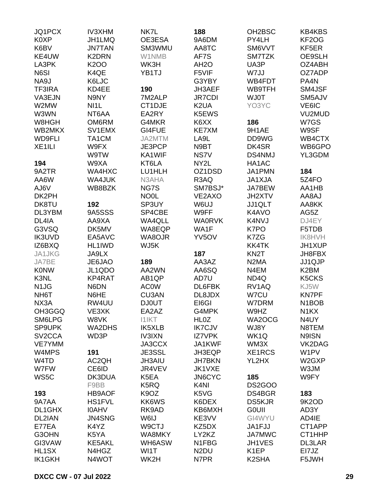| JQ1PCX                        | <b>IV3XHM</b>     | NK7L              | 188               | OH <sub>2</sub> BSC | <b>KB4KBS</b>                  |
|-------------------------------|-------------------|-------------------|-------------------|---------------------|--------------------------------|
| K0XP                          | JH1LMQ            | OE3ESA            | 9A6DM             | PY4LH               | KF2OG                          |
| K6BV                          | <b>JN7TAN</b>     | SM3WMU            | AA8TC             | SM6VVT              | KF5ER                          |
| KE4UW                         | K2DRN             | W1NMB             | AF7S              | SM7TZK              | OE9SLH                         |
| LA3PK                         | <b>K2OO</b>       | WK3H              | AH <sub>2</sub> O | UA3P                | OZ4ABH                         |
| N6SI                          | K4QE              | YB1TJ             | F5VIF             | W7JJ                | OZ7ADP                         |
|                               |                   |                   |                   |                     |                                |
| NA9J                          | K6LJC             |                   | G3YBY             | WB4FDT              | PA4N                           |
| <b>TF3IRA</b>                 | KD4EE             | 190               | JH3AEF            | WB9TFH              | SM4JSF                         |
| VA3EJN                        | N9NY              | 7M2ALP            | <b>JR7CDI</b>     | <b>WJ0T</b>         | SM5AJV                         |
| W2MW                          | NI <sub>1</sub> L | CT1DJE            | K <sub>2</sub> UA | YO3YC               | VE6IC                          |
| W3WN                          | NT6AA             | EA2RY             | K5EWS             |                     | VU2MUD                         |
| W8HGH                         | OM6RM             | G4MKR             | K6XX              | 186                 | W7GS                           |
| WB2MKX                        | SV1EMX            | GI4FUE            | <b>KE7XM</b>      | 9H1AE               | W9SF                           |
| <b>WD9FLI</b>                 | TA1CM             | JA2MTM            | LA9L              | DD9WG               | WB4CTX                         |
| XE <sub>1ILI</sub>            | W9FX              | JE3PCP            | N9BT              | DK4SR               | WB6GPO                         |
|                               | W9TW              | KA1WIF            | NS7V              | <b>DS4NMJ</b>       | YL3GDM                         |
| 194                           | W9XA              | KT6LA             | NY2L              | HA1AC               |                                |
| 9A2TR                         | WA4HXC            | LU1HLH            | OZ1DSD            | JA1PMN              | 184                            |
| AA6W                          | WA4JUK            | N3AHA             | R3AQ              | <b>JA1XJA</b>       | 5Z4FO                          |
| AJ6V                          | WB8BZK            | NG7S              | SM7BSJ*           | JA7BEW              | AA1HB                          |
| DK2PH                         |                   | <b>NO0L</b>       | VE2AXO            | JH2XTV              | LA8AJ                          |
| DK8TU                         | 192               | SP3UY             | W6UJ              | JJ1QLT              | AA8KK                          |
| DL3YBM                        | 9A5SSS            | SP4CBE            | W9FF              | K4AVO               | AG5Z                           |
| DL4IA                         | AA9XA             | WA4QLL            | <b>WA0RVK</b>     | K4NVJ               | DJ4EY                          |
| G3VSQ                         | DK5MV             | WA8EQP            | WA1F              | K7PO                | F5TDB                          |
| <b>IK3UVD</b>                 | EA5AVC            | WA8OJR            | YV5OV             | K7ZG                | <b>IK8HVH</b>                  |
| IZ6BXQ                        | HL1IWD            | WJ5K              |                   | <b>KK4TK</b>        | JH1XUP                         |
|                               |                   |                   | 187               |                     |                                |
| JA1JKG                        | JA9LX             |                   |                   | KN <sub>2</sub> T   | JH8FBX                         |
| JA7BE                         | JE6JAO            | 189               | AA3AZ             | N <sub>2</sub> MA   | JJ1QJP                         |
| <b>KONW</b>                   | JL1QDO            | AA2WN             | AA6SQ             | N4EM                | K2BM                           |
| K3NL                          | KP4RAT            | AB <sub>1QP</sub> | AD7U              | ND4Q                | K5CKS                          |
| N <sub>1</sub> J <sub>G</sub> | N6DN              | <b>AC0W</b>       | DL6FBK            | RV1AQ               | KJ5W                           |
| NH6T                          | N6HE              | CU3AN             | DL8JDX            | W7CU                | <b>KN7PF</b>                   |
| NX3A                          | RW4UU             | <b>DJ0UT</b>      | EI6GI             | W7DRM               | N <sub>1</sub> BO <sub>B</sub> |
| OH3GGQ                        | VE3XK             | EA2AZ             | G4MPK             | W9HZ                | N <sub>1</sub> KX              |
| SM6LPG                        | W8VK              | <b>I1IKT</b>      | <b>HL0Z</b>       | WA2OCG              | N4UY                           |
| <b>SP9UPK</b>                 | WA2DHS            | IK5XLB            | <b>IK7CJV</b>     | WJ8Y                | N8TEM                          |
| SV <sub>2</sub> CCA           | WD3P              | <b>IV3IXN</b>     | <b>IZ7VPK</b>     | WK1Q                | N9ISN                          |
| <b>VE7YMM</b>                 |                   | JA3CCX            | JA1KWF            | WM3X                | VK2DAG                         |
| W4MPS                         | 191               | JE3SSL            | JH3EQP            | XE1RCS              | W1PV                           |
| W4TD                          | AC2QH             | <b>JH3AIU</b>     | <b>JH7BKN</b>     | YL2HX               | W2GXP                          |
| W7FW                          | CE6ID             | JR4VEV            | JK1VXE            |                     | W3JM                           |
| WS5C                          | DK3DUA            | K <sub>5</sub> EA | <b>JN6CYC</b>     | 185                 | W9FY                           |
|                               | F9BB              | K5RQ              | K <sub>4</sub> NI | <b>DS2GOO</b>       |                                |
| 193                           | <b>HB9AOF</b>     | K <sub>9</sub> OZ | K5VG              | DS4BGR              | 183                            |
| 9A7AA                         | <b>HS1FVL</b>     | KK6WS             | K6DEX             | <b>DS5KJR</b>       | 9K2OD                          |
| DL1GHX                        | <b>IOAHV</b>      | RK9AD             | KB6MXH            | <b>GOUII</b>        | AD3Y                           |
| DL2IAN                        | <b>JN4SNG</b>     | W6IJ              | KE3VV             | GI4WYU              | AD4IE                          |
| E77EA                         | K4YZ              | W9CTJ             | KZ5DX             | JA1FJJ              | CT1APP                         |
| G3OHN                         | K5YA              | WA8MKY            | LY2KZ             | <b>JA7MWC</b>       | CT1HHP                         |
|                               |                   |                   |                   |                     |                                |
| GI3VAW                        | <b>KE5AKL</b>     | WH6ASW            | N1FBG             | JH1VES              | <b>DL3LAR</b>                  |
| HL1SX                         | N4HGZ             | WI1T              | N <sub>2</sub> DU | K <sub>1</sub> EP   | EI7JZ                          |
| <b>IK1GKH</b>                 | N4WOT             | WK2H              | N7PR              | K <sub>2</sub> SHA  | F5JWH                          |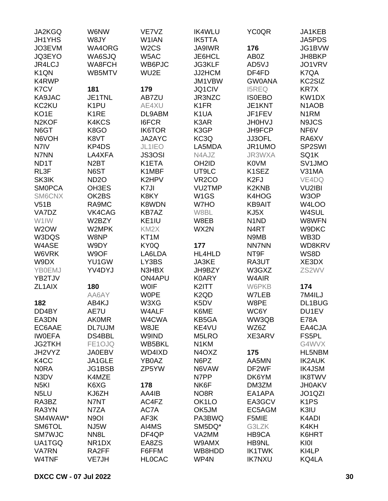| JA2KGQ              | W6NW               | VE7VZ             | <b>IK4WLU</b>                   | <b>YC0QR</b>                  | JA1KEB                          |
|---------------------|--------------------|-------------------|---------------------------------|-------------------------------|---------------------------------|
| <b>JH1YHS</b>       | W8JY               | W1IAN             | <b>IK5TTA</b>                   |                               | JA5PDS                          |
| JO3EVM              | WA4ORG             | W <sub>2</sub> CS | <b>JA9IWR</b>                   | 176                           | JG1BVW                          |
| JQ3EYO              | WA6SJQ             | W5AC              | JE6HCL                          | AB0Z                          | JH8BKP                          |
| <b>JR4LCJ</b>       | WA8FCH             | WB6PJC            | <b>JG3KLF</b>                   | AD5VJ                         | JO1VRV                          |
| K <sub>1</sub> QN   | WB5MTV             | WU2E              | JJ2HCM                          | DF4FD                         | K7QA                            |
| K4RWP               |                    |                   | JM1VBW                          | <b>GW0ANA</b>                 | KC2SIZ                          |
| K7CV                | 181                | 179               | JQ1CIV                          | <b>I5REQ</b>                  | <b>KR7X</b>                     |
| KA9JAC              | JE1TNL             | AB7ZU             | JR3NZC                          | <b>ISOEBO</b>                 | KW1DX                           |
| KC2KU               | K <sub>1</sub> PU  | AE4XU             | K <sub>1</sub> FR               | JE1KNT                        | N <sub>1</sub> AOB              |
| KO <sub>1</sub> E   | K <sub>1</sub> RE  | DL9ABM            | K <sub>1</sub> UA               | JF1FEV                        | N <sub>1</sub> RM               |
| N <sub>2</sub> KOF  | K4KCS              | <b>I6FCR</b>      | K3AR                            | <b>JH0HVJ</b>                 | N9JCS                           |
| N6GT                | K8GO               | <b>IK6TOR</b>     | K3GP                            | JH9FCP                        | NF6V                            |
| N6VOH               | K8VT               |                   | KC3Q                            |                               |                                 |
|                     |                    | JA2AYC            |                                 | JJ3OFL                        | RA6XV                           |
| N7IV                | KP4DS              | JL1IEO            | LA5MDA                          | JR1UMO                        | SP2SWI                          |
| N7NN                | LA4XFA             | <b>JS3OSI</b>     | N4AJZ                           | JR3WXA                        | SQ1K                            |
| ND <sub>1</sub> T   | N <sub>2</sub> BT  | K1ETA             | OH <sub>2</sub> ID              | <b>K0VM</b>                   | SV1JMO                          |
| RL3F                | N6ST               | K1MBF             | UT9LC                           | K <sub>1</sub> SEZ            | V31MA                           |
| SK3IK               | <b>ND2O</b>        | K2HPV             | VR <sub>2</sub> CO              | K <sub>2F</sub> J             | VE4DQ                           |
| <b>SMOPCA</b>       | OH3ES              | K7JI              | VU2TMP                          | K2KNB                         | VU2IBI                          |
| SM6CNX              | OK2BS              | K8KY              | W <sub>1</sub> GS               | K4HOG                         | W3OP                            |
| V51B                | RA9MC              | K8WDN             | W7HO                            | <b>KB9AIT</b>                 | W4LOO                           |
| VA7DZ               | VK4CAG             | <b>KB7AZ</b>      | W8BL                            | KJ5X                          | W4SUL                           |
| W1IW                | W2BZY              | KE1IU             | W8EB                            | N <sub>1</sub> N <sub>D</sub> | W8WFN                           |
| W <sub>2</sub> OW   | W2MPK              | KM <sub>2</sub> X | WX2N                            | N4RT                          | W9DKC                           |
| W3DQS               | W8NP               | KT <sub>1</sub> M |                                 | N9MB                          | WB3D                            |
| W4ASE               | W9DY               | KY0Q              | 177                             | <b>NN7NN</b>                  | WD8KRV                          |
| W6VRK               | W9OF               | LA6LDA            | HL4HLD                          | NT9F                          | WS8D                            |
| W9DX                | YU1GW              | LY3BS             | JA3KE                           | RA3UT                         | XE3DX                           |
| <b>YB0EMJ</b>       | YV4DYJ             | N3HBX             | JH9BZY                          | W3GXZ                         | ZS2WV                           |
| YB2TJV              |                    | ON4APU            | <b>K0ARY</b>                    | W4AIR                         |                                 |
| ZL <sub>1</sub> AIX | 180                | <b>WOIF</b>       | K2ITT                           | W6PKB                         | 174                             |
|                     | AA6AY              | <b>WOPE</b>       | K <sub>2</sub> Q <sub>D</sub>   | W7LEB                         | 7M4ILJ                          |
| 182                 | AB4KJ              | W3XG              | K <sub>5</sub> DV               | W8PE                          | DL1BUG                          |
| DD4BY               | AE7U               | W4ALF             | K6ME                            | WC6Y                          | DU1EV                           |
| EA3DN               | <b>AK0MR</b>       | W4CWA             | KB5GA                           | WW3QB                         | <b>E78A</b>                     |
| EC6AAE              | DL7UJM             | W8JE              | KE4VU                           | WZ6Z                          | EA4CJA                          |
| <b>IWOEFA</b>       | DS4BBL             | W9IND             | M5LRO                           | XE3ARV                        | FS5PL                           |
| <b>JG2TKH</b>       | FE1OJQ             | WB5BKL            | N <sub>1</sub> KM               |                               | G4WVX                           |
| JH2VYZ              | <b>JA0EBV</b>      | WD4IXD            | N <sub>4</sub> O <sub>X</sub> Z | 175                           | HL5NBM                          |
| K4CC                | JA1GLE             | YB0AZ             | N6PZ                            | AA5MN                         | <b>IK2AUK</b>                   |
| <b>NORA</b>         | JG1BSB             | ZP5YW             | N6VAW                           | DF <sub>2</sub> WF            | <b>IK4JSM</b>                   |
| N3DV                | K4MZE              |                   | N7PP                            | DK6YM                         | <b>IK8TWV</b>                   |
| N <sub>5</sub> KI   | K6XG               | 178               | NK6F                            | DM3ZM                         | <b>JH0AKV</b>                   |
| N <sub>5</sub> LU   | KJ6ZH              | AA4IB             | NO <sub>8</sub> R               | EA1APA                        | JO <sub>1</sub> Q <sub>ZI</sub> |
| RA3BZ               | N7NT               | AC4FZ             | OK <sub>1</sub> LO              | EA3GCV                        | K <sub>1</sub> PS               |
| RA3YN               | N7ZA               | AC7A              | OK5JM                           | EC5AGM                        | K3IU                            |
| SM4WAW*             | N <sub>9</sub> OI  | AF3K              | PA3BWQ                          | F5MIE                         | K4ADI                           |
|                     |                    |                   |                                 |                               |                                 |
| SM6TOL              | NJ5W               | AI4MS             | SM5DQ*                          | G3LZK                         | K4KH                            |
| <b>SM7WJC</b>       | NN <sub>8</sub> L  | DF4QP             | VA2MM                           | HB9CA                         | K6HRT                           |
| UA1TGQ              | NR <sub>1</sub> DX | EA8ZS             | W9AMX                           | HB9NL                         | KI0I                            |
| <b>VA7RN</b>        | RA2FF              | F6FFM             | WB8HDD                          | <b>IK1TWK</b>                 | KI4LP                           |
| W4TNF               | VE7JH              | <b>HLOCAC</b>     | WP4N                            | <b>IK7NXU</b>                 | KQ4LA                           |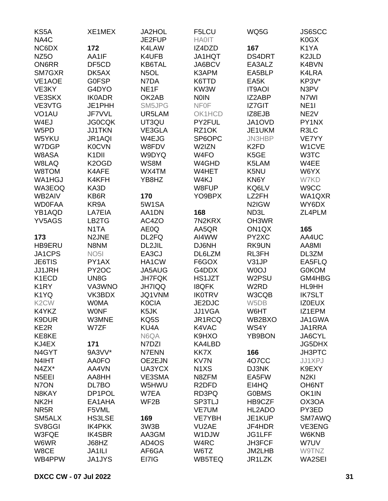| KS5A               | XE1MEX             | <b>JA2HOL</b>     | F5LCU                          | WQ5G              | JS6SCC             |
|--------------------|--------------------|-------------------|--------------------------------|-------------------|--------------------|
| NA4C               |                    | JE2FUP            | <b>HA0IT</b>                   |                   | K0GX               |
| NC6DX              | 172                | K4LAW             | IZ4DZD                         | 167               | K1YA               |
| NZ <sub>50</sub>   | AA1IF              | K4UFB             | JA1HQT                         | DS4DRT            | K <sub>2</sub> JLD |
| <b>ON6RR</b>       | DF5CD              | KB6TAL            | JA6BCV                         | EA3ALZ            | K4BVN              |
| SM7GXR             | DK5AX              | N <sub>5</sub> OL | K3APM                          | EA5BLP            | K4LRA              |
| VE1AOE             | <b>GOFSP</b>       | N7DA              | K6TTD                          | EA5K              | KP3V*              |
| VE3KY              | G4DYO              | NE <sub>1F</sub>  | KW3W                           | <b>IT9AOI</b>     | N3PV               |
| VE3SKX             | <b>IK0ADR</b>      | OK2AB             | <b>NOIN</b>                    | IZ2ABP            | N7WI               |
| VE3VTG             | JE1PHH             | SM5JPG            | <b>NFOF</b>                    | <b>IZ7GIT</b>     | <b>NE11</b>        |
| VO <sub>1</sub> AU | JF7VVL             | UR5LAM            | OK1HCD                         | IZ8EJB            | NE <sub>2V</sub>   |
| W4EJ               | <b>JG0CQK</b>      | UT3QU             | PY2FUL                         | JA1OVD            | PY1NX              |
| W5PD               | <b>JJ1TKN</b>      | VE3GLA            | RZ1OK                          | JE1UKM            | R3LC               |
| W5YKU              | JR1AQI             | W4EJG             | SP6OPC                         | JN3HBP            | VE7YY              |
| W7DGP              | <b>K0CVN</b>       | W8FDV             | W2IZN                          | K <sub>2</sub> FD | W1CVE              |
| W8ASA              | K <sub>1</sub> DII | W9DYQ             | W <sub>4FO</sub>               | K5GE              | W3TC               |
| W8LAQ              | K <sub>2</sub> OGD | WS8M              | W4GHD                          | K5LAM             | W4EE               |
| W8TOM              | K4AFE              | WX4TM             | W4HET                          | K5NU              | W6YX               |
| WA1HGJ             | K4KFH              | YB8HZ             | W4KJ                           | KN6Y              | W7KD               |
| WA3EOQ             | KA3D               |                   | W8FUP                          | KQ6LV             | W9CC               |
| WB2AIV             | KB6R               | 170               | YO9BPX                         | LZ2FH             | WA1QXR             |
| <b>WD0FAA</b>      | KR9A               | 5W1SA             |                                | N2IGW             | WY6DX              |
| YB1AQD             | LA7EIA             | AA1DN             | 168                            | ND3L              | ZL4PLM             |
| YV5AGS             | LB2TG              | AC4ZO             | 7N2KRX                         | OH3WR             |                    |
|                    | N <sub>1</sub> TA  | AE0Q              | AA5QR                          | ON <sub>1QX</sub> | 165                |
|                    |                    |                   |                                |                   |                    |
| 173                | N2JNE              | DL2FQ             | AI4WW                          | PY2XC             | AA4UC              |
| <b>HB9ERU</b>      | N8NM               | DL2JIL            | DJ6NH                          | RK9UN             | AA8MI              |
| JA1CPS             | NO <sub>5</sub>    | EA3CJ             | DL6LZM                         | RL3FH             | DL3ZM              |
| <b>JE6TIS</b>      | PY1AX              | HA1CW             | F6GOX                          | V31JP             | EA5FLQ             |
| <b>JJ1JRH</b>      | PY2OC              | <b>JA5AUG</b>     | G4DDX                          | W0OJ              | <b>G0KOM</b>       |
| K1ECD              | UN8G               | <b>JH7FQK</b>     | HS1JZT                         | W2PSU             | GM4HBG             |
| K <sub>1</sub> RY  | VA3WNO             | <b>JH7IQQ</b>     | <b>I8QFK</b>                   | W <sub>2</sub> RD | HL9HH              |
| K1YQ               | VK3BDX             | JQ1VNM            | <b>IK0TRV</b>                  | W3CQB             | <b>IK7SLT</b>      |
| K <sub>2</sub> CW  | <b>WOMA</b>        | <b>K0CIA</b>      | JE2DJC                         | W5DB              | <b>IZ0EUX</b>      |
| K4YKZ              | <b>WONF</b>        | K5JK              | JJ1VGA                         | W6HT              | IZ1EPM             |
| K9DUR              | W3MNE              | KQ5S              | JR1RCQ                         | WB2BXO            | JA1GWA             |
| KE2R               | W7ZF               | KU4A              | K4VAC                          | WS4Y              | JA1RRA             |
| KE8KE              |                    | N6QA              | K9HXO                          | YB9BON            | JA6CYL             |
| KJ4EX              | 171                | N7DZI             | KA4LBD                         |                   | <b>JG5DHX</b>      |
| N4GYT              | 9A3VV*             | N7ENN             | KK7X                           | 166               | JH3PTC             |
| N4IHT              | <b>AA0FO</b>       | OE2EJN            | KV7N                           | 407CC             | JJ1XPJ             |
| N4ZX*              | AA4VN              | UA3YCX            | N <sub>1</sub> X <sub>S</sub>  | DJ3NK             | K9EXY              |
| N <sub>5</sub> EEI | AA8HH              | VE3SMA            | N8ZFM                          | EA5FW             | N <sub>2KI</sub>   |
| N7ON               | DL7BO              | W5HWU             | R <sub>2</sub> DF <sub>D</sub> | EI4HQ             | <b>OH6NT</b>       |
| N8KAY              | DP1POL             | W7EA              | RD3PQ                          | <b>G0BMS</b>      | OK1IN              |
| NK2H               | EA1AHA             | WF2B              | SP3TLJ                         | HB9CZF            | OX3OA              |
| NR <sub>5</sub> R  | F5VML              |                   | <b>VE7UM</b>                   | HL2ADO            | PY3ED              |
| SM5ALX             | <b>HS3LSE</b>      | 169               | VE7YBH                         | JE1KUP            | <b>SM7AWQ</b>      |
| SV8GGI             | <b>IK4PKK</b>      | 3W3B              | VU2AE                          | JF4HDR            | VE3ENG             |
| W3FQE              | <b>IK4SBR</b>      | AA3GM             | W1DJW                          | JG1LFF            | W6KNB              |
| W6WR               | J68HZ              | AD4OS             | W4RC                           | JH3FCF            | W7UV               |
| W8CE               | JA1ILI             | AF6GA             | W6TZ                           | JM2LHB            | W9TNZ              |
| WB4PPW             | JA1JYS             | EI7IG             | WB5TEQ                         | JR1LZK            | WA2SEI             |
|                    |                    |                   |                                |                   |                    |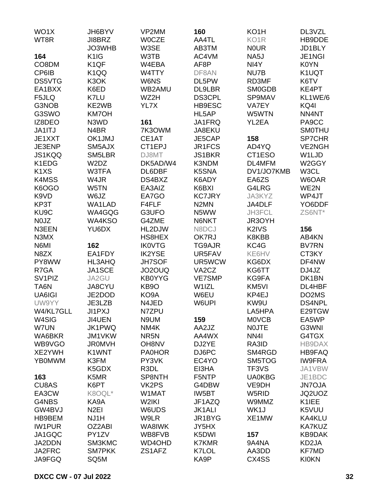| WO <sub>1</sub> X             | JH6BYV            | VP2MM             | 160                | KO <sub>1</sub> H | DL3VZL        |
|-------------------------------|-------------------|-------------------|--------------------|-------------------|---------------|
| WT8R                          | JI8BRZ            | <b>WOCZE</b>      | AA4TL              | KO <sub>1</sub> R | HB9DDE        |
|                               | JO3WHB            | W3SE              | AB3TM              | <b>NOUR</b>       | JD1BLY        |
| 164                           | K <sub>1</sub> IG | W3TB              | AC4VM              | NA5J              | JE1NGI        |
| CO8DM                         | K <sub>1QF</sub>  | W4EBA             | AF8P               | NI4Y              | K0YN          |
| CP6IB                         | K <sub>1</sub> QQ | W4TTY             | DF8AN              | NU7B              | K1UQT         |
| DS5VTG                        | K3OK              | W6NS              | DL5PW              | RD3MF             | K6TV          |
| EA1BXX                        | K6ED              | WB2AMU            | <b>DL9LBR</b>      | <b>SM0GDB</b>     | KE4PT         |
| F5JLQ                         | K7LU              | WZ2H              | <b>DS3CPL</b>      | SP9MAV            | KL1WE/6       |
| G3NOB                         | KE2WB             | YL7X              | HB9ESC             | VA7EY             | KQ4I          |
| G3SWO                         | <b>KM7OH</b>      |                   | HL5AP              | W5WTN             | NN4NT         |
| IZ8DEO                        | N3WD              | 161               | JA1FRQ             | YL2EA             | PA9CC         |
| JA1ITJ                        |                   |                   |                    |                   |               |
|                               | N4BR              | 7K3OWM            | JA8EKU             |                   | <b>SMOTHU</b> |
| JE1XXT                        | OK1JMJ            | CE1AT             | JE5CAP             | 158               | SP7CHR        |
| JE3ENP                        | SM5AJX            | CT1EPJ            | JR1FCS             | AD4YQ             | <b>VE2NGH</b> |
| JS1KQQ                        | SM5LBR            | DJ8MT             | <b>JS1BKR</b>      | CT1ESO            | W1LJD         |
| K1EDG                         | W2DZ              | DK5AD/W4          | K3NDM              | DL4MFM            | W2GGY         |
| K <sub>1</sub> X <sub>S</sub> | W3TFA             | DL6DBF            | K5SNA              | DV1/JO7KMB        | W3CL          |
| K4MSS                         | W4JR              | DS4BXZ            | K6ADY              | EA6ZS             | W6OAR         |
| K6OGO                         | W5TN              | EA3AIZ            | K6BXI              | G4LRG             | WE2N          |
| K9VD                          | W6JZ              | EA7GO             | <b>KC7JRY</b>      | JA3KYZ            | WP4JT         |
| KP3T                          | WA1LAD            | F4FLF             | N <sub>2</sub> MN  | JA4DLF            | YO6DDF        |
| KU <sub>9</sub> C             | WA4GQG            | G3UFO             | N5WW               | JH3FCL            | ZS6NT*        |
| N0JZ                          | WA4KSO            | G4ZME             | N6NKT              | JR3OYH            |               |
| N3EEN                         | YU6DX             | HL2DJW            | N8DCJ              | K2IVS             | 156           |
| N3MX                          |                   | HS8HEX            | OK7RJ              | K8KBB             | AB4KN         |
| N6MI                          | 162               | <b>IK0VTG</b>     | <b>TG9AJR</b>      | KC4G              | <b>BV7RN</b>  |
| N8ZX                          | EA1FDY            | <b>IK2YSE</b>     | UR5FAV             | KE6HV             | CT3KY         |
| PY8WW                         | HL3AHQ            | <b>JH7SOF</b>     | UR5WCW             | KG6DX             | DF4NW         |
| R7GA                          | JA1SCE            | JO2OUQ            | VA <sub>2</sub> CZ | KG6TT             | DJ4JZ         |
| SV <sub>1</sub> PIZ           | JA2GU             | <b>KB0YYG</b>     | <b>VE7SMP</b>      | KG9FA             | DK1BN         |
| TA6N                          | JA8CYU            | KB <sub>9</sub> O | W1IZL              | KM5VI             | DL4HBF        |
| UA6IGI                        | JE2DOD            | KO9A              | W6EU               | KP4EJ             | DO2MS         |
| UW9YY                         | JE3LZB            | N4JED             | W6UPI              | KW9U              | <b>DS4NPL</b> |
| W4/KL7GLL                     | <b>JI1PXJ</b>     | N7ZPU             |                    | LA5HPA            | E29TGW        |
| W4SIG                         | <b>JI4UEN</b>     | N9UM              | 159                | <b>MOVCB</b>      | EA5WP         |
| W7UN                          | JK1PWQ            | NM4K              | AA2JZ              | <b>NOJTE</b>      | G3WNI         |
| WA6BKR                        | JM1VKW            | NR <sub>5N</sub>  | AA4WX              | NN <sub>4</sub>   | G4TGX         |
| WB9VGO                        | <b>JR0MVH</b>     | OH8NV             | DJ2YE              | RA3ID             | HB9DAX        |
| XE2YWH                        | K1WNT             | <b>PA0HOR</b>     | DJ6PC              | SM4RGD            | HB9FAQ        |
| <b>YB0MWM</b>                 | K3FM              | PY3VK             | EC4YO              | SM5TOG            | <b>IW9FRA</b> |
|                               | K5GDX             | R3DL              | EI3HA              | TF3VS             | JA1VBW        |
| 163                           | K5MR              | SP8NTH            | F5NTP              | <b>UA0KBG</b>     | JE1BDC        |
| CU8AS                         | K6PT              | VK2PS             | G4DBW              | VE9DH             | <b>JN7OJA</b> |
| EA3CW                         | K8OQL*            | W1MAT             | IW5BT              | W5RID             | JQ2UOZ        |
| G4NBS                         | KA9A              | W2IKI             | JF1AZQ             | W9MMZ             | K1IEE         |
| GW4BVJ                        | N <sub>2EI</sub>  | W6UDS             | <b>JK1ALI</b>      | WK1J              | K5VUU         |
| HB9BEM                        | NJ1H              | W9LR              | JR1BYG             | XE1MW             | KA4KLU        |
| <b>IW1PUR</b>                 | OZ2ABI            | WA8IWK            | JY5HX              |                   | KA7KUZ        |
|                               |                   |                   |                    |                   |               |
| JA1GQC                        | PY1ZV             | WB8FVB            | K5DWI              | 157               | KB9DAK        |
| JA2DDN                        | SM3KMC            | WD4OHD            | <b>K7KMR</b>       | 9A4NA             | KD2JA         |
| JA2FRC                        | <b>SM7PKK</b>     | ZS1AFZ            | K7LOL              | AA3DD             | <b>KF7MD</b>  |
| JA9FGQ                        | SQ5M              |                   | KA9P               | CX4SS             | <b>KI0KN</b>  |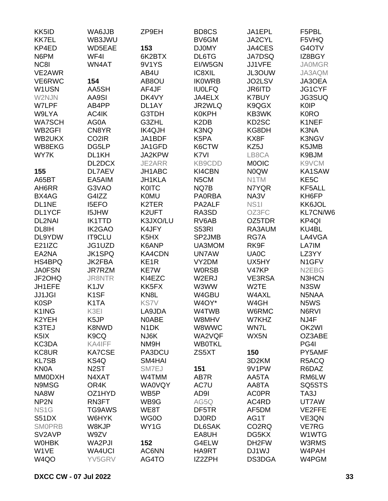| KK5ID                       | WA6JJB             | ZP9EH             | BD8CS                         | JA1EPL             | F5PBL              |
|-----------------------------|--------------------|-------------------|-------------------------------|--------------------|--------------------|
| <b>KK7EL</b>                | WB3JWU             |                   | BV6GM                         | JA2CYL             | F5VHQ              |
| KP4ED                       | WD5EAE             | 153               | <b>DJ0MY</b>                  | JA4CES             | G4OTV              |
| N6PM                        | WF4I               | 6K2BTX            | DL6TG                         | <b>JA7DSQ</b>      | IZ8BGY             |
| NC8I                        | WN4AT              | 9V1YS             | EI/W5GN                       | JJ1VFE             | <b>JA0MGR</b>      |
| VE2AWR                      |                    | AB4U              | IC8XIL                        | JL3OUW             | JA3AQM             |
| VE6RWC                      | 154                | AB8OU             | <b>IKOWRB</b>                 | JO2LSV             | JA3OEA             |
| W1USN                       | AA5SH              | AF4JF             | <b>IU0LFQ</b>                 | JR6ITD             | JG1CYF             |
| W2NJN                       | AA9SI              | DK4VY             | JA4ELX                        | <b>K7BUY</b>       | <b>JG3SUQ</b>      |
| <b>W7LPF</b>                | AB4PP              | DL1AY             | JR2WLQ                        | K9QGX              | <b>K0IP</b>        |
| W9LYA                       | AC4IK              | G3TDH             | <b>K0KPH</b>                  | KB3WK              | <b>K0RO</b>        |
| <b>WA7SCH</b>               | AG0A               | G3ZHL             | K <sub>2</sub> D <sub>B</sub> | KD2SC              | K1NEF              |
| WB <sub>2</sub> GFI         | CN8YR              | <b>IK4QJH</b>     | K3NQ                          | KG8DH              | K3NA               |
|                             |                    |                   |                               |                    |                    |
| WB2UKX                      | CO <sub>2</sub> IR | JA1BDF            | K5PA                          | KX8F               | <b>K3NGV</b>       |
| WB8EKG                      | DG5LP              | JA1GFD            | K6CTW                         | KZ5J               | K5JMB              |
| WY7K                        | DL1KH              | JA2KPW            | K7VI                          | LB8CA              | K9BJM              |
|                             | DL2DCX             | JE2ARR            | KB9CDD                        | <b>MOOIC</b>       | K9VCM              |
| 155                         | <b>DL7AEV</b>      | JH1ABC            | KI4CBN                        | <b>NOQW</b>        | KA1SAW             |
| A65BT                       | EA5AIM             | JH1KLA            | N <sub>5</sub> CM             | N1TM               | KE <sub>5</sub> C  |
| AH6RR                       | G3VAO              | <b>K0ITC</b>      | NQ7B                          | N7YQR              | KF5ALL             |
| BX4AG                       | G4IZZ              | <b>K0MU</b>       | <b>PA0RBA</b>                 | NA3V               | KH6FP              |
| DL1NE                       | <b>I5EFO</b>       | K2TER             | PA2ALF                        | <b>NS11</b>        | KK6JOL             |
| DL1YCF                      | I5JHW              | K2UFT             | RA3SD                         | OZ3FC              | KL7CN/W6           |
| DL2NAI                      | <b>IK1TTD</b>      | K3JXO/LU          | RV6AB                         | OZ5TDR             | KP4QI              |
| DL8IH                       | <b>IK2GAO</b>      | K4JFY             | S53RI                         | RA3AUM             | KU4BL              |
| DL9YDW                      | <b>IT9CLU</b>      | K5HX              | SP2JMB                        | RG7A               | LA4VGA             |
| E21IZC                      | JG1UZD             | K6ANP             | UA3MOM                        | RK9F               | LA7IM              |
| EA2NA                       | <b>JK1SPQ</b>      | KA4CDN            | <b>UN7AW</b>                  | <b>UA0C</b>        | LZ3YY              |
| HS4BPQ                      | JK2FBA             | KE <sub>1</sub> R | VY2DM                         | UX5HY              | N1GFV              |
| <b>JA0FSN</b>               | JR7RZM             | <b>KE7W</b>       | <b>WORSB</b>                  | V47KP              | N <sub>2</sub> EBG |
| JF2OHQ                      | <b>JR8NTR</b>      | KI4EZC            | W2ERJ                         | <b>VE3RSA</b>      | N3HCN              |
| JH1EFE                      | K <sub>1</sub> JV  | KK5FX             | W3WW                          | W2TE               | N3SW               |
| <b>JJ1JGI</b>               | K <sub>1</sub> SF  | KN <sub>8</sub> L | W4GBU                         | W4AXL              | N5NAA              |
| <b>K0SP</b>                 | K <sub>1</sub> TA  | <b>KS7V</b>       | W4OY*                         | W4GH               | N5WS               |
| K1ING                       | K3EI               | LA9JDA            | W4TWB                         | W6RMC              | N6RVI              |
| K2YEH                       | K <sub>5</sub> JP  | N0ABE             | W8MHV                         | W7KHZ              | NJ4F               |
| K3TEJ                       | <b>K8NWD</b>       | N <sub>1</sub> DK | W8WWC                         | WN7L               | OK2WI              |
| K <sub>5</sub> IX           | K <sub>9</sub> CQ  | NJ6K              | WA2VQF                        | WX5N               | OZ3ABE             |
| KC3DA                       | KA4IFF             | NM9H              | <b>WB0TKL</b>                 |                    | PG4I               |
| KC8UR                       | <b>KA7CSE</b>      | PA3DCU            | ZS5XT                         | 150                | PY5AMF             |
|                             | KS4Q               | SM4HAI            |                               |                    | R5ACQ              |
| <b>KL7SB</b><br><b>KN0A</b> |                    |                   |                               | 3D2KM              |                    |
|                             | N <sub>2</sub> ST  | SM7EJ             | 151                           | 9V1PW              | R6DAZ              |
| <b>MM0DXH</b>               | N4XAT              | W4TMM             | AB7R                          | AA5TA              | RM6LW              |
| N9MSG                       | OR4K               | <b>WA0VQY</b>     | AC7U                          | AA8TA              | SQ5STS             |
| NA8W                        | OZ1HYD             | WB5P              | AD9I                          | <b>ACOPR</b>       | TA3J               |
| NP <sub>2N</sub>            | RN3FT              | WB9G              | AG5Q                          | AC4RD              | UT7AW              |
| NS <sub>1</sub> G           | TG9AWS             | WE8T              | DF5TR                         | AF5DM              | VE2FFE             |
| S51DX                       | W6HYK              | WG0O              | <b>DJ0RD</b>                  | AG1T               | VE3QN              |
| <b>SMOPRB</b>               | W8KJP              | WY1G              | DL6SAK                        | CO <sub>2</sub> RQ | <b>VE7RG</b>       |
| SV <sub>2</sub> AVP         | W9ZV               |                   | EA8UH                         | DG5KX              | W1WTG              |
| <b>WOHBK</b>                | WA2PJI             | 152               | G4ELW                         | DH2FW              | W3RMS              |
| W1VE                        | <b>WA4UCI</b>      | AC6NN             | HA9RT                         | DJ1WJ              | W4PAH              |
| W4QO                        | YV5GRV             | AG4TO             | IZ2ZPH                        | DS3DGA             | W4PGM              |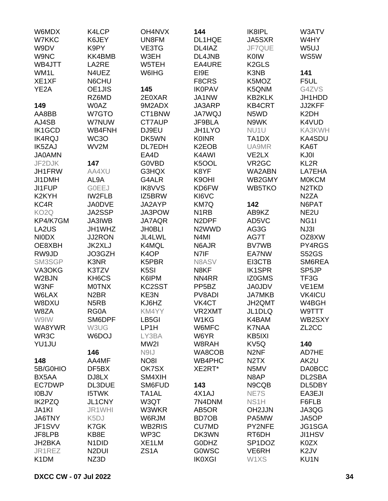| W6MDX              | K4LCP              | OH4NVX             | 144                            | IK8IPL                        | W3ATV              |
|--------------------|--------------------|--------------------|--------------------------------|-------------------------------|--------------------|
| W7KKC              | K6JEY              | UN8FM              | DL1HQE                         | JA5SXR                        | W4HY               |
| W9DV               | K9PY               | VE3TG              | DL4IAZ                         | JF7QUE                        | W <sub>5UJ</sub>   |
| W9NC               | KK4BMB             | W3EH               | DL4JNB                         | <b>K0IW</b>                   | WS5W               |
| WB4JTT             | LA2RE              | W5TEH              | EA4URE                         | K <sub>2</sub> GLS            |                    |
| WM <sub>1</sub> L  | N4UEZ              | W6IHG              | EI9E                           | K3NB                          | 141                |
| XE1XF              | N6CHU              |                    | F8CRS                          | K5MOZ                         | F5UL               |
| YE <sub>2</sub> A  | OE1JIS             | 145                | <b>IK0PAV</b>                  | K5QNM                         | G4ZVS              |
|                    | RZ6MD              | 2E0XAR             | JA1NW                          | <b>KB2KLK</b>                 | JH1HDD             |
| 149                | W0AZ               | 9M2ADX             | JA3ARP                         | <b>KB4CRT</b>                 | JJ2KFF             |
| AA8BB              | W7GTO              | CT1BNW             | <b>JA7WQJ</b>                  | N5WD                          | K <sub>2</sub> DH  |
| AJ4SB              | W7NUW              | CT7AUP             | JF9BLA                         | N9WK                          | K4VUD              |
| <b>IK1GCD</b>      | WB4FNH             | DJ9EU              | JH1LYO                         | NU <sub>1</sub> U             | KA3KWH             |
| <b>IK4RQJ</b>      | WC3O               | DK5WN              | <b>K0INR</b>                   | TA1DX                         | <b>KA4SDU</b>      |
| IK5ZAJ             | WV2M               | DL7EDH             | K <sub>2</sub> EO <sub>B</sub> | UA9MR                         | KA6T               |
| <b>JA0AMN</b>      |                    | EA4D               | K4AWI                          | VE2LX                         | KJ0I               |
| JF2DJK             | 147                | <b>G0VBD</b>       | K5OOL                          | VR <sub>2</sub> GC            | KL <sub>2R</sub>   |
| JH1FRW             | AA4XU              | G3HQX              | K8YF                           | WA2ABN                        | LA7EHA             |
| JI1DMH             | AL <sub>9</sub> A  | G4ALR              | K9OHI                          | WB2GMY                        | <b>MOKCM</b>       |
| <b>JI1FUP</b>      | <b>GOEEJ</b>       | <b>IK8VVS</b>      | KD6FW                          | WB5TKO                        | N <sub>2</sub> TKD |
| K <sub>2</sub> KYH | <b>IW2FLB</b>      | IZ5BRW             | KI6VC                          |                               | N <sub>2</sub> ZA  |
| KC4R               | <b>JA0DVE</b>      | JA2AYP             | KM7Q                           | 142                           | N6PAT              |
| KO <sub>2</sub> Q  | JA2SSP             | JA3POW             | N <sub>1</sub> RB              | AB9KZ                         | NE <sub>2U</sub>   |
| KP4/K7GM           | JA3IWB             | JA7AQR             | N <sub>2</sub> DPF             | AD5VC                         | NG <sub>11</sub>   |
| LA2US              | JH1WHZ             | <b>JH0BLI</b>      | N <sub>2</sub> WWD             | AG3G                          | NJ3I               |
|                    |                    |                    | N <sub>4</sub> MI              |                               |                    |
| <b>NIODX</b>       | <b>JJ2RON</b>      | JL4LWL             |                                | AG7T                          | OZ8XW              |
| OE8XBH             | <b>JK2XLJ</b>      | K4MQL              | N6AJR                          | <b>BV7WB</b>                  | PY4RGS             |
| RW9JD              | JO3GZH             | K <sub>4</sub> OP  | N7IF                           | EA7NW                         | <b>S52GS</b>       |
| SM3SGP             | K3NR               | K5PBR              | N8ASV                          | EI3CTB                        | SM6REA             |
| VA3OKG             | K3TZV              | K <sub>5</sub> SI  | N8KF                           | <b>IK1SPR</b>                 | SP5JP              |
| W2BJN              | KH6CS              | K6IPM              | NN4RR                          | IZ0GMS                        | TF3G               |
| W3NF               | <b>MOTNX</b>       | KC2SST             | PP <sub>5</sub> BZ             | <b>JA0JDV</b>                 | VE1EM              |
| W6LAX              | N <sub>2</sub> BR  | KE3N               | PV8ADI                         | <b>JA7MKB</b>                 | <b>VK4ICU</b>      |
| W8DXU              | N <sub>5</sub> RB  | KJ6HZ              | VK4CT                          | JH2QMT                        | W4BGH              |
| W8ZA               | RG0A               | KM4YY              | VR2XMT                         | JL1DLQ                        | W9TTT              |
| W9IW               | SM6DPF             | LB5GI              | W1KG                           | K4BAM                         | WB2SXY             |
| WA8YWR             | W3UG               | LP1H               | W6MFC                          | K7NAA                         | ZL <sub>2</sub> CC |
| WR3C               | W6DOJ              | LY3BA              | W6YR                           | KB5IXI                        |                    |
| YU1JU              |                    | MW2I               | W8RAH                          | KV <sub>5</sub> Q             | 140                |
|                    | 146                | N9IJ               | WA8COB                         | N <sub>2NF</sub>              | AD7HE              |
| 148                | AA4MF              | <b>NO8I</b>        | WB4PHC                         | N <sub>2</sub> T <sub>X</sub> | AK2U               |
| 5B/G0HIO           | DF5BX              | OK7SX              | XE2RT*                         | N5MV                          | <b>DA0BCC</b>      |
| BX5AA              | DJ8LX              | SM4XIH             |                                | N8AP                          | DL2SBA             |
| EC7DWP             | DL3DUE             | SM6FUD             | 143                            | N9CQB                         | DL5DBY             |
| <b>IOBJV</b>       | <b>I5TWK</b>       | TA <sub>1</sub> AL | 4X1AJ                          | NE7S                          | EA3EJI             |
| <b>IK2PZQ</b>      | <b>JL1CNY</b>      | W3QT               | 7N4DNM                         | NS <sub>1</sub> H             | F6FLB              |
| JA1KI              | JR1WHI             | W3WKR              | AB5OR                          | OH2JJN                        | JA3QG              |
| <b>JA6TNY</b>      | K5DJ               | W6RJM              | BD7OB                          | PA5MW                         | JA5OP              |
| JF1SVV             | K7GK               | <b>WB2RIS</b>      | <b>CU7MD</b>                   | PY2NFE                        | <b>JG1SGA</b>      |
| JF8LPB             | KB8E               | WP3C               | DK3WN                          | RT6DH                         | <b>JI1HSV</b>      |
| JH2BKA             | N <sub>1</sub> DID | XE1LM              | <b>GODHZ</b>                   | SP <sub>1</sub> DOZ           | K0ZX               |
| JR1REZ             | N <sub>2</sub> DUI | ZS <sub>1</sub> A  | <b>GOWSC</b>                   | VE6RH                         | K <sub>2</sub> JV  |
| K <sub>1</sub> DM  | NZ3D               |                    | <b>IK0XGI</b>                  | W1XS                          | KU1N               |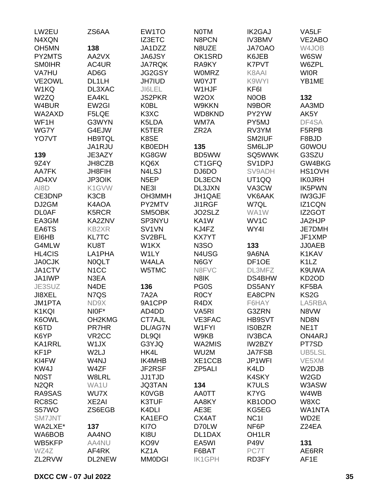| LW2EU                         | ZS6AA              | EW1TO               | <b>NOTM</b>                   | <b>IK2GAJ</b>       | VA5LF                         |
|-------------------------------|--------------------|---------------------|-------------------------------|---------------------|-------------------------------|
| N4XQN                         |                    | <b>IZ3ETC</b>       | N8PCN                         | <b>IV3BMV</b>       | VE2ABO                        |
| OH <sub>5</sub> MN            | 138                | JA1DZZ              | N8UZE                         | JA7OAO              | W4JOB                         |
| PY2MTS                        | AA2VX              | <b>JA6JSY</b>       | OK1SRD                        | K6JEB               | W6SW                          |
| <b>SMOIHR</b>                 | AC4UR              | <b>JA7RQK</b>       | RA9KY                         | <b>K7PVT</b>        | W6ZPL                         |
| VA7HU                         | AD6G               | JG2GSY              | <b>WOMRZ</b>                  | K8AAI               | <b>WIOR</b>                   |
| VE2OWL                        | DL1LH              | <b>JH7IUD</b>       | W0YJT                         | K9WYI               | YB1ME                         |
| W1KQ                          | DL3XAC             | JI6LEL              | W1HJF                         | KF6I                |                               |
| W2ZQ                          | EA4KL              | <b>JS2PKR</b>       | W <sub>2</sub> OX             | N0OB                | 132                           |
| W4BUR                         | EW2GI              | <b>K0BL</b>         | W9KKN                         | N9BOR               | AA3MD                         |
| WA2AXD                        | F5LQE              | K3XC                | WD8KND                        | PY2YW               | AK5Y                          |
| WF1H                          | G3WYN              | K5LDA               | WM7A                          | PY5MJ               | DF4SA                         |
| WG7Y                          | G4EJW              | K5TER               | ZR <sub>2</sub> A             | RV3YM               | F5RPB                         |
|                               |                    |                     |                               |                     |                               |
| YO7VT                         | <b>HB9TQL</b>      | K8SE                |                               | SM2IUF              | F8BJD                         |
|                               | JA1RJU             | <b>KB0EDH</b>       | 135                           | SM6LJP              | <b>G0WOU</b>                  |
| 139                           | JE3AZY             | KG8GW               | BD5WW                         | SQ5WWK              | G3SZU                         |
| 9Z4Y                          | JH8CZB             | KQ6X                | CT1GFQ                        | SV <sub>1</sub> DPJ | GW4BKG                        |
| AA7FK                         | <b>JH8FIH</b>      | N4LSJ               | DJ6DO                         | SV9ADH              | HS1OVH                        |
| AD4XV                         | JP3OIK             | N <sub>5</sub> EP   | DL3ECN                        | UT1QQ               | <b>IK0JRH</b>                 |
| AI8D                          | K1GVW              | NE3I                | DL3JXN                        | VA3CW               | <b>IK5PWN</b>                 |
| CE3DNP                        | K3CB               | <b>OH3MMH</b>       | JH1QAE                        | VK6AAK              | <b>IW3GJF</b>                 |
| DJ2GM                         | K4AOA              | PY2MTV              | <b>JI1RGF</b>                 | W7QL                | IZ1CQN                        |
| <b>DL0AF</b>                  | K5RCR              | SM5OBK              | JO2SLZ                        | WA1W                | IZ2GOT                        |
| EA3GM                         | KA2ZNV             | SP3NYU              | KA1W                          | WV <sub>1</sub> C   | JA2HJP                        |
| EA6TS                         | <b>KB2XR</b>       | SV1VN               | KJ4FZ                         | WY4I                | <b>JE7DMH</b>                 |
| EI6HB                         | <b>KL7TC</b>       | SV <sub>2</sub> BFL | <b>KX7YT</b>                  |                     | JF1XMP                        |
| G4MLW                         | KU8T               | W1KX                | N <sub>3</sub> SO             | 133                 | <b>JJ0AEB</b>                 |
| <b>HL4CIS</b>                 | LA1PHA             | W1LY                | N4USG                         | 9A6NA               | K1KAV                         |
| <b>JA0CJK</b>                 | N0QLT              | W4ALA               | N6GY                          | DF <sub>1</sub> OE  | K <sub>1</sub> L <sub>Z</sub> |
| JA1CTV                        | N <sub>1</sub> CC  | W5TMC               | N8FVC                         | DL3MFZ              | K9UWA                         |
| JA1IWP                        | N3EA               |                     | N8IK                          | DS4BHW              | KD <sub>2</sub> OD            |
| JE3SUZ                        | N4DE               | 136                 | PG0S                          | DS5ANY              | KF5BA                         |
| JI8XEL                        | N7QS               | <b>7A2A</b>         | R <sub>0</sub> CY             | EA8CPN              | KS <sub>2</sub> G             |
| JM1PTA                        | ND9X               | 9A1CPP              | R <sub>4</sub> D <sub>X</sub> | F6HAY               | LA5RBA                        |
| K1KQI                         | NIOF*              | AD4DD               | VA <sub>5RI</sub>             | G3ZRN               | N8VW                          |
| K6OWL                         | OH2KMG             | CT7AJL              | <b>VE3FAC</b>                 | HB9SVT              | ND8N                          |
| K6TD                          | <b>PR7HR</b>       | DL/AG7N             | W1FYI                         | <b>ISOBZR</b>       | NE <sub>1</sub> T             |
| K6YP                          | VR <sub>2</sub> CC | DL9QI               | W9KB                          | <b>IV3BCA</b>       | ON4ARJ                        |
| <b>KA1RRL</b>                 | W1JX               | G3YJQ               | WA2MIS                        | IW2BZY              | PT7SD                         |
| KF <sub>1</sub> P             | W <sub>2L</sub> J  | HK4L                | WU2M                          | <b>JA7FSB</b>       | UB5LSL                        |
| KI4FW                         | W4NJ               | <b>IK4MHB</b>       | XE1CCB                        | JP1WFI              | VE5XM                         |
| KW4J                          | W4ZF               | JF2RSF              | ZP5ALI                        | K4LD                | W2DJB                         |
|                               |                    |                     |                               |                     | W <sub>2</sub> GD             |
| <b>NOST</b>                   | W8LRL              | <b>JJ1TJD</b>       |                               | K4SKY               |                               |
| N <sub>2</sub> Q <sub>R</sub> | WA1U               | <b>JQ3TAN</b>       | 134                           | <b>K7ULS</b>        | W3ASW                         |
| RA9SAS                        | WU7X               | <b>K0VGB</b>        | <b>AA0TT</b>                  | K7YG                | W4WB                          |
| RC8SC                         | XE2AI              | K3TUF               | AA8KY                         | KB1ODO              | W8XC                          |
| S57WO                         | ZS6EGB             | K4DLI               | AE3E                          | KG5EG               | <b>WA1NTA</b>                 |
| <b>SM7JNT</b>                 |                    | KA1EFO              | CX4AT                         | NC <sub>1</sub>     | WD2E                          |
| WA2LXE*                       | 137                | <b>KI70</b>         | D70LW                         | NF6P                | Z24EA                         |
| WA6BOB                        | AA4NO              | KI8U                | DL1DAX                        | OH <sub>1</sub> LR  |                               |
| WB5KFP                        | AA4NU              | KO <sub>9</sub> V   | EA5WI                         | <b>P49V</b>         | 131                           |
| WZ4Z                          | AF4RK              | KZ1A                | F6BAT                         | PC7T                | AE6RR                         |
| ZL2RVW                        | DL2NEW             | <b>MM0DGI</b>       | <b>IK1GPH</b>                 | RD3FY               | AF1E                          |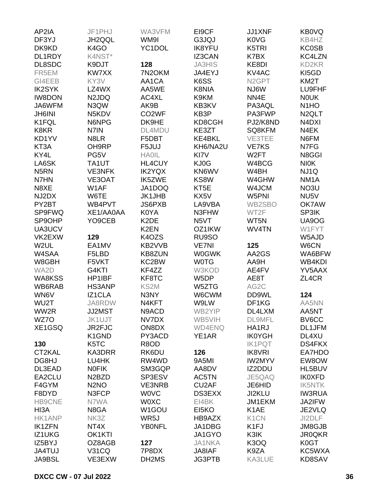| AP2IA             | JF1PHJ                         | WA3VFM             | EI9CF              | <b>JJ1XNF</b>      | KB0VQ              |
|-------------------|--------------------------------|--------------------|--------------------|--------------------|--------------------|
| DF3YJ             | JH2QQL                         | WM9I               | G3JQJ              | <b>K0VG</b>        | KB4HZ              |
| DK9KD             | K <sub>4</sub> GO              | YC1DOL             | <b>IK8YFU</b>      | K5TRI              | <b>KC0SB</b>       |
| DL1RDY            | K4NST*                         |                    | <b>IZ3CAN</b>      | K7BX               | KC4LZN             |
| DL8SDC            | K9DJT                          | 128                | <b>JA3HIS</b>      | KE8DI              | KD2KR              |
| FR5EM             | KW7XX                          | 7N2OKM             | JA4EYJ             | KV4AC              | KI5GD              |
| GI4EEB            | KY3V                           | AA1CA              | K6SS               | N <sub>2</sub> GPT | KM <sub>2</sub> T  |
| <b>IK2SYK</b>     | LZ4WX                          | AA5WE              | K8NIA              | NJ6W               | LU9FHF             |
| <b>IW8DON</b>     | N <sub>2JDQ</sub>              | AC4XL              | K9KM               | NN4E               | <b>NOUK</b>        |
| JA6WFM            | N3QW                           | AK9B               | KB3KV              | PA3AQL             | N <sub>1</sub> HO  |
| <b>JH6INI</b>     | N5KDV                          | CO <sub>2</sub> WF | KB3P               | PA3FWP             | N <sub>2</sub> QLT |
| K1FQL             | N6NPG                          | DK9HE              | KD8CGH             | PJ2/K8ND           | N4DXI              |
| K8KR              | N7IN                           | DL4MDU             | KE3ZT              | SQ8KFM             | N4EK               |
| KD1YV             | N8LR                           | F5DBT              | KE4BKL             | VE3TEE             | N6FM               |
| KT3A              | OH9RP                          | F5JUJ              | KH6/NA2U           | <b>VE7KS</b>       | N7FG               |
| KY4L              | PG5V                           | <b>HAOIL</b>       | KI7V               | W <sub>2</sub> FT  | N8GGI              |
| LA6SK             | TA1UT                          | <b>HL4CUY</b>      | KJ0G               | W4BCG              | <b>NIOK</b>        |
| N <sub>5</sub> RN | <b>VE3NFK</b>                  | <b>IK2YQX</b>      | KN6WV              | W4BH               | NJ1Q               |
| N7HN              | VE3OAT                         | IK5ZWE             | KS8W               | W4GHW              | NM <sub>1</sub> A  |
| N8XE              | W1AF                           | JA1DOQ             | KT5E               | W4JCM              | NO3U               |
| NJ2DX             | W6TE                           | <b>JK1JHB</b>      | KX5V               | W5PNI              | NU5V               |
| PY2BT             | WB4PVT                         | JS6PXB             | LA9VBA             | WB2SBO             | OK7AW              |
| <b>SP9FWQ</b>     | XE1/AA0AA                      | K0YA               | N3FHW              | WT2F               | SP3IK              |
| SP9OHP            | YO9CEB                         | K <sub>2</sub> DE  | N5VT               | WT5N               | UA9OG              |
| UA3UCV            |                                | K <sub>2</sub> EN  | OZ1IKW             | WV4TN              | W1FYT              |
|                   | 129                            | K4OZS              |                    |                    |                    |
| VK2EXW            | EA1MV                          | KB2VVB             | RU9SO              | 125                | W5AJD              |
| W2UL              |                                |                    | <b>VE7NI</b>       |                    | W6CN               |
| W4SAA             | F5LBD                          | <b>KB8ZUN</b>      | <b>W0GWK</b>       | AA2GS              | WA6BFW             |
| W8GBH             | F5VKT                          | KC2BW              | <b>WOTG</b>        | AA9H               | WB4KDI             |
| WA2D              | G4KTI                          | KF4ZZ              | W3KOD              | AE4FV              | YV5AAX             |
| WA8KSS            | HP1IBF                         | KF8TC              | W <sub>5</sub> DP  | AE8T               | ZL4CR              |
| WB6RAB            | HS3ANP                         | KS2M               | W5ZTG              | AG2C               |                    |
| WN6V              | IZ1CLA                         | N3NY               | W6CWM              | DD9WL              | 124                |
| WU2T              | JA8RDW                         | N4KFT              | W9LW               | DF1KG              | AA5NN              |
| WW2R              | JJ2MST                         | N9ACD              | WB2YIP             | DL4LXM             | AA5NT              |
| WZ7O              | <b>JK1UJT</b>                  | NV7DX              | WB5VIH             | <b>DL9MFL</b>      | BV6CC              |
| XE1GSQ            | JR2FJC                         | ON8DX              | <b>WD4ENQ</b>      | HA1RJ              | DL1JFM             |
|                   | K1GND                          | PY3ACD             | YE1AR              | <b>IK0YGH</b>      | DL4XU              |
| 130               | K5TC                           | R8OD               |                    | <b>IK1PQT</b>      | <b>DS4FKX</b>      |
| CT2KAL            | KA3DRR                         | RK6DU              | 126                | <b>IK8VRI</b>      | EA7HDO             |
| DG8HJ             | LU4HK                          | RW4WD              | 9A5MI              | <b>IW2MYV</b>      | EW8OW              |
| DL3EAD            | <b>NOFIK</b>                   | SM3GQP             | AA8DV              | IZ2DDU             | HL5BUV             |
| EA2CLU            | N <sub>2</sub> B <sub>ZD</sub> | SP3ESV             | AC5TN              | JE5QAQ             | <b>IK0XFD</b>      |
| F4GYM             | N <sub>2</sub> NO              | <b>VE3NRB</b>      | CU <sub>2</sub> AF | JE6HID             | <b>IK5NTK</b>      |
| F8DYD             | N3FCP                          | <b>WOVC</b>        | DS3EXX             | JI2KLU             | <b>IW3RUA</b>      |
| <b>HB9CNE</b>     | N7WA                           | <b>WOXC</b>        | EI4BK              | JM1EKM             | JA2IFW             |
| HI3A              | N8GA                           | W1GOU              | EI5KO              | K <sub>1</sub> AE  | JE2VLQ             |
| <b>HK1ANP</b>     | NK3Z                           | WR5J               | HB9AZX             | K <sub>1</sub> CN  | JI2DLF             |
| <b>IK1ZFN</b>     | NT4X                           | <b>YBONFL</b>      | JA1DBG             | K <sub>1FJ</sub>   | JM8GJB             |
| IZ1UKG            | OK1KTI                         |                    | JA1GYO             | K3IK               | <b>JR0QKR</b>      |
| IZ5BYJ            | OZ8AGB                         | 127                | <b>JA1NKA</b>      | K3OQ               | K0GT               |
| <b>JA4TUJ</b>     | <b>V31CQ</b>                   | 7P8DX              | JA8IAF             | K9ZA               | KC5WXA             |
| <b>JA9BSL</b>     | VE3EXW                         | DH2MS              | <b>JG3PTB</b>      | KA3LUE             | KD8SAV             |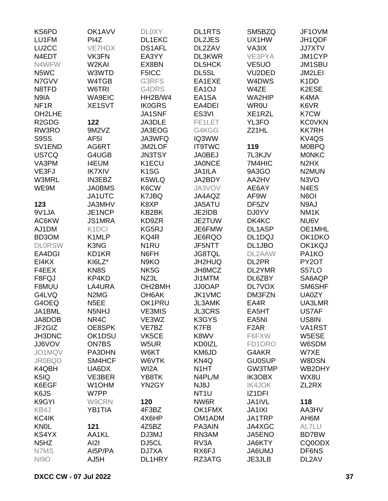| KS6PD                          | OK1AVV                        | <b>DLOXY</b>       | <b>DL1RTS</b>      | SM5BZQ             | JF1OVM                        |
|--------------------------------|-------------------------------|--------------------|--------------------|--------------------|-------------------------------|
| LU1FM                          | PI4Z                          | DL1EKC             | <b>DL2JES</b>      | UX1HW              | JH1QDF                        |
| LU <sub>2</sub> CC             | <b>VE7HDX</b>                 | <b>DS1AFL</b>      | DL2ZAV             | VA3IX              | <b>JJ7XTV</b>                 |
| N4EDT                          | VK3FN                         | EA3YY              | DL3KWR             | VE3PYA             | JM1CYP                        |
| N4WFW                          | W <sub>2</sub> KAI            | EX8BN              | DL5HCK             | VE <sub>5</sub> UO | JM1SBU                        |
| N5WC                           | W3WTD                         | F5ICC              | DL5SL              | VU2DED             | JM2LEI                        |
| N7GVV                          | W4TGB                         | G3RFS              | EA1EXE             | W4DWS              | K <sub>1</sub> D <sub>D</sub> |
| N8TFD                          | W6TRI                         | G4DRS              | EA <sub>1</sub> OJ | W4ZE               | K2ESE                         |
| N9IA                           | <b>WA9EIC</b>                 | HH2B/W4            | EA1SA              | WA2HIP             | K4MA                          |
| NF <sub>1R</sub>               | XE1SVT                        | <b>IK0GRS</b>      | EA4DEI             | <b>WR0U</b>        | K6VR                          |
| OH2LHE                         |                               | JA1SNF             | ES <sub>3VI</sub>  | XE1RZL             | K7CW                          |
| R <sub>2</sub> GD <sub>G</sub> | 122                           | JA3DLE             | FE1LET             | YL3FO              | <b>KC0VKN</b>                 |
| RW3RO                          | 9M2VZ                         | JA3EOG             | G4KGG              | Z21HL              | <b>KK7RH</b>                  |
| S9SS                           | AF <sub>5</sub> I             | JA3WFQ             | IQ3WW              |                    | KV <sub>4</sub> QS            |
| SV <sub>1</sub> END            | AG6RT                         | JM2LOF             | <b>IT9TWC</b>      | 119                | <b>M0BPQ</b>                  |
| US7CQ                          | G4UGB                         | <b>JN3TSY</b>      | <b>JA0BEJ</b>      | 7L3KJV             | <b>MONKC</b>                  |
| VA3PM                          | <b>I4EUM</b>                  | K1ECU              | <b>JA0NCE</b>      | 7M4HIC             | N <sub>2</sub> H <sub>X</sub> |
| VE3FJ                          | <b>IK7XIV</b>                 | K <sub>1</sub> SG  | <b>JA1ILA</b>      | 9A3GO              | N <sub>2</sub> MUN            |
| <b>W3MRL</b>                   | <b>IN3EBZ</b>                 | K5WLQ              | JA2BDY             | AA2HV              | N <sub>3</sub> VO             |
| WE9M                           | <b>JA0BMS</b>                 | K6CW               | JA3VOV             | AE6AY              | N <sub>4</sub> ES             |
|                                | JA1UTC                        | K7JBQ              | JA4AQZ             | AF9W               | N6OI                          |
| 123                            | JA3MHV                        | K8XP               | JA5ATU             | DF5ZV              | N9AJ                          |
| 9V1JA                          | JE1NCP                        | KB2BK              | JE2IDB             | <b>DJ0YV</b>       | NM <sub>1</sub> K             |
| AC6KW                          | <b>JS1MRA</b>                 | KD9ZR              | JE2TUW             | DK4KC              | NU6V                          |
|                                |                               | KG5RJ              |                    |                    | OE1MHL                        |
| AJ1DM                          | K <sub>1</sub> DCI            |                    | JE6FMW             | DL1ASP             |                               |
| BD3OM                          | K1MLP                         | KQ4R               | JE6RQO             | DL1DQJ             | OK1DKO                        |
| <b>DLORSW</b>                  | K3NG                          | N <sub>1</sub> RU  | JF5NTT             | DL1JBO             | OK1KQJ                        |
| EA4DGI                         | KD1KR                         | N6FH               | <b>JG8TQL</b>      | DL2AAW             | PA1KO                         |
| EI4KX                          | KI6LZ*                        | N9KO               | JH2HUQ             | DL2PR              | PY2OT                         |
| F4EEX                          | KN8S                          | NK5G               | JH8MCZ             | DL2YMR             | S57LO                         |
| F8FQJ                          | KP4KD                         | NZ3L               | JI1MTM             | DL6ZBY             | SA6AQP                        |
| F8MUU                          | LA4URA                        | OH2BMH             | JJ0OAP             | <b>DL7VOX</b>      | SM6SHF                        |
| G4LVQ                          | N <sub>2</sub> M <sub>G</sub> | OH <sub>6</sub> AK | JK1VMC             | DM3FZN             | UA0ZY                         |
| G4OEQ                          | N <sub>5</sub> EE             | OK1PRU             | <b>JL3AMK</b>      | EA4R               | UA3LMR                        |
| JA1BML                         | N5NHJ                         | VE3MIS             | <b>JL3CRS</b>      | EA5HT              | US7AF                         |
| JA8DOB                         | NR4C                          | VE3WZ              | K3GYS              | EA5NI              | US8IN                         |
| JF2GIZ                         | OE8SPK                        | VE7BZ              | K7FB               | F <sub>2</sub> AR  | VA1RST                        |
| JH3DNC                         | OK1DSU                        | VK5CE              | K8WV               | F6FXW              | W5ESE                         |
| <b>JJ6VOV</b>                  | <b>ON7BS</b>                  | W5UR               | <b>KD0IZL</b>      | FD1ORO             | W6SDM                         |
| JO1MQV                         | PA3DHN                        | W6KT               | KM6JD              | G4AKR              | W7XE                          |
| <b>JR0BQD</b>                  | SM4HCF                        | W6VTK              | KN4Q               | <b>GU0SUP</b>      | W8DSN                         |
| K4QBH                          | UA6DX                         | WI2A               | N <sub>1</sub> HT  | GW3TMP             | WB2DHY                        |
| K5IQ                           | VE3BER                        | YB8TK              | N4PL/M             | IK3OBX             | WX8U                          |
| K6EGF                          | W1OHM                         | YN2GY              | NJ8J               | <b>IK4JOK</b>      | ZL2RX                         |
| K6JS                           | W7PP                          |                    | NT <sub>1</sub> U  | IZ1DFI             |                               |
| K9GYI                          | W9CRN                         | 120                | NW6R               | JA1IVL             | 118                           |
| KB4J                           | YB1TIA                        | 4F3BZ              | OK1FMX             | <b>JA1IXI</b>      | AA3HV                         |
| KC4IK                          |                               | 4X6HP              | OM1ADM             | JA1TRP             | AH6M                          |
| <b>KNOL</b>                    | 121                           | 4Z5BZ              | PA3AIN             | JA4XGC             | AL7LU                         |
| KS4YX                          | AA1KL                         | DJ3MJ              | RN3AM              | JA5ENO             | <b>BD7BW</b>                  |
| N <sub>5</sub> H <sub>Z</sub>  | AI2I                          | DJ5CL              | RV3A               | JA6KTY             | CQ0ODX                        |
| N7MS                           | AI5P/PA                       | DJ7XA              | RX6FJ              | <b>UMUAAL</b>      | DF6NS                         |
| <b>NI9O</b>                    | AJ5H                          | DL1HRY             | RZ3ATG             | JE3JLB             | DL2AV                         |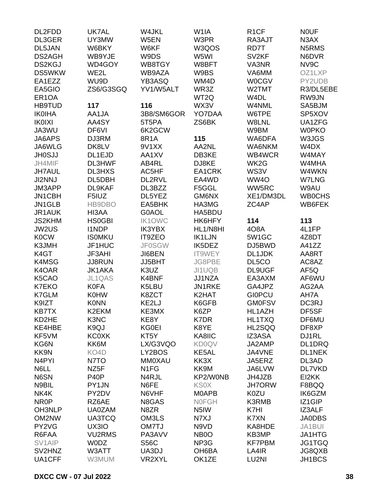| DL2FDD              | UK7AL             | W4JKL             | W <sub>1</sub> IA | R <sub>1</sub> CF | <b>NOUF</b>   |
|---------------------|-------------------|-------------------|-------------------|-------------------|---------------|
| DL3GER              | UY3MW             | W5EN              | W3PR              | RA3AJT            | N3AX          |
| DL5JAN              | W6BKY             | W6KF              | W3QOS             | RD7T              | N5RMS         |
| DS2AGH              | WB9YJE            | W9DS              | W5WI              | SV <sub>2KF</sub> | N6DVR         |
| <b>DS2KGJ</b>       | WD4GOY            | WB8TGY            | W8BFT             | VA3NR             | NV9C          |
| DS5WKW              | WE2L              | WB9AZA            | W9BS              | VA6MM             | OZ1LXP        |
| EA1EZZ              | WU9D              | YB3ASQ            | WM4D              | <b>W0CGV</b>      | PY2UDB        |
| EA5GIO              | ZS6/G3SGQ         | YV1/W5ALT         | WR3Z              | W2TMT             | R3/DL5EBE     |
| ER <sub>1</sub> OA  |                   |                   | WT2Q              | W4DL              | RW9JN         |
| <b>HB9TUD</b>       | 117               | 116               | WX3V              | W4NML             | SA5BJM        |
| <b>IK0IHA</b>       | AA1JA             | 3B8/SM6GOR        | YO7DAA            | W6TPE             | SP5XOV        |
| <b>IK0IXI</b>       | AA4SY             | 5T5PA             | ZS6BK             | W8LNL             | UA1ZFG        |
| JA3WU               | DF6VI             | 6K2GCW            |                   | W9BM              | <b>W0PKO</b>  |
| JA6APS              | DJ3RM             | 8R1A              | 115               | WA6DFA            | W3JGS         |
| JA6WLG              | DK8LV             | 9V1XX             | AA2NL             | WA6NKM            | W4DX          |
|                     |                   |                   |                   |                   |               |
| <b>JH0SJJ</b>       | DL1EJD            | AA1XV             | DB3KE             | WB4WCR            | W4MAY         |
| JH4MIF              | DL3HWF            | AB4RL             | DJ8KE             | WK2G              | W4MHA         |
| <b>JH7AUL</b>       | <b>DL3HXS</b>     | AC5HF             | EA1CRK            | WS3V              | W4WKN         |
| <b>JI2NNJ</b>       | DL5DBH            | DL2RVL            | EA4WD             | WW4O              | <b>W7LNG</b>  |
| JM3APP              | DL9KAF            | DL3BZZ            | F5GGL             | WW5RC             | W9AU          |
| JN1CBH              | F5IUZ             | DL5YEZ            | GM6NX             | XE1/DM3DL         | <b>WB0CHS</b> |
| JN1GLB              | HB9DBO            | EA5BHK            | HA3MG             | ZC4AP             | WB6FEK        |
| JR1AUK              | HI3AA             | G0AOL             | HA5BDU            |                   |               |
| <b>JS2KHM</b>       | <b>HS0GBI</b>     | <b>IK1OWC</b>     | HK6HFY            | 114               | 113           |
| <b>JW2US</b>        | <b>I1NDP</b>      | <b>IK3YBX</b>     | HL1/N8HI          | 408A              | 4L1FP         |
| <b>K0CW</b>         | <b>ISOMKU</b>     | IT9ZEO            | <b>IK1LJN</b>     | 5W1GC             | 4Z8DT         |
| K3JMH               | JF1HUC            | <b>JF0SGW</b>     | IK5DEZ            | DJ5BWD            | A41ZZ         |
| K4GT                | JF3AHI            | JI6BEN            | IT9WEY            | DL1JDK            | AA8RT         |
| K4MSG               | <b>JJ8RUN</b>     | JJ5BHT            | JG8PBE            | DL5CO             | AC8AZ         |
| K4OAR               | <b>JK1AKA</b>     | K3UZ              | JI1UQB            | DL9UGF            | AF5Q          |
| K5CAO               | JL1QAS            | K4BNF             | JJ1NZA            | EA3AXM            | AF6WU         |
| K7EKO               | <b>K0FA</b>       | K5LBU             | JN1RKE            | GA4JPZ            | AG2AA         |
| K7GLM               | <b>K0HW</b>       | K8ZCT             | K2HAT             | <b>GIOPCU</b>     | AH7A          |
| K9IZT               | <b>K0NN</b>       | KE2LJ             | K6GFB             | <b>GM0FSV</b>     | DC3RJ         |
| <b>KB7TX</b>        | K2EKM             | KE3MX             | K6ZP              | HL1AZH            | DF5SF         |
| KD2HE               | K3NC              | KE8Y              | K7DR              | HL1TXQ            | DF6MU         |
| KE4HBE              | K9QJ              | <b>KG0EI</b>      | K8YE              | HL2SQQ            | DF8XP         |
| KF5VM               | <b>KCOXK</b>      | KT <sub>5</sub> Y | KA8IIC            | IZ3ASA            | DJ1RL         |
| KG6N                | KK6M              | LX/G3VQO          | <b>KD0QV</b>      | JA2AMP            | DL1DRQ        |
| KK9N                | KO4D              | LY2BOS            | KE5AL             | JA4VNE            | <b>DL1NEK</b> |
| N <sub>4</sub> PYI  | N7TO              | <b>MM0XAU</b>     | KK3X              | JA5ERZ            | DL3AD         |
| N6LL                | NZ5F              | N <sub>1FG</sub>  | KK9M              | JA6LVW            | DL7VKD        |
| N6SN                | P <sub>40</sub> P | N4RJL             | KP2/W0NB          | JH4JZB            | EI2KK         |
| N9BIL               | PY1JN             | N6FE              | <b>KS0X</b>       | <b>JH7ORW</b>     | F8BQQ         |
| NK4K                | PY2DV             | N6VHF             | <b>MOAPB</b>      | K0ZU              | IK6GZM        |
|                     |                   |                   |                   |                   |               |
| NR <sub>0</sub> P   | RZ6AE             | N8GAS             | <b>NOFGH</b>      | <b>K3RMB</b>      | IZ1GIP        |
| OH3NLP              | <b>UA0ZAM</b>     | N8ZR              | N <sub>5</sub> IW | K7HI              | IZ3ALF        |
| OM2NW               | <b>UA3TCQ</b>     | OM3LS             | N7XJ              | K7XN              | <b>JA0DBS</b> |
| PY2VG               | UX3IO             | OM7TJ             | N9VD              | KA8HDE            | JA1BUI        |
| R6FAA               | <b>VU2RMS</b>     | PA3AVV            | NB <sub>0</sub>   | KB3MP             | JA1HTG        |
| SV <sub>1</sub> AIP | <b>WODZ</b>       | <b>S56C</b>       | NP3G              | <b>KF7PBM</b>     | JG1TGQ        |
| SV2HNZ              | W3ATT             | UA3DJ             | OH6BA             | LA4IR             | JG8QXB        |
| UA1CFF              | W3MUM             | VR2XYL            | OK1ZE             | LU2NI             | JH1BCS        |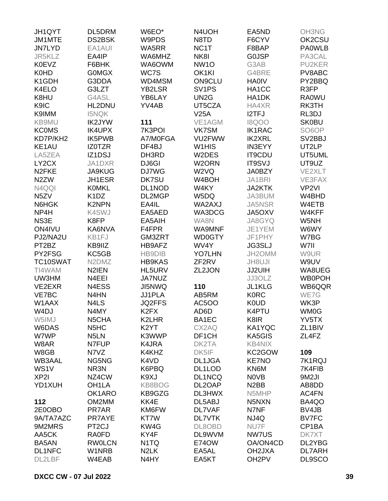| JH1QYT             | DL5DRM                         | W6EO*                         | N4UOH                          | EA5ND              | <b>OH3NG</b>        |
|--------------------|--------------------------------|-------------------------------|--------------------------------|--------------------|---------------------|
| JM1MTE             | <b>DS2BSK</b>                  | W9PDS                         | N8TD                           | F6CYV              | OK2CSU              |
| <b>JN7LYD</b>      | EA1AUI                         | WA5RR                         | NC1T                           | F8BAP              | <b>PA0WLB</b>       |
| JR5KLZ             | EA4IP                          | WA6MHZ                        | NK8I                           | <b>GOJSP</b>       | PA3CAL              |
| <b>K0EVZ</b>       | F6BHK                          | WA6OWM                        | NW <sub>1</sub> O              | G3AB               | PU2KER              |
| <b>K0HD</b>        | <b>GOMGX</b>                   | WC7S                          | OK1KI                          | G4BRE              | PV8ABC              |
| K1GDH              | G3DDA                          | WD4MSM                        | <b>ON9CLU</b>                  | <b>HA0IV</b>       | PY2BBQ              |
| K4ELO              | G3LZT                          | <b>YB2LSR</b>                 | SV <sub>1PS</sub>              | HA1CC              | R3FP                |
| K8HU               | G4ASL                          | YB6LAY                        | UN <sub>2</sub> G              | HA1DK              | <b>RA0WU</b>        |
|                    | HL2DNU                         |                               |                                |                    |                     |
| K9IC               |                                | YV4AB                         | UT5CZA                         | HA4XR              | RK3TH               |
| K9IMM              | <b>I5NQK</b>                   |                               | V25A                           | <b>I2TFJ</b>       | RL3DJ               |
| KB9MU              | <b>IK2JYW</b>                  | 111                           | VE1AGM                         | <b>18QOO</b>       | <b>SK0BU</b>        |
| <b>KCOMS</b>       | <b>IK4UPX</b>                  | 7K3POI                        | VK7SM                          | <b>IK1RAC</b>      | SO <sub>6</sub> OP  |
| KD7P/KH2           | IK5PWB                         | A7/M0FGA                      | VU2FWW                         | <b>IK2XRL</b>      | SV <sub>2</sub> BBJ |
| KE1AU              | <b>IZOTZR</b>                  | DF4BJ                         | W <sub>1</sub> H <sub>IS</sub> | <b>IN3EYY</b>      | UT2LP               |
| LA5ZEA             | IZ1DSJ                         | DH3RD                         | W2DES                          | <b>IT9CDU</b>      | UT5UML              |
| LY2CX              | JA1DXR                         | DJ6GI                         | W <sub>2</sub> ORN             | <b>IT9SVJ</b>      | UT9UZ               |
| N <sub>2</sub> FKE | <b>JA9KUG</b>                  | DJ7WG                         | W <sub>2</sub> VQ              | <b>JA0BZY</b>      | VE2XLT              |
| N <sub>2</sub> ZW  | JH1ESR                         | <b>DK7SU</b>                  | W4BOH                          | JA1BRI             | VE3FAX              |
| N4QQI              | <b>KOMKL</b>                   | DL1NOD                        | W4KY                           | <b>JA2KTK</b>      | VP <sub>2VI</sub>   |
| N <sub>5</sub> ZV  | K <sub>1</sub> D <sub>Z</sub>  | DL2MGP                        | W5DQ                           | JA3BUM             | W4BHD               |
| N6HGK              | <b>K2NPN</b>                   | EA4IL                         | WA2AXJ                         | JA5NSR             | W4ETB               |
| NP4H               | K4SWJ                          | EA5AED                        | WA3DCG                         | JA5OXV             | W4KFF               |
| NS3E               | K8FP                           | EA5AIH                        | WA8N                           | JA8GYQ             | W5NH                |
| ON4IVU             | KA6NVA                         | F4FPR                         | WA9MNF                         | JE1YEM             | W6WY                |
| PJ2/NA2U           | KB1FJ                          | GM3ZRT                        | WD0GTY                         | JF1PHY             | W7BG                |
| PT2BZ              | KB9IIZ                         | HB9AFZ                        | WV4Y                           | <b>JG3SLJ</b>      | W7II                |
| PY2FSG             | KC5GB                          | <b>HB9DIB</b>                 | <b>YO7LHN</b>                  | JH2OMM             | W9UR                |
|                    |                                |                               |                                |                    |                     |
| TC10SWAT           | N <sub>2</sub> DM <sub>Z</sub> | <b>HB9KAS</b>                 | ZF <sub>2RV</sub>              | JH8UJI             | W9UV                |
| TI4WAM             | N2IEN                          | HL5URV                        | ZL2JON                         | JJ2UIH             | WA8UEG              |
| UW3HM              | N4EEI                          | <b>JA7NUZ</b>                 |                                | JJ3OLZ             | <b>WB0POH</b>       |
| VE2EXR             | N4ESS                          | <b>JI5NWQ</b>                 | 110                            | JL1KLG             | WB6QQR              |
| VE7BC              | N4HN                           | JJ1PLA                        | AB5RM                          | <b>K0RC</b>        | WE7G                |
| W1AAX              | N4LS                           | JQ2FFS                        | <b>AC5OO</b>                   | <b>K0UD</b>        | WK3P                |
| W4DJ               | N4MY                           | K <sub>2</sub> F <sub>X</sub> | AD6D                           | K4PTU              | <b>WM0G</b>         |
| W5IMJ              | N5CHA                          | K2LHR                         | BA1EC                          | K8IR               | YV5TX               |
| W6DAS              | N <sub>5</sub> H <sub>C</sub>  | K <sub>2</sub> YT             | CX2AQ                          | KA1YQC             | ZL <sub>1</sub> BIV |
| W7WP               | N <sub>5</sub> LN              | K3WWP                         | DF <sub>1</sub> CH             | KA5GIS             | ZL4FZ               |
| W8AR               | N7FUP                          | K4JRA                         | DK2TA                          | <b>KB4NIX</b>      |                     |
| W8GB               | N7VZ                           | K4KHZ                         | DK5IF                          | KC2GOW             | 109                 |
| <b>WB3AAL</b>      | NG5NG                          | K4VD                          | DL1JGA                         | <b>KE7NO</b>       | 7K1RQJ              |
| WS1V               | NR3N                           | K6PBQ                         | DL1LOD                         | KN6M               | 7K4FIB              |
| XP <sub>2</sub>    | NZ4CW                          | K9XJ                          | DL1NCQ                         | N0VB               | 9M2JI               |
| YD1XUH             | OH <sub>1</sub> LA             | KB8BOG                        | DL2OAP                         | N <sub>2</sub> BB  | AB8DD               |
|                    | OK1ARO                         | KB9GZG                        | DL3HWX                         | N5MHP              | AC4FN               |
| 112                | OM2MM                          | KK4E                          | DL5ABJ                         | N5NXN              | BA4QO               |
| 2E0OBO             | PR7AR                          | KM6FW                         | DL7VAF                         | N7NF               | BV4JB               |
| 9A/TA7AZC          | PR7AYE                         | KT7W                          | <b>DL7VTK</b>                  | NJ4Q               | <b>BV7FC</b>        |
| 9M2MRS             | PT <sub>2CJ</sub>              | KW4G                          | DL8OBD                         | NU7F               | CP1BA               |
|                    |                                | KY4F                          |                                |                    |                     |
| AA5CK              | <b>RA0FD</b>                   |                               | DL9WVM                         | NW7US              | DK7XT               |
| BA5AN              | <b>RW0LCN</b>                  | N <sub>1</sub> TQ             | E74OW                          | OA/ON4CD           | DL2YBG              |
| DL1NFC             | W1NRB                          | N <sub>2</sub> LK             | EA5AL                          | OH2JXA             | <b>DL7ARH</b>       |
| DL2LBF             | W4EAB                          | N4HY                          | EA5KT                          | OH <sub>2</sub> PV | DL9SCO              |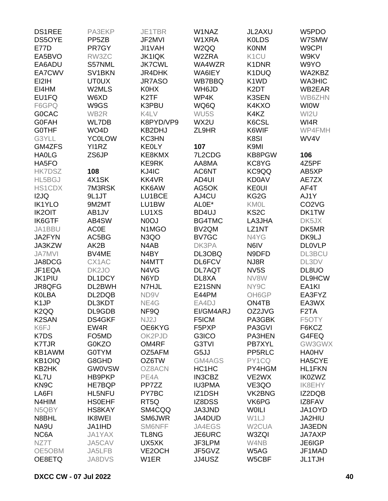| <b>DS1REE</b>     | PA3EKP              | JE1TBR            | W1NAZ                          | JL2AXU             | W5PDO                          |
|-------------------|---------------------|-------------------|--------------------------------|--------------------|--------------------------------|
| DS5OYE            | PP <sub>5</sub> ZB  | JF2MVI            | W1XRA                          | <b>KOLDS</b>       | W7SMW                          |
| <b>E77D</b>       | PR7GY               | JI1VAH            | W <sub>2</sub> QQ              | <b>K0NM</b>        | W9CPI                          |
| EA5BVO            | RW3ZC               | <b>JK1IQK</b>     | W2ZRA                          | K <sub>1</sub> CU  | W9KV                           |
| EA6ADU            | S57NML              | <b>JK7CWL</b>     | WA4WZR                         | K1DNR              | W9YO                           |
| EA7CWV            | SV <sub>1</sub> BKN | JR4DHK            | WA6IEY                         | K1DUQ              | WA2KBZ                         |
| EI2IH             | <b>UT0UX</b>        | JR7ASO            | WB7BBQ                         | K1WD               | <b>WA3HIC</b>                  |
| EI4HM             | W2MLS               | <b>K0HX</b>       | WH6JD                          | K <sub>2</sub> DT  | WB2EAR                         |
| EU1FQ             | W6XD                | K <sub>2</sub> TF | WP4K                           | K3SEN              | WB6ZHN                         |
|                   | W9GS                | K3PBU             | WQ6Q                           | K4KXO              | <b>WIOW</b>                    |
| F6GPQ             |                     |                   |                                |                    |                                |
| <b>GOCAC</b>      | WB2R                | K4LV              | WU <sub>5</sub> S              | K4KZ               | WI2U                           |
| <b>G0FAH</b>      | WL7DB               | K8PYD/VP9         | WX2U                           | K6CSL              | WI4R                           |
| <b>GOTHF</b>      | WO <sub>4</sub> D   | KB2DHJ            | ZL9HR                          | K6WIF              | WP4FMH                         |
| G3YLL             | <b>YC0LOW</b>       | <b>KC3HN</b>      |                                | K8SI               | WV4V                           |
| GM4ZFS            | YI1RZ               | <b>KEOLY</b>      | 107                            | K9MI               |                                |
| <b>HAOLG</b>      | ZS6JP               | KE8KMX            | 7L2CDG                         | <b>KB8PGW</b>      | 106                            |
| HA5FO             |                     | KE9RK             | AA8MA                          | KC8YG              | 4Z5PF                          |
| <b>HK7DSZ</b>     | 108                 | KJ4IC             | AC6NT                          | KC9QQ              | AB5XP                          |
| HL5BGJ            | 4X1SK               | KK4VR             | AD4UI                          | <b>KD0AV</b>       | AE7ZX                          |
| <b>HS1CDX</b>     | 7M3RSK              | KK6AW             | AG5OK                          | <b>KEOUI</b>       | AF4T                           |
| I2JQ              | 9L1JT               | LU1BCE            | AJ4CU                          | KG <sub>2</sub> G  | AJ1Y                           |
| <b>IK1YLO</b>     | 9M2MT               | LU1BW             | ALOE*                          | <b>KMOL</b>        | CO <sub>2</sub> V <sub>G</sub> |
| <b>IK2OIT</b>     | AB1JV               | LU1XS             | BD4UJ                          | KS <sub>2</sub> C  | DK1TW                          |
| <b>IK6GTF</b>     | AB4SW               | N <sub>0</sub> OJ | BG4TMC                         | LA3JHA             | DK5JX                          |
| JA1BBU            | <b>AC0E</b>         | N1MGO             | BV <sub>2QM</sub>              | LZ1NT              | DK5MR                          |
| JA2FYN            | AC5BG               | N <sub>3</sub> QO | BV7GC                          | N4YG               | DK9LJ                          |
| JA3KZW            | AK2B                | N4AB              | DK3PA                          | N6IV               | <b>DLOVLP</b>                  |
| <b>JA7MVI</b>     | BV4ME               | N4BY              | DL3OBQ                         | N9DFD              | <b>DL3BCU</b>                  |
| JA8DCG            | CX1AC               | N4MTT             | DL6FCV                         | NJ8R               | DL3DV                          |
| JF1EQA            | DK <sub>2J</sub> O  | N4VG              | <b>DL7AQT</b>                  | NV <sub>5</sub> S  | DL8UO                          |
| <b>JK1PIU</b>     | DL1DCY              | N6YD              | DL8XA                          | NV8W               | DL9HCW                         |
| JR8QFG            | DL2BWH              | N7HJL             | E21SNN                         | NY9C               | EA <sub>1KI</sub>              |
| <b>KOLBA</b>      | DL2DQB              | ND9V              | E44PM                          | OH6GP              | EA3FYZ                         |
| K <sub>1</sub> JP | DL3KDT              | NE4G              | EA4DJ                          | ON4TB              | EA3WX                          |
| K <sub>2</sub> QQ | DL9GDB              | NF9Q              | EI/GM4ARJ                      | OZ2JVG             | F <sub>2</sub> TA              |
|                   |                     |                   |                                |                    |                                |
| <b>K2SAN</b>      | DS4GKF              | NJ2J              | F5ICM                          | PA3GBK             | F5OTY                          |
| K6FJ              | EW4R                | OE6KYG            | F <sub>5</sub> P <sub>XP</sub> | PA3GVI             | F6KCZ                          |
| K7DS              | FO5MD               | OK2PJD            | G3ICO                          | <b>PA3HEN</b>      | G4FEQ                          |
| <b>K7TJR</b>      | G0KZO               | OM4RF             | G3TVI                          | <b>PB7XYL</b>      | GW3GWX                         |
| KB1AWM            | <b>G0TYM</b>        | OZ5AFM            | G5JJ                           | PP5RLC             | <b>HA0HV</b>                   |
| KB1OIQ            | G8GHD               | OZ6TW             | GM4AGS                         | PY1CQ              | HA5CYE                         |
| KB2HK             | <b>GW0VSW</b>       | OZ8ACN            | HC1HC                          | PY4HGM             | <b>HL1FKN</b>                  |
| KL7U              | HB9PKP              | PE4A              | <b>IN3CBZ</b>                  | VE2WX              | <b>IK0ZWZ</b>                  |
| KN <sub>9</sub> C | HE7BQP              | PP7ZZ             | <b>IU3PMA</b>                  | VE3QO              | <b>IK8EHY</b>                  |
| LA6FI             | <b>HL5NFU</b>       | PY7BC             | IZ1DSH                         | VK2BNG             | IZ2DQB                         |
| N4HIM             | <b>HSOEHF</b>       | RT <sub>5Q</sub>  | IZ8DSS                         | VK6PG              | IZ8FAV                         |
| N5QBY             | <b>HS8KAY</b>       | SM4CQQ            | JA3JND                         | <b>WOILI</b>       | JA1OYD                         |
| N8BHL             | <b>IK8WEI</b>       | SM6JWR            | JA4DUD                         | W1LJ               | JA2HIU                         |
| NA9U              | JA1IHD              | <b>SM6NFF</b>     | JA4EGS                         | W <sub>2</sub> CUA | JA3EDN                         |
| NC6A              | <b>JA1YAX</b>       | TL8NG             | JE6URC                         | W3ZQI              | JA7AXP                         |
| NZ7T              | JA5CAV              | UX5XK             | JF3LPM                         | W4NB               | JE6IGP                         |
| OE5OBM            | JA5LFB              | VE2OCH            | JF5GVZ                         | W5AG               | JF1MAD                         |
| OE8ETQ            | <b>JA8DVS</b>       | W1ER              | JJ4USZ                         | W5CBF              | <b>JL1TJH</b>                  |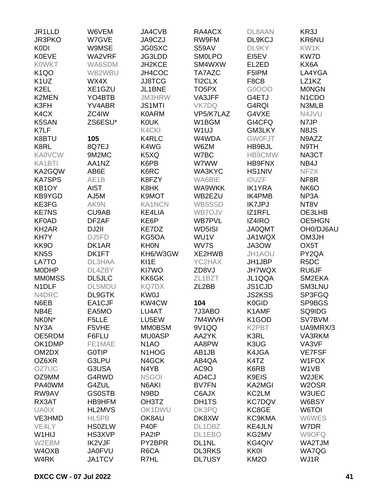| JR1LLD                        | W6VEM              | JA4CVB                         | RA4ACX             | DL8AAN             | KR3J                            |
|-------------------------------|--------------------|--------------------------------|--------------------|--------------------|---------------------------------|
| JR3PKO                        | W7GVE              | JA9CZJ                         | RW9FM              | DL9KCJ             | <b>KR6NU</b>                    |
| <b>K0DI</b>                   | W9MSE              | <b>JG0SXC</b>                  | <b>S59AV</b>       | DL9KY              | KW1K                            |
| <b>K0EVE</b>                  | WA2VRF             | JG3LDD                         | <b>SMOLPO</b>      | EI5EV              | KW7D                            |
| <b>KOWKT</b>                  | WA6SDM             | JH2KCE                         | SM4WXW             | EL2ED              | KX6A                            |
| <b>K1QO</b>                   | WB2WBU             | JH4COC                         | TA7AZC             | F5IPM              | LA4YGA                          |
| K <sub>1</sub> UZ             | WX4X               | <b>JJ8TCG</b>                  | TI2CLX             | F8CB               | LZ1KZ                           |
| K <sub>2EL</sub>              | XE1GZU             | JL1BNE                         | TO <sub>5</sub> PX | G0OOO              | <b>MONGN</b>                    |
| K2MEN                         | YO4BTB             | <b>JM3HRW</b>                  | VA3JFF             | G4ETJ              | N <sub>1</sub> C <sub>D</sub> O |
| K3FH                          | YV4ABR             | <b>JS1MTI</b>                  | <b>VK7DQ</b>       | G4RQI              | N3MLB                           |
| K <sub>4</sub> C <sub>X</sub> | ZC4IW              | <b>K0ARM</b>                   | VP5/K7LAZ          | G4VXE              | N4JVU                           |
| K5SAN                         | ZS6ESU*            | <b>KOUK</b>                    | W1BGM              | GI4CFQ             | N7JP                            |
| K7LF                          |                    | K4CKI                          | W <sub>1UJ</sub>   | <b>GM3LKY</b>      | N8JS                            |
| K8BTU                         | 105                | <b>K4RLC</b>                   |                    | <b>GW0FJT</b>      | N9AZZ                           |
| K8RL                          | 8Q7EJ              | K4WG                           | W4WDA<br>W6ZM      | HB9BJL             |                                 |
|                               |                    |                                |                    |                    | N9TH                            |
| <b>KA0VCW</b>                 | 9M2MC              | K5XQ                           | W7BC               | HB9CMW             | NA3CT                           |
| KA1BTI                        | AA1NZ              | K6PB                           | W7WW               | <b>HB9FNX</b>      | NB4J                            |
| KA2GQW                        | AB6E               | K6RC                           | WA3KYC             | <b>HS1NIV</b>      | NF <sub>2X</sub>                |
| <b>KA7SPS</b>                 | AE1B               | K8FZY                          | WA6BIE             | <b>IOUZF</b>       | NF8R                            |
| KB1OY                         | AI5T               | K8HK                           | WA9WKK             | <b>IK1YRA</b>      | NK <sub>6</sub> O               |
| KB9YGD                        | AJ5M               | K9MOT                          | WB2EZU             | <b>IK4PMB</b>      | NP3A                            |
| KE3FG                         | AK9N               | <b>KA1NCN</b>                  | WB5SSD             | <b>IK7JPJ</b>      | NT8V                            |
| <b>KE7NS</b>                  | CU9AB              | <b>KE4LIA</b>                  | WB7OJV             | IZ1RFL             | OE3LHB                          |
| <b>KF0AD</b>                  | DF <sub>2</sub> AF | KE6P                           | <b>WB7PVL</b>      | IZ4IRO             | OE5HGN                          |
| KH <sub>2</sub> AR            | DJ2II              | KE7DZ                          | WD5ISI             | <b>JA0QMT</b>      | OH0/DJ6AU                       |
| KH7Y                          | DJ5FD              | KG5OA                          | WU1V               | JA1WQX             | OM3JH                           |
| KK9O                          | DK1AR              | <b>KHON</b>                    | WV7S               | JA3OW              | OX <sub>5</sub> T               |
| KN <sub>5</sub> S             | DK1FT              | KH6/W3GW                       | XE2HWB             | JH1AOU             | PY2QA                           |
| LA7TO                         | DL3HAA             | KI1E                           | YC2HAX             | JH1JBP             | R <sub>5</sub> DC               |
| <b>MODHP</b>                  | DL4ZBY             | KI7WO                          | ZD8VJ              | <b>JH7WQX</b>      | RU6JF                           |
| <b>MMOMSS</b>                 | <b>DL5JLC</b>      | KK6GK                          | ZL1BZT             | JL1QQA             | SM2EKA                          |
| N1DLF                         | DL5MDU             | <b>KQ7DX</b>                   | ZL <sub>2</sub> BB | JS1CJD             | <b>SM3LNU</b>                   |
| N4DRC                         | <b>DL9GTK</b>      | <b>KW0J</b>                    |                    | <b>JS2KSS</b>      | SP3FGQ                          |
| N6EB                          | EA1CJF             | KW4CW                          | 104                | K0GID              | SP9BGS                          |
| NB4E                          | EA5MO              | LU4AT                          | 7J3ABO             | K1AMF              | SQ9IDG                          |
| NK0N*                         | F5LLE              | LU5EW                          | 7M4WVH             | K <sub>1</sub> GOD | SV7BVM                          |
| NY3A                          | F5VHE              | <b>MM0BSM</b>                  | 9V1QQ              | K2PBT              | UA9MRX/3                        |
| OE5RDM                        | F6FLU              | <b>MU0ASP</b>                  | AA2YK              | K3RL               | VA3RKM                          |
| OK1DMP                        | FE1MAE             | N <sub>1</sub> AO              | AA8PW              | K3UG               | VA3VF                           |
| OM2DX                         | <b>G0TIP</b>       | N <sub>1</sub> HO <sub>G</sub> | AB1JB              | K4JGA              | <b>VE7FSF</b>                   |
| OZ6XR                         | G3LPU              | N4GCK                          | AB4QA              | K4TZ               | W1FOX                           |
| OZ7UC                         | G3USA              | N4YB                           | AC <sub>9</sub> O  | K6RB               | W1VB                            |
| OZ9MM                         | G4RWD              | N <sub>5</sub> GOI             | AD4CJ              | K9EIS              | W2JEK                           |
|                               | G4ZUL              |                                |                    |                    |                                 |
| PA40WM                        |                    | N6AKI                          | <b>BV7FN</b>       | <b>KA2MGI</b>      | W <sub>2</sub> OSR              |
| RW9AV                         | <b>GS0STB</b>      | N9BD                           | C6AJX              | KC2LM              | W3UEC                           |
| RX3AT                         | HB9HFM             | OH3TZ                          | DH1TS              | <b>KC7DQV</b>      | W6BSY                           |
| <b>UA0IX</b>                  | HL2MVS             | OK1DWU                         | DK3PQ              | KC8GE              | W6TOI                           |
| VE3HMD                        | HL5PB              | OK8AU                          | DK8XW              | <b>KC9KMA</b>      | W6WES                           |
| VE4LY                         | <b>HS0ZLW</b>      | <b>P40F</b>                    | DL1DBZ             | <b>KE4JLN</b>      | W7DR                            |
| W1HIJ                         | HS3XVP             | PA2IP                          | DL1EBO             | KG2MV              | W9OFQ                           |
| W2EBM                         | IK2VJF             | PY2BPR                         | DL1NL              | KG4QIV             | WA2TJM                          |
| W4OXB                         | <b>JA0FVU</b>      | R6CA                           | <b>DL3RKS</b>      | <b>KK0I</b>        | WA7QG                           |
| W4RK                          | <b>JA1TCV</b>      | R7HL                           | <b>DL7USY</b>      | KM <sub>2</sub> O  | WJ1R                            |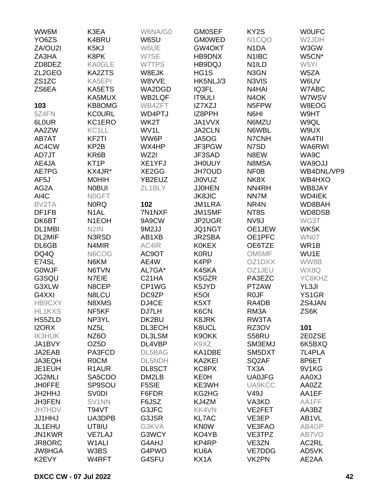| WW6M               | K3EA               | W6NA/G0            | <b>GM0SEF</b>     | KY2S               | <b>WOUFC</b>  |
|--------------------|--------------------|--------------------|-------------------|--------------------|---------------|
| YO <sub>6</sub> ZS | K4BRU              | W6SU               | <b>GMOWED</b>     | N1CQO              | W2JDH         |
| ZA/OU2I            | K5KJ               | W6UE               | GW4OKT            | N <sub>1</sub> DA  | W3GW          |
| ZA3HA              | K8PK               | W7SE               | HB9DNX            | N <sub>1</sub> IBC | W5CN*         |
| ZD8DEZ             | <b>KA0GLE</b>      | W7TPS              | HB9DQJ            | N <sub>1</sub> ILD | W5YI          |
| ZL2GEO             | <b>KA2ZTS</b>      | W8EJK              | HG1S              | N3GN               | W5ZA          |
| ZS1ZC              | KA5EPI             | W8VVE              | HK5NLJ/3          | N3VIS              | W6UV          |
| ZS6EA              | KA5ETS             | WA2DGD             | IQ3FL             | N4HAI              | W7ABC         |
|                    | KA5MUX             | <b>WB2LQF</b>      | <b>IT9ULI</b>     | N <sub>4</sub> OK  | W7WSV         |
| 103                | KB8OMG             | WB4ZFT             | IZ7XZJ            | N5FPW              | W8EOG         |
| 5Z4FN              | <b>KC0URL</b>      | WD4PTJ             | IZ8PPH            | N6HI               | W9HT          |
| 6L0UR              | KC1ERO             | WK2T               | JA1VVX            | N6MZU              | W9QL          |
| AA2ZW              | KC1LL              | WV1L               | <b>JA2CLN</b>     | N6WBL              | W9UX          |
|                    |                    |                    |                   |                    |               |
| AB7AT              | KF <sub>2</sub> TI | WW6P               | JA5OG             | N7CNH              | WA4TII        |
| AC4CW              | KP <sub>2</sub> B  | WX4HP              | JF3PGW            | N7SD               | WA6RWI        |
| AD7JT              | KR6B               | WZ2I               | JF3SAD            | N8EW               | WA9C          |
| AE4JA              | KT <sub>1</sub> P  | XE1YFJ             | <b>JHOUUY</b>     | N8MSA              | WA9OJJ        |
| AE7PG              | KX4JR*             | XE2GG              | <b>JH7OUD</b>     | NF <sub>0</sub> B  | WB4DNL/VP9    |
| AF5J               | <b>MOHIH</b>       | YB2EUZ             | <b>JIOVUZ</b>     | NK8X               | WB4HXO        |
| AG2A               | <b>NOBUI</b>       | ZL1BLY             | <b>JJ0HEN</b>     | NN4RH              | WB8JAY        |
| AI4C               | N0GFT              |                    | <b>JK8JIC</b>     | NN7M               | <b>WD4IEK</b> |
| BV2TA              | <b>NORQ</b>        | 102                | JM1LRA            | NR <sub>4</sub> N  | WD8BAH        |
| DF1FB              | N <sub>1</sub> AL  | 7N1NXF             | JM1SMF            | NT8S               | WD8DSB        |
| DK6BT              | N <sub>1</sub> EOH | 9A9CW              | JP2UGR            | NV9J               | WG3T          |
| DL1MBI             | N <sub>2</sub> IN  | 9M2JJ              | JQ1NGT            | OE1JEW             | WK5K          |
| DL2MIF             | N3RSD              | AB1XB              | JR2SBA            | OE1PFC             | <b>WNOT</b>   |
| DL6GB              | N4MIR              | AC4IR              | <b>K0KEX</b>      | OE6TZE             | WR1B          |
| DQ4Q               | N6COG              | AC9OT              | <b>K0RU</b>       | OM5MF              | WU1E          |
| E74SL              | N6KM               | AE4W               | K4PP              | OZ1DXX             | WW8B          |
| <b>GOWJF</b>       | N6TVN              | AL7GA*             | K4SKA             | OZ1JEU             | WX8Q          |
| G3SQU              | N7EIE              | C <sub>21</sub> HA | K5GZR             | PA3EZC             | YC6KHZ        |
| G3XLW              | N8CEP              | CP1WG              | K5JYD             | PT2AW              | YL3JI         |
| G4XXI              | N8LCU              | DC9ZP              | K <sub>5</sub> OI | R <sub>0</sub> JF  | YS1GR         |
| HB9CXY             | N8XMS              | DJ4CE              | K5XT              | RA4DB              | ZS4JAN        |
| HL1KXS             | NF5KF              | DJ7LH              | K6CN              | RM3A               | ZS6K          |
| HS5ZLD             | NP3YL              | DK2BU              | <b>K8JRK</b>      | RW3TA              |               |
|                    |                    |                    |                   |                    |               |
| I2ORX              | NZ5L               | DL3ECH             | K8UCL             | RZ3OV              | 101           |
| <b>IK3HUK</b>      | NZ <sub>6</sub> O  | <b>DL3LSM</b>      | K9OKK             | S58RU              | 2E0ZSE        |
| JA1BVY             | OZ <sub>5</sub> D  | DL4VBP             | K9XZ              | SM3EMJ             | 6K5BXQ        |
| JA2EAB             | PA3FCD             | DL5BAG             | KA1DBE            | SM5DXT             | 7L4PLA        |
| JA3EQH             | <b>ROCM</b>        | DL5NDH             | KA2KEI            | SQ <sub>2</sub> AF | 8P6ET         |
| JE1EUH             | R <sub>1</sub> AUR | DL8SCT             | KC8PX             | TX3A               | 9V1KG         |
| <b>JG2MLI</b>      | SA5CDO             | DM2LB              | <b>KE0H</b>       | <b>UA0JFG</b>      | LX0AA         |
| <b>JHOFFE</b>      | SP9SOU             | F5SIE              | KE3WH             | <b>UA9KCC</b>      | AA0ZZ         |
| JH2HHJ             | <b>SV0DI</b>       | F6FDR              | KG2HG             | <b>V49J</b>        | AA1EF         |
| <b>JH3FEN</b>      | SV1NN              | F6JSZ              | KJ4ZM             | VA3KD              | AA1FF         |
| JH7HDV             | T94VT              | G3JFC              | KK4VN             | VE2FET             | AA3BZ         |
| <b>JJ1HHJ</b>      | UA3DPB             | G3JSR              | <b>KL7AC</b>      | VE3EP              | AB1VL         |
| JL1EHU             | UT8IU              | G3KVA              | <b>KNOW</b>       | VE3FAO             | AB4GP         |
| JN1KWR             | <b>VE7LAJ</b>      | G3WCY              | KO4YB             | VE3TPZ             | AB7VO         |
| JR8ORC             | W <sub>1</sub> ALI | G4AHJ              | KP4RP             | VE3ZN              | AC2RL         |
| <b>JW8HGA</b>      | W3BS               | G4PWO              | KU6A              | VE7DDG             | AD5VK         |
| K2EVY              | W4RFT              | G4SFU              | KX1A              | VK2PN              | AE2AA         |
|                    |                    |                    |                   |                    |               |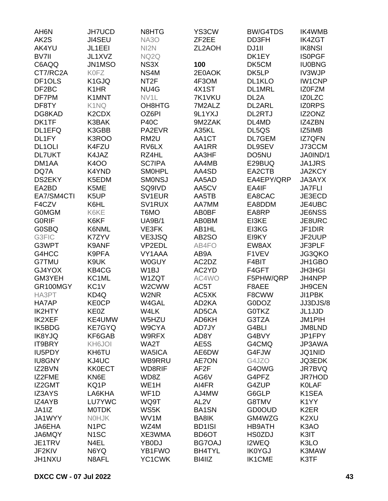| AH <sub>6</sub> N   | <b>JH7UCD</b>                  | N8HTG             | YS3CW              | <b>BW/G4TDS</b>   | IK4WMB             |
|---------------------|--------------------------------|-------------------|--------------------|-------------------|--------------------|
| AK2S                | <b>JI4SEU</b>                  | <b>NA3O</b>       | ZF <sub>2</sub> EE | DD3FH             | <b>IK4ZGT</b>      |
| AK4YU               | JL1EEI                         | NI <sub>2</sub> N | ZL2AOH             | DJ1II             | <b>IK8NSI</b>      |
| BV7II               | JL1XVZ                         | NQ2Q              |                    | DK1EY             | <b>ISOPGF</b>      |
| C6AQQ               | JN1MSO                         | NS3X              | 100                | DK5CM             | <b>IU0BNG</b>      |
| CT7/RC2A            | <b>K0FZ</b>                    | NS4M              | 2E0AOK             | DK5LP             | <b>IV3WJP</b>      |
| DF <sub>1</sub> OLS | K1GJQ                          | NT <sub>2F</sub>  | 4F3OM              | DL1KLO            | <b>IW1CNP</b>      |
| DF2BC               | K <sub>1</sub> HR              | NU4G              | 4X1ST              | DL1MRL            | <b>IZOFZM</b>      |
| DF7PM               | K1MNT                          | NV1L              | 7K1VKU             | DL <sub>2</sub> A | IZ0LZC             |
| DF8TY               | K1NQ                           | OH8HTG            | 7M2ALZ             | DL2ARL            | <b>IZORPS</b>      |
| DG8KAD              | K <sub>2</sub> CD <sub>X</sub> | OZ6PI             | 9L1YXJ             | DL2RTJ            | IZ2ONZ             |
| DK1TF               | K3BAK                          | <b>P40C</b>       | 9M2ZAK             | DL4MD             | IZ4ZBN             |
| DL1EFQ              | K3GBB                          | PA2EVR            | A35KL              | DL5QS             | IZ5IMB             |
| DL1FY               | K3ROO                          | RM <sub>2U</sub>  | AA1CT              | DL7GEM            | <b>IZ7QFN</b>      |
| DL <sub>1</sub> OLI | K4FZU                          | RV6LX             | AA1RR              | DL9SEV            | J73CCM             |
| <b>DL7UKT</b>       | K4JAZ                          | RZ4HL             | AA3HF              | DO5NU             | JA0IND/1           |
| DM1AA               | <b>K4OO</b>                    | <b>SC7IPA</b>     | AA4MB              | E29BUQ            | JA1JRS             |
| DQ7A                | K4YND                          | <b>SMOHPL</b>     | AA4SD              | EA2CTB            | <b>JA2KCY</b>      |
| <b>DS2EKY</b>       | K5EDM                          | <b>SMONSJ</b>     | AA5AD              | EA4EPY/QRP        | <b>JA3AYX</b>      |
| EA2BD               | K5ME                           | SQ9IVD            | AA5CV              | EA4IF             | <b>JA7FLI</b>      |
| EA7/SM4CTI          | K5UP                           | SV1EUR            | AA5TB              | EA8CAC            | JE3ECD             |
| F4CZV               | K6HL                           | SV1RUX            | AA7MM              | EA8DDM            | JE4UBC             |
| <b>GOMGM</b>        | K6KE                           | T6MO              | AB0BF              | EA8RP             | <b>JE6NSS</b>      |
| <b>GORIF</b>        | K6KF                           | <b>UA9B/1</b>     | <b>AB0BM</b>       | EI3KE             | JE8URC             |
| <b>G0SBQ</b>        | K6NML                          | VE3FK             | AB1HL              | EI3KG             |                    |
|                     |                                |                   |                    |                   | JF1DIR             |
| G3FIC               | K7ZYV                          | VE3JSQ            | AB <sub>2</sub> SO | EI9KY             | JF2UUP             |
| G3WPT               | K9ANF                          | VP2EDL            | AB4FO              | EW8AX             | JF3PLF             |
| G4HCC               | K9PFA                          | VY1AAA            | AB9A               | F1VEV             | JG3QKO             |
| G7TMU               | K9UK                           | <b>W0GUY</b>      | AC2DZ              | F4BIT             | JH1GBO             |
| GJ4YOX              | KB4CG                          | W <sub>1</sub> BJ | AC2YD              | F4GFT             | <b>JH3HGI</b>      |
| GM3YEH              | KC1ML                          | W1ZQT             | AC4WO              | F5PHW/QRP         | JH4NPP             |
| GR100MGY            | KC <sub>1</sub> V              | W2CWW             | AC5T               | F8AEE             | JH9CEN             |
| HA3PT               | KD4Q                           | W2NR              | AC5XK              | F8CWW             | JI1PBK             |
| HA7AP               | <b>KE0CP</b>                   | W4GAL             | AD2KA              | G0DOZ             | JJ3DJS/8           |
| IK2HTY              | KE0Z                           | W4LK              | AD5CA              | <b>GOTKZ</b>      | JL1JJD             |
| <b>IK2XEF</b>       | KE4UMW                         | W5HZU             | AD6KH              | G3TZA             | <b>JM1PIH</b>      |
| IK5BDG              | <b>KE7GYQ</b>                  | W9CYA             | AD7JY              | G4BLI             | JM8LND             |
| <b>IK8YJQ</b>       | KF6GAB                         | W9RFX             | AD8Y               | G4BVY             | JP1FPY             |
| IT9BRY              | KH6JOI                         | WA2T              | AE5S               | G4CMQ             | JP3AWA             |
| IU5PDY              | KH6TU                          | <b>WA5ICA</b>     | AE6DW              | G4FJW             | JQ1NID             |
| <b>IU8GNY</b>       | KJ4UC                          | WB9RRU            | <b>AE7ON</b>       | G4JZO             | JQ3EDK             |
| IZ2BVN              | <b>KK0ECT</b>                  | WD8RIF            | AF <sub>2</sub> F  | G4OWG             | JR7BVQ             |
| IZ2FME              | KN6E                           | WD8Z              | AG6V               | G4PFZ             | JR7HOD             |
| IZ2GMT              | KQ1P                           | WE <sub>1</sub> H | AI4FR              | G4ZUP             | <b>KOLAF</b>       |
| IZ3AYS              | LA6KHA                         | WF <sub>1</sub> D | AJ4MW              | G6GLP             | K <sub>1</sub> SEA |
| IZ4AYB              | <b>LU7YWC</b>                  | WQ9T              | AL <sub>2V</sub>   | G8TMV             | K <sub>1</sub> YY  |
| JA1IZ               | <b>MOTDK</b>                   | WS5K              | <b>BA1SN</b>       | <b>GD0OUD</b>     | K <sub>2</sub> ER  |
| JA1WYY              | <b>NOHJK</b>                   | WV1M              | BA8IK              | GM4WZG            | K2XU               |
| JA6EHA              | N <sub>1</sub> PC              | WZ4M              | <b>BD1ISI</b>      | <b>HB9ATH</b>     | K3AO               |
| JA6MQY              | N <sub>1</sub> SC              | XE3WMA            | BD6OT              | <b>HS0ZDJ</b>     | K3IT               |
| JE1TRV              | N4EL                           | YB0DJ             | <b>BG7OAJ</b>      | I2WEQ             | K3LO               |
| JF2KIV              | N6YQ                           | YB1FWO            | <b>BH4TYL</b>      | <b>IK0YGJ</b>     | K3MAW              |
| JH1NXU              | N8AFL                          | YC1CWK            | BI4IIZ             | <b>IK1CME</b>     | K3TF               |